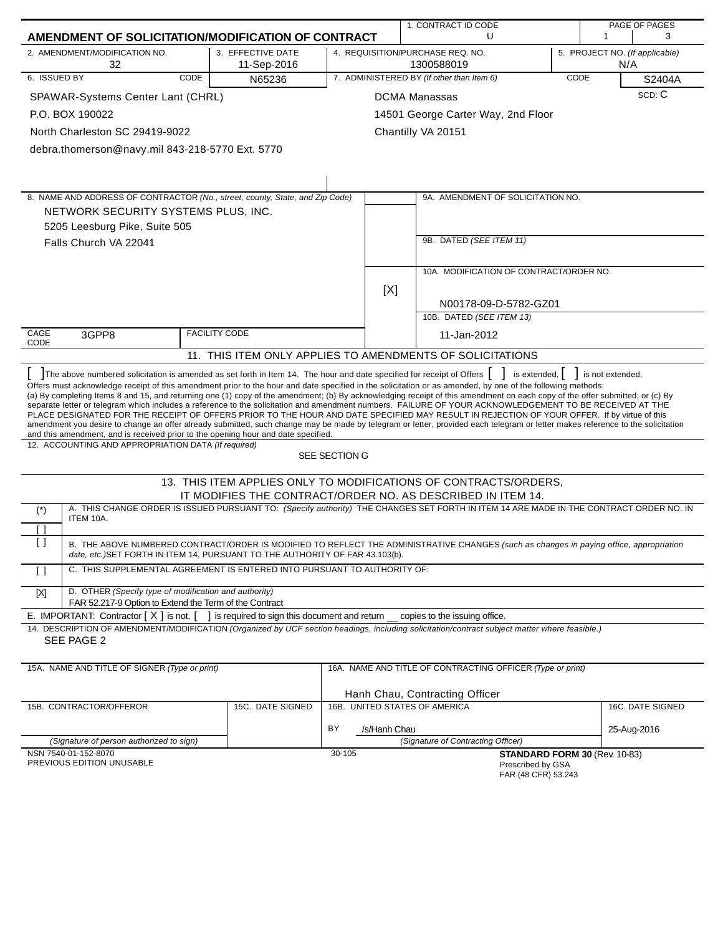|                      |                                                                                                                                                                                                                                                                       |                                                |                    | 1. CONTRACT ID CODE                                                                                                                                                                                                                                                                                                                                                                                                                                                                                                                                                                                                                                                                                                                                                                                                                    |      |     | PAGE OF PAGES                  |
|----------------------|-----------------------------------------------------------------------------------------------------------------------------------------------------------------------------------------------------------------------------------------------------------------------|------------------------------------------------|--------------------|----------------------------------------------------------------------------------------------------------------------------------------------------------------------------------------------------------------------------------------------------------------------------------------------------------------------------------------------------------------------------------------------------------------------------------------------------------------------------------------------------------------------------------------------------------------------------------------------------------------------------------------------------------------------------------------------------------------------------------------------------------------------------------------------------------------------------------------|------|-----|--------------------------------|
|                      | AMENDMENT OF SOLICITATION/MODIFICATION OF CONTRACT                                                                                                                                                                                                                    |                                                |                    | U                                                                                                                                                                                                                                                                                                                                                                                                                                                                                                                                                                                                                                                                                                                                                                                                                                      |      | 1   | 3                              |
|                      | 2. AMENDMENT/MODIFICATION NO.<br>32                                                                                                                                                                                                                                   | 3. EFFECTIVE DATE<br>11-Sep-2016               |                    | 4. REQUISITION/PURCHASE REQ. NO.<br>1300588019                                                                                                                                                                                                                                                                                                                                                                                                                                                                                                                                                                                                                                                                                                                                                                                         |      | N/A | 5. PROJECT NO. (If applicable) |
| 6. ISSUED BY         | CODE                                                                                                                                                                                                                                                                  | N65236                                         |                    | 7. ADMINISTERED BY (If other than Item 6)                                                                                                                                                                                                                                                                                                                                                                                                                                                                                                                                                                                                                                                                                                                                                                                              | CODE |     | S2404A                         |
|                      | SPAWAR-Systems Center Lant (CHRL)                                                                                                                                                                                                                                     |                                                |                    | <b>DCMA Manassas</b>                                                                                                                                                                                                                                                                                                                                                                                                                                                                                                                                                                                                                                                                                                                                                                                                                   |      |     | SCD: C                         |
| P.O. BOX 190022      |                                                                                                                                                                                                                                                                       |                                                |                    | 14501 George Carter Way, 2nd Floor                                                                                                                                                                                                                                                                                                                                                                                                                                                                                                                                                                                                                                                                                                                                                                                                     |      |     |                                |
|                      | North Charleston SC 29419-9022                                                                                                                                                                                                                                        |                                                |                    | Chantilly VA 20151                                                                                                                                                                                                                                                                                                                                                                                                                                                                                                                                                                                                                                                                                                                                                                                                                     |      |     |                                |
|                      | debra.thomerson@navy.mil 843-218-5770 Ext. 5770                                                                                                                                                                                                                       |                                                |                    |                                                                                                                                                                                                                                                                                                                                                                                                                                                                                                                                                                                                                                                                                                                                                                                                                                        |      |     |                                |
|                      |                                                                                                                                                                                                                                                                       |                                                |                    |                                                                                                                                                                                                                                                                                                                                                                                                                                                                                                                                                                                                                                                                                                                                                                                                                                        |      |     |                                |
|                      |                                                                                                                                                                                                                                                                       |                                                |                    |                                                                                                                                                                                                                                                                                                                                                                                                                                                                                                                                                                                                                                                                                                                                                                                                                                        |      |     |                                |
|                      | 8. NAME AND ADDRESS OF CONTRACTOR (No., street, county, State, and Zip Code)                                                                                                                                                                                          |                                                |                    | 9A. AMENDMENT OF SOLICITATION NO.                                                                                                                                                                                                                                                                                                                                                                                                                                                                                                                                                                                                                                                                                                                                                                                                      |      |     |                                |
|                      | NETWORK SECURITY SYSTEMS PLUS, INC.                                                                                                                                                                                                                                   |                                                |                    |                                                                                                                                                                                                                                                                                                                                                                                                                                                                                                                                                                                                                                                                                                                                                                                                                                        |      |     |                                |
|                      | 5205 Leesburg Pike, Suite 505                                                                                                                                                                                                                                         |                                                |                    |                                                                                                                                                                                                                                                                                                                                                                                                                                                                                                                                                                                                                                                                                                                                                                                                                                        |      |     |                                |
|                      | Falls Church VA 22041                                                                                                                                                                                                                                                 |                                                |                    | 9B. DATED (SEE ITEM 11)                                                                                                                                                                                                                                                                                                                                                                                                                                                                                                                                                                                                                                                                                                                                                                                                                |      |     |                                |
|                      |                                                                                                                                                                                                                                                                       |                                                |                    |                                                                                                                                                                                                                                                                                                                                                                                                                                                                                                                                                                                                                                                                                                                                                                                                                                        |      |     |                                |
|                      |                                                                                                                                                                                                                                                                       |                                                |                    | 10A. MODIFICATION OF CONTRACT/ORDER NO.                                                                                                                                                                                                                                                                                                                                                                                                                                                                                                                                                                                                                                                                                                                                                                                                |      |     |                                |
|                      |                                                                                                                                                                                                                                                                       |                                                | [X]                |                                                                                                                                                                                                                                                                                                                                                                                                                                                                                                                                                                                                                                                                                                                                                                                                                                        |      |     |                                |
|                      |                                                                                                                                                                                                                                                                       |                                                |                    | N00178-09-D-5782-GZ01                                                                                                                                                                                                                                                                                                                                                                                                                                                                                                                                                                                                                                                                                                                                                                                                                  |      |     |                                |
|                      |                                                                                                                                                                                                                                                                       |                                                |                    | 10B. DATED (SEE ITEM 13)                                                                                                                                                                                                                                                                                                                                                                                                                                                                                                                                                                                                                                                                                                                                                                                                               |      |     |                                |
| CAGE<br>CODE         | 3GPP8                                                                                                                                                                                                                                                                 | <b>FACILITY CODE</b>                           |                    | 11-Jan-2012                                                                                                                                                                                                                                                                                                                                                                                                                                                                                                                                                                                                                                                                                                                                                                                                                            |      |     |                                |
|                      |                                                                                                                                                                                                                                                                       |                                                |                    | 11. THIS ITEM ONLY APPLIES TO AMENDMENTS OF SOLICITATIONS                                                                                                                                                                                                                                                                                                                                                                                                                                                                                                                                                                                                                                                                                                                                                                              |      |     |                                |
|                      | The above numbered solicitation is amended as set forth in Item 14. The hour and date specified for receipt of Offers [ ]<br>and this amendment, and is received prior to the opening hour and date specified.<br>12. ACCOUNTING AND APPROPRIATION DATA (If required) |                                                |                    | Offers must acknowledge receipt of this amendment prior to the hour and date specified in the solicitation or as amended, by one of the following methods:<br>(a) By completing Items 8 and 15, and returning one (1) copy of the amendment; (b) By acknowledging receipt of this amendment on each copy of the offer submitted; or (c) By<br>separate letter or telegram which includes a reference to the solicitation and amendment numbers. FAILURE OF YOUR ACKNOWLEDGEMENT TO BE RECEIVED AT THE<br>PLACE DESIGNATED FOR THE RECEIPT OF OFFERS PRIOR TO THE HOUR AND DATE SPECIFIED MAY RESULT IN REJECTION OF YOUR OFFER. If by virtue of this<br>amendment you desire to change an offer already submitted, such change may be made by telegram or letter, provided each telegram or letter makes reference to the solicitation |      |     |                                |
|                      |                                                                                                                                                                                                                                                                       |                                                | SEE SECTION G      |                                                                                                                                                                                                                                                                                                                                                                                                                                                                                                                                                                                                                                                                                                                                                                                                                                        |      |     |                                |
|                      |                                                                                                                                                                                                                                                                       |                                                |                    | 13. THIS ITEM APPLIES ONLY TO MODIFICATIONS OF CONTRACTS/ORDERS,                                                                                                                                                                                                                                                                                                                                                                                                                                                                                                                                                                                                                                                                                                                                                                       |      |     |                                |
|                      |                                                                                                                                                                                                                                                                       |                                                |                    | IT MODIFIES THE CONTRACT/ORDER NO. AS DESCRIBED IN ITEM 14.                                                                                                                                                                                                                                                                                                                                                                                                                                                                                                                                                                                                                                                                                                                                                                            |      |     |                                |
| $(*)$                | ITEM 10A.                                                                                                                                                                                                                                                             |                                                |                    | A. THIS CHANGE ORDER IS ISSUED PURSUANT TO: (Specify authority) THE CHANGES SET FORTH IN ITEM 14 ARE MADE IN THE CONTRACT ORDER NO. IN                                                                                                                                                                                                                                                                                                                                                                                                                                                                                                                                                                                                                                                                                                 |      |     |                                |
| ן ו                  |                                                                                                                                                                                                                                                                       |                                                |                    |                                                                                                                                                                                                                                                                                                                                                                                                                                                                                                                                                                                                                                                                                                                                                                                                                                        |      |     |                                |
| Ιl                   | date, etc.) SET FORTH IN ITEM 14, PURSUANT TO THE AUTHORITY OF FAR 43.103(b).                                                                                                                                                                                         |                                                |                    | B. THE ABOVE NUMBERED CONTRACT/ORDER IS MODIFIED TO REFLECT THE ADMINISTRATIVE CHANGES (such as changes in paying office, appropriation                                                                                                                                                                                                                                                                                                                                                                                                                                                                                                                                                                                                                                                                                                |      |     |                                |
| $\Box$               | C. THIS SUPPLEMENTAL AGREEMENT IS ENTERED INTO PURSUANT TO AUTHORITY OF:                                                                                                                                                                                              |                                                |                    |                                                                                                                                                                                                                                                                                                                                                                                                                                                                                                                                                                                                                                                                                                                                                                                                                                        |      |     |                                |
| $[{\sf X}]$          | D. OTHER (Specify type of modification and authority)<br>FAR 52.217-9 Option to Extend the Term of the Contract                                                                                                                                                       |                                                |                    |                                                                                                                                                                                                                                                                                                                                                                                                                                                                                                                                                                                                                                                                                                                                                                                                                                        |      |     |                                |
|                      | E. IMPORTANT: Contractor $[X]$ is not, $[$                                                                                                                                                                                                                            | I is required to sign this document and return |                    | copies to the issuing office.                                                                                                                                                                                                                                                                                                                                                                                                                                                                                                                                                                                                                                                                                                                                                                                                          |      |     |                                |
| SEE PAGE 2           |                                                                                                                                                                                                                                                                       |                                                |                    | 14. DESCRIPTION OF AMENDMENT/MODIFICATION (Organized by UCF section headings, including solicitation/contract subject matter where feasible.)                                                                                                                                                                                                                                                                                                                                                                                                                                                                                                                                                                                                                                                                                          |      |     |                                |
|                      |                                                                                                                                                                                                                                                                       |                                                |                    |                                                                                                                                                                                                                                                                                                                                                                                                                                                                                                                                                                                                                                                                                                                                                                                                                                        |      |     |                                |
|                      | 15A. NAME AND TITLE OF SIGNER (Type or print)                                                                                                                                                                                                                         |                                                |                    | 16A. NAME AND TITLE OF CONTRACTING OFFICER (Type or print)                                                                                                                                                                                                                                                                                                                                                                                                                                                                                                                                                                                                                                                                                                                                                                             |      |     |                                |
|                      |                                                                                                                                                                                                                                                                       |                                                |                    | Hanh Chau, Contracting Officer                                                                                                                                                                                                                                                                                                                                                                                                                                                                                                                                                                                                                                                                                                                                                                                                         |      |     |                                |
|                      | 15B. CONTRACTOR/OFFEROR                                                                                                                                                                                                                                               | 15C. DATE SIGNED                               |                    | 16B. UNITED STATES OF AMERICA                                                                                                                                                                                                                                                                                                                                                                                                                                                                                                                                                                                                                                                                                                                                                                                                          |      |     | 16C. DATE SIGNED               |
|                      |                                                                                                                                                                                                                                                                       |                                                | BY<br>/s/Hanh Chau |                                                                                                                                                                                                                                                                                                                                                                                                                                                                                                                                                                                                                                                                                                                                                                                                                                        |      |     | 25-Aug-2016                    |
|                      | (Signature of person authorized to sign)                                                                                                                                                                                                                              |                                                |                    | (Signature of Contracting Officer)                                                                                                                                                                                                                                                                                                                                                                                                                                                                                                                                                                                                                                                                                                                                                                                                     |      |     |                                |
| NSN 7540-01-152-8070 | PREVIOUS EDITION UNUSABLE                                                                                                                                                                                                                                             |                                                | 30-105             | STANDARD FORM 30 (Rev. 10-83)<br>Prescribed by GSA<br>FAR (48 CFR) 53.243                                                                                                                                                                                                                                                                                                                                                                                                                                                                                                                                                                                                                                                                                                                                                              |      |     |                                |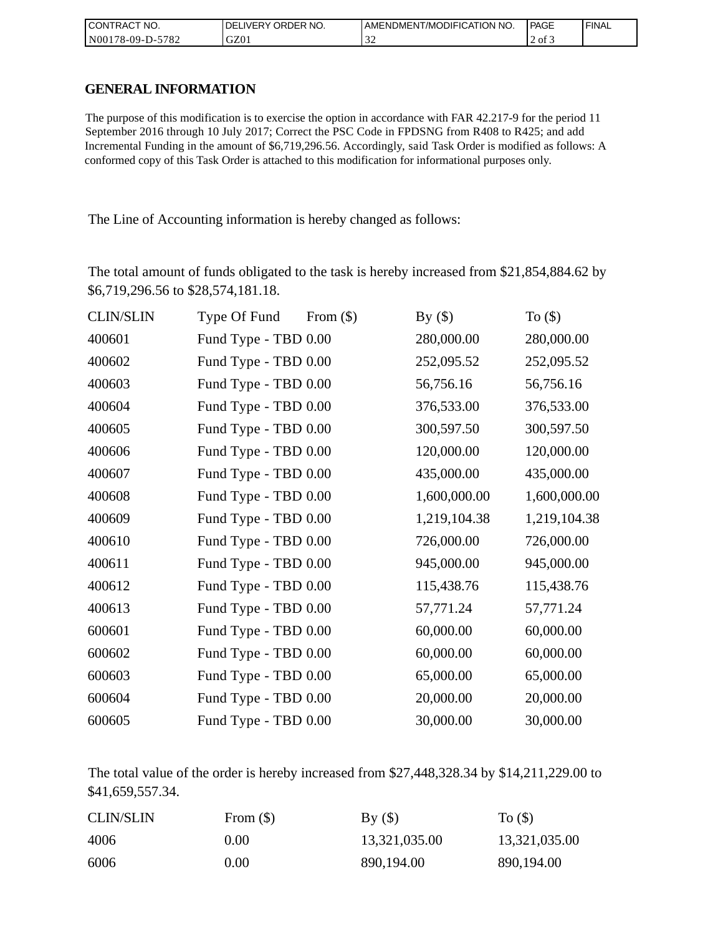| I CONTRACT NO.   | DELIVERY ORDER NO. | AMENDMENT/MODIFICATION NO. | PAGE   | ' FINAL |
|------------------|--------------------|----------------------------|--------|---------|
| N00178-09-D-5782 | GZ01               |                            | 2 of 3 |         |

### **GENERAL INFORMATION**

| CONTRACT NO.               | DELIVERY ORDER NO.                                                                                                                                                                                                 |             | AMENDMENT/MODIFICATION NO. |              | PAGE          | FIN. |
|----------------------------|--------------------------------------------------------------------------------------------------------------------------------------------------------------------------------------------------------------------|-------------|----------------------------|--------------|---------------|------|
| N00178-09-D-5782           | GZ01                                                                                                                                                                                                               | 32          |                            |              | 2 of 3        |      |
|                            |                                                                                                                                                                                                                    |             |                            |              |               |      |
| <b>GENERAL INFORMATION</b> |                                                                                                                                                                                                                    |             |                            |              |               |      |
|                            | The purpose of this modification is to exercise the option in accordance with FAR 42.217-9 for the period 11                                                                                                       |             |                            |              |               |      |
|                            | September 2016 through 10 July 2017; Correct the PSC Code in FPDSNG from R408 to R425; and add                                                                                                                     |             |                            |              |               |      |
|                            | Incremental Funding in the amount of \$6,719,296.56. Accordingly, said Task Order is modified as follows: A<br>conformed copy of this Task Order is attached to this modification for informational purposes only. |             |                            |              |               |      |
|                            |                                                                                                                                                                                                                    |             |                            |              |               |      |
|                            |                                                                                                                                                                                                                    |             |                            |              |               |      |
|                            | The Line of Accounting information is hereby changed as follows:                                                                                                                                                   |             |                            |              |               |      |
|                            |                                                                                                                                                                                                                    |             |                            |              |               |      |
|                            | The total amount of funds obligated to the task is hereby increased from \$21,854,884.62 by                                                                                                                        |             |                            |              |               |      |
|                            | \$6,719,296.56 to \$28,574,181.18.                                                                                                                                                                                 |             |                            |              |               |      |
| <b>CLIN/SLIN</b>           | Type Of Fund                                                                                                                                                                                                       | From $(\$)$ | By $(\$)$                  |              | To $($ math)  |      |
| 400601                     | Fund Type - TBD 0.00                                                                                                                                                                                               |             | 280,000.00                 |              | 280,000.00    |      |
| 400602                     | Fund Type - TBD 0.00                                                                                                                                                                                               |             | 252,095.52                 |              | 252,095.52    |      |
| 400603                     | Fund Type - TBD 0.00                                                                                                                                                                                               |             | 56,756.16                  |              | 56,756.16     |      |
| 400604                     | Fund Type - TBD 0.00                                                                                                                                                                                               |             | 376,533.00                 |              | 376,533.00    |      |
| 400605                     | Fund Type - TBD 0.00                                                                                                                                                                                               |             | 300,597.50                 |              | 300,597.50    |      |
| 400606                     | Fund Type - TBD 0.00                                                                                                                                                                                               |             | 120,000.00                 |              | 120,000.00    |      |
| 400607                     | Fund Type - TBD 0.00                                                                                                                                                                                               |             | 435,000.00                 |              | 435,000.00    |      |
| 400608                     | Fund Type - TBD 0.00                                                                                                                                                                                               |             | 1,600,000.00               |              | 1,600,000.00  |      |
| 400609                     | Fund Type - TBD 0.00                                                                                                                                                                                               |             | 1,219,104.38               |              | 1,219,104.38  |      |
| 400610                     | Fund Type - TBD 0.00                                                                                                                                                                                               |             | 726,000.00                 |              | 726,000.00    |      |
| 400611                     | Fund Type - TBD 0.00                                                                                                                                                                                               |             | 945,000.00                 |              | 945,000.00    |      |
| 400612                     | Fund Type - TBD 0.00                                                                                                                                                                                               |             | 115,438.76                 |              | 115,438.76    |      |
| 400613                     | Fund Type - TBD 0.00                                                                                                                                                                                               |             | 57,771.24                  |              | 57,771.24     |      |
| 600601                     | Fund Type - TBD 0.00                                                                                                                                                                                               |             | 60,000.00                  |              | 60,000.00     |      |
| 600602                     | Fund Type - TBD 0.00                                                                                                                                                                                               |             | 60,000.00                  |              | 60,000.00     |      |
| 600603                     | Fund Type - TBD 0.00                                                                                                                                                                                               |             | 65,000.00                  |              | 65,000.00     |      |
| 600604                     | Fund Type - TBD 0.00                                                                                                                                                                                               |             | 20,000.00                  |              | 20,000.00     |      |
| 600605                     | Fund Type - TBD 0.00                                                                                                                                                                                               |             | 30,000.00                  |              | 30,000.00     |      |
|                            |                                                                                                                                                                                                                    |             |                            |              |               |      |
| \$41,659,557.34.           | The total value of the order is hereby increased from $$27,448,328.34$ by $$14,211,229.00$ to                                                                                                                      |             |                            |              |               |      |
| <b>CLIN/SLIN</b>           | From $(\$)$                                                                                                                                                                                                        | By $($ )    |                            | To $($ math) |               |      |
| 4006                       | 0.00                                                                                                                                                                                                               |             | 13,321,035.00              |              | 13,321,035.00 |      |
| 6006                       | 0.00                                                                                                                                                                                                               |             | 890,194.00                 |              | 890,194.00    |      |

| <b>CLIN/SLIN</b> | From $(\$)$ | By()          | To $($        |
|------------------|-------------|---------------|---------------|
| 4006             | 0.00        | 13,321,035.00 | 13,321,035.00 |
| 6006             | 0.00        | 890,194.00    | 890,194.00    |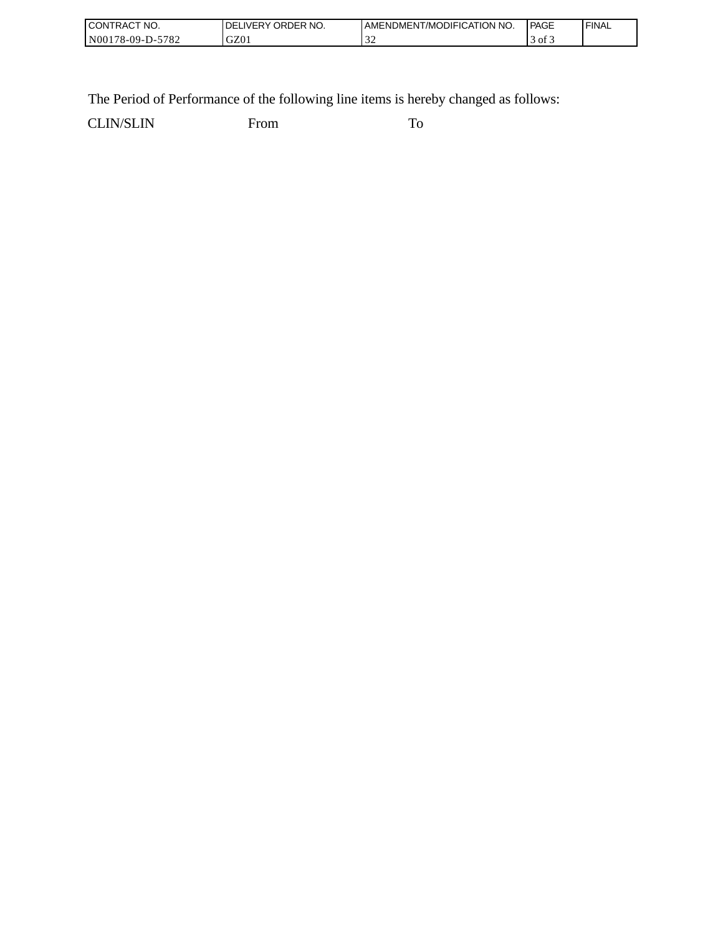| "NO.<br><b>CON</b><br>I RAC                                      | NO.<br>.)RDFP<br><b>NERY</b> | ODIFICATION NO.<br>AMENDMENT<br>. 17MC | <b>PAGE</b>           | <b>FINAL</b> |
|------------------------------------------------------------------|------------------------------|----------------------------------------|-----------------------|--------------|
| 5700<br>N00 <sub>1</sub><br>$8 - 09 -$ <sup>1</sup><br>⊿ه '<br>. | GZ01                         |                                        | $\sigma$ <sub>1</sub> |              |

The Period of Performance of the following line items is hereby changed as follows:

CLIN/SLIN From To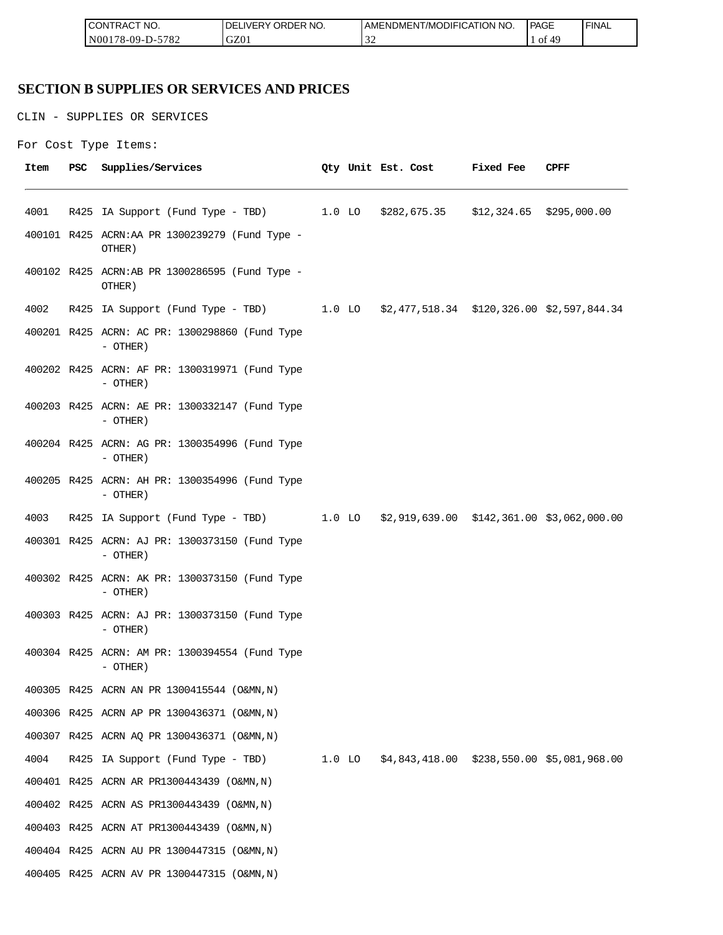| <b>ICON</b><br>°CT NO.<br>∵I RAC      | R NO.<br>JR'<br>≀DE!<br>⊣د، | ICATION NO.<br><b>JDIFI(</b><br>AME<br>-NDMEN.<br>l /MC | PAGE<br>____ | <b>FINAL</b> |
|---------------------------------------|-----------------------------|---------------------------------------------------------|--------------|--------------|
| 5700<br>N00<br>$8 - 09 - D -$<br>ے ہ≀ | GZ0                         | $\sim$                                                  | ΟĪ           |              |

## **SECTION B SUPPLIES OR SERVICES AND PRICES**

CLIN - SUPPLIES OR SERVICES

```
For Cost Type Items:
```

| Item | PSC | Supplies/Services                                                                   |  | Qty Unit Est. Cost Fixed Fee | CPFF |
|------|-----|-------------------------------------------------------------------------------------|--|------------------------------|------|
| 4001 |     | R425 IA Support (Fund Type - TBD) 1.0 LO \$282,675.35 \$12,324.65 \$295,000.00      |  |                              |      |
|      |     | 400101 R425 ACRN:AA PR 1300239279 (Fund Type -<br>OTHER)                            |  |                              |      |
|      |     | 400102 R425 ACRN:AB PR 1300286595 (Fund Type -<br>OTHER)                            |  |                              |      |
| 4002 |     | R425 IA Support (Fund Type - TBD) 1.0 LO \$2,477,518.34 \$120,326.00 \$2,597,844.34 |  |                              |      |
|      |     | 400201 R425 ACRN: AC PR: 1300298860 (Fund Type<br>- OTHER)                          |  |                              |      |
|      |     | 400202 R425 ACRN: AF PR: 1300319971 (Fund Type<br>- OTHER)                          |  |                              |      |
|      |     | 400203 R425 ACRN: AE PR: 1300332147 (Fund Type<br>- OTHER)                          |  |                              |      |
|      |     | 400204 R425 ACRN: AG PR: 1300354996 (Fund Type<br>- OTHER)                          |  |                              |      |
|      |     | 400205 R425 ACRN: AH PR: 1300354996 (Fund Type<br>- OTHER)                          |  |                              |      |
| 4003 |     | R425 IA Support (Fund Type - TBD) 1.0 LO \$2,919,639.00 \$142,361.00 \$3,062,000.00 |  |                              |      |
|      |     | 400301 R425 ACRN: AJ PR: 1300373150 (Fund Type<br>- OTHER)                          |  |                              |      |
|      |     | 400302 R425 ACRN: AK PR: 1300373150 (Fund Type<br>- OTHER)                          |  |                              |      |
|      |     | 400303 R425 ACRN: AJ PR: 1300373150 (Fund Type<br>- OTHER)                          |  |                              |      |
|      |     | 400304 R425 ACRN: AM PR: 1300394554 (Fund Type<br>- OTHER)                          |  |                              |      |
|      |     | 400305 R425 ACRN AN PR 1300415544 (O&MN, N)                                         |  |                              |      |
|      |     | 400306 R425 ACRN AP PR 1300436371 (O&MN, N)                                         |  |                              |      |
|      |     | 400307 R425 ACRN AQ PR 1300436371 (O&MN, N)                                         |  |                              |      |
| 4004 |     | R425 IA Support (Fund Type - TBD) 1.0 LO \$4,843,418.00 \$238,550.00 \$5,081,968.00 |  |                              |      |
|      |     | 400401 R425 ACRN AR PR1300443439 (O&MN, N)                                          |  |                              |      |
|      |     | 400402 R425 ACRN AS PR1300443439 (O&MN, N)                                          |  |                              |      |
|      |     | 400403 R425 ACRN AT PR1300443439 (O&MN, N)                                          |  |                              |      |
|      |     | 400404 R425 ACRN AU PR 1300447315 (O&MN, N)                                         |  |                              |      |
|      |     | 400405 R425 ACRN AV PR 1300447315 (O&MN, N)                                         |  |                              |      |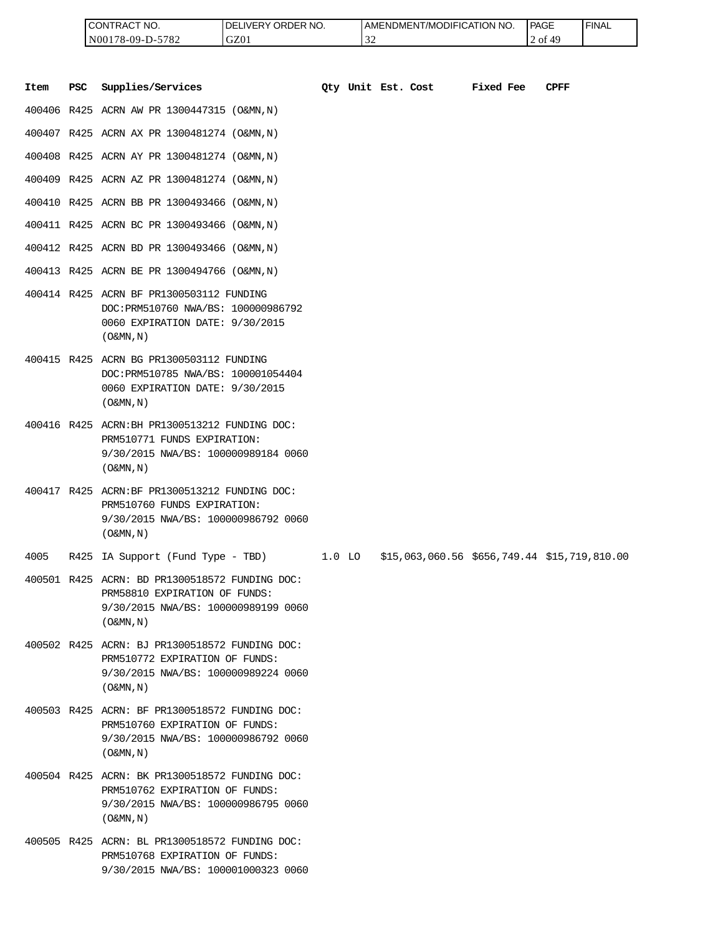| <b>I CONTRACT NO.</b> | LIVERY ORDER NO.<br>DEI | LAMENDMENT/MODIFICATION NO. | <b>PAGE</b> | ' FINAL |
|-----------------------|-------------------------|-----------------------------|-------------|---------|
| N00178-09-D-5782      | GZ01                    | $\sim$<br>ے ر               | ΔC<br>2 of  |         |

|      |            | CONTRACT NO.<br>N00178-09-D-5782                                                                                                                      | DELIVERY ORDER NO.<br>GZ01 |          | 32 |                    | AMENDMENT/MODIFICATION NO.                   |           | <b>PAGE</b><br>2 of 49 | <b>FINAL</b> |
|------|------------|-------------------------------------------------------------------------------------------------------------------------------------------------------|----------------------------|----------|----|--------------------|----------------------------------------------|-----------|------------------------|--------------|
| Item | <b>PSC</b> | Supplies/Services                                                                                                                                     |                            |          |    | Qty Unit Est. Cost |                                              | Fixed Fee | <b>CPFF</b>            |              |
|      |            | 400406 R425 ACRN AW PR 1300447315 (O&MN, N)                                                                                                           |                            |          |    |                    |                                              |           |                        |              |
|      |            | 400407 R425 ACRN AX PR 1300481274 (O&MN, N)                                                                                                           |                            |          |    |                    |                                              |           |                        |              |
|      |            | 400408 R425 ACRN AY PR 1300481274 (O&MN, N)                                                                                                           |                            |          |    |                    |                                              |           |                        |              |
|      |            | 400409 R425 ACRN AZ PR 1300481274 (O&MN, N)                                                                                                           |                            |          |    |                    |                                              |           |                        |              |
|      |            | 400410 R425 ACRN BB PR 1300493466 (O&MN, N)                                                                                                           |                            |          |    |                    |                                              |           |                        |              |
|      |            | 400411 R425 ACRN BC PR 1300493466 (O&MN, N)                                                                                                           |                            |          |    |                    |                                              |           |                        |              |
|      |            | 400412 R425 ACRN BD PR 1300493466 (O&MN, N)                                                                                                           |                            |          |    |                    |                                              |           |                        |              |
|      |            | 400413 R425 ACRN BE PR 1300494766 (O&MN, N)                                                                                                           |                            |          |    |                    |                                              |           |                        |              |
|      |            | 400414 R425 ACRN BF PR1300503112 FUNDING<br>DOC: PRM510760 NWA/BS: 100000986792<br>0060 EXPIRATION DATE: 9/30/2015<br>$($ O&MN, $\overline{N}$ )      |                            |          |    |                    |                                              |           |                        |              |
|      |            | 400415 R425 ACRN BG PR1300503112 FUNDING<br>DOC: PRM510785 NWA/BS: 100001054404<br>0060 EXPIRATION DATE: 9/30/2015<br>$($ O&MN, $N$ $)$               |                            |          |    |                    |                                              |           |                        |              |
|      |            | 400416 R425 ACRN: BH PR1300513212 FUNDING DOC:<br>PRM510771 FUNDS EXPIRATION:<br>9/30/2015 NWA/BS: 100000989184 0060<br>$($ O&MN, N)                  |                            |          |    |                    |                                              |           |                        |              |
|      |            | 400417 R425 ACRN:BF PR1300513212 FUNDING DOC:<br>PRM510760 FUNDS EXPIRATION:<br>9/30/2015 NWA/BS: 100000986792 0060<br>$($ O&MN, N)                   |                            |          |    |                    |                                              |           |                        |              |
| 4005 |            | R425 IA Support (Fund Type - TBD)                                                                                                                     |                            | $1.0$ LO |    |                    | \$15,063,060.56 \$656,749.44 \$15,719,810.00 |           |                        |              |
|      |            | 400501 R425 ACRN: BD PR1300518572 FUNDING DOC:<br>PRM58810 EXPIRATION OF FUNDS:<br>9/30/2015 NWA/BS: 100000989199 0060<br>$($ O&MN, $\overline{N}$ )  |                            |          |    |                    |                                              |           |                        |              |
|      |            | 400502 R425 ACRN: BJ PR1300518572 FUNDING DOC:<br>PRM510772 EXPIRATION OF FUNDS:<br>9/30/2015 NWA/BS: 100000989224 0060<br>$($ O&MN, $\overline{N}$ ) |                            |          |    |                    |                                              |           |                        |              |
|      |            | 400503 R425 ACRN: BF PR1300518572 FUNDING DOC:<br>PRM510760 EXPIRATION OF FUNDS:<br>9/30/2015 NWA/BS: 100000986792 0060<br>$($ O&MN, N)               |                            |          |    |                    |                                              |           |                        |              |
|      |            | 400504 R425 ACRN: BK PR1300518572 FUNDING DOC:<br>PRM510762 EXPIRATION OF FUNDS:<br>9/30/2015 NWA/BS: 100000986795 0060<br>$($ O&MN, $\overline{N}$ ) |                            |          |    |                    |                                              |           |                        |              |
|      |            | 400505 R425 ACRN: BL PR1300518572 FUNDING DOC:<br>PRM510768 EXPIRATION OF FUNDS:<br>9/30/2015 NWA/BS: 100001000323 0060                               |                            |          |    |                    |                                              |           |                        |              |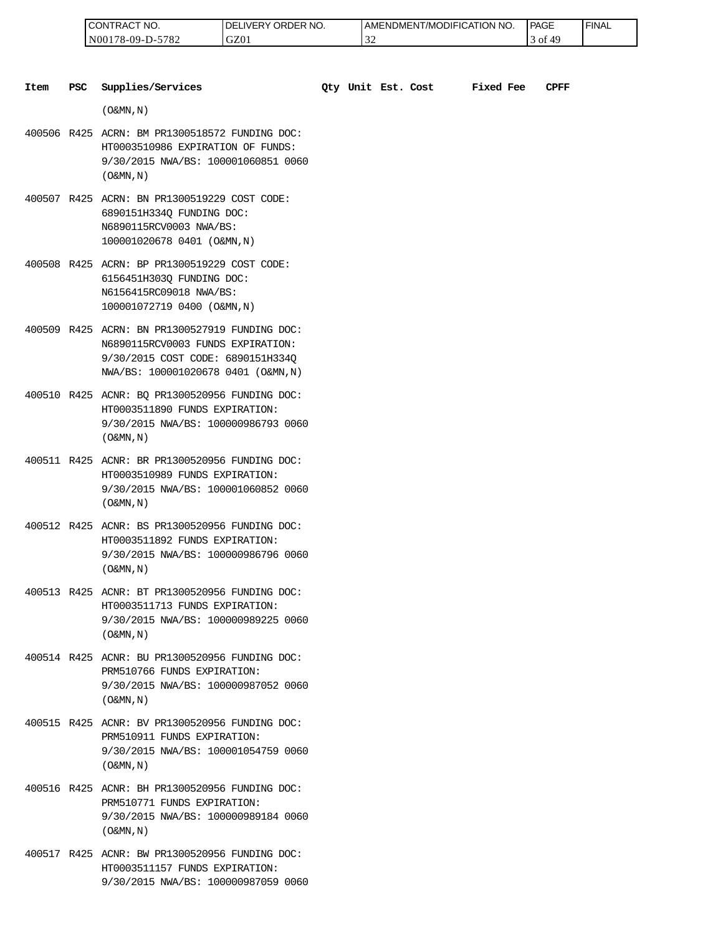| 'NO.<br>CONTRAC <sub>1</sub> | ORDER NO.<br>DE<br>LIVERY. | <b>I AMENDMENT/MODIFICATION I</b><br>I NO. | <b>PAGE</b> | 'FINAL |
|------------------------------|----------------------------|--------------------------------------------|-------------|--------|
| -5782<br>$NO0178-09-D-2$     | GZ01                       | $\sim$<br>◡                                | 49<br>ΟĪ    |        |

| Item | <b>PSC</b> | Supplies/Services                                                                                                                                               |  | Qty Unit Est. Cost | <b>Fixed Fee</b> | <b>CPFF</b> |
|------|------------|-----------------------------------------------------------------------------------------------------------------------------------------------------------------|--|--------------------|------------------|-------------|
|      |            | $($ O&MN, N)                                                                                                                                                    |  |                    |                  |             |
|      |            | 400506 R425 ACRN: BM PR1300518572 FUNDING DOC:<br>HT0003510986 EXPIRATION OF FUNDS:<br>9/30/2015 NWA/BS: 100001060851 0060<br>$($ O&MN, $N$ $)$                 |  |                    |                  |             |
|      |            | 400507 R425 ACRN: BN PR1300519229 COST CODE:<br>6890151H334Q FUNDING DOC:<br>N6890115RCV0003 NWA/BS:<br>100001020678 0401 (O&MN, N)                             |  |                    |                  |             |
|      |            | 400508 R425 ACRN: BP PR1300519229 COST CODE:<br>6156451H303Q FUNDING DOC:<br>N6156415RC09018 NWA/BS:<br>100001072719 0400 (O&MN, N)                             |  |                    |                  |             |
|      |            | 400509 R425 ACRN: BN PR1300527919 FUNDING DOC:<br>N6890115RCV0003 FUNDS EXPIRATION:<br>9/30/2015 COST CODE: 6890151H334Q<br>NWA/BS: 100001020678 0401 (O&MN, N) |  |                    |                  |             |
|      |            | 400510 R425 ACNR: BQ PR1300520956 FUNDING DOC:<br>HT0003511890 FUNDS EXPIRATION:<br>9/30/2015 NWA/BS: 100000986793 0060<br>$($ O&MN, $N$ $)$                    |  |                    |                  |             |
|      |            | 400511 R425 ACNR: BR PR1300520956 FUNDING DOC:<br>HT0003510989 FUNDS EXPIRATION:<br>9/30/2015 NWA/BS: 100001060852 0060<br>$($ O&MN, N)                         |  |                    |                  |             |
|      |            | 400512 R425 ACNR: BS PR1300520956 FUNDING DOC:<br>HT0003511892 FUNDS EXPIRATION:<br>9/30/2015 NWA/BS: 100000986796 0060<br>$($ O&MN, $N$ $)$                    |  |                    |                  |             |
|      |            | 400513 R425 ACNR: BT PR1300520956 FUNDING DOC:<br>HT0003511713 FUNDS EXPIRATION:<br>9/30/2015 NWA/BS: 100000989225 0060<br>$($ O&MN, N)                         |  |                    |                  |             |
|      |            | 400514 R425 ACNR: BU PR1300520956 FUNDING DOC:<br>PRM510766 FUNDS EXPIRATION:<br>9/30/2015 NWA/BS: 100000987052 0060<br>$(0\&MN, N)$                            |  |                    |                  |             |
|      |            | 400515 R425 ACNR: BV PR1300520956 FUNDING DOC:<br>PRM510911 FUNDS EXPIRATION:<br>9/30/2015 NWA/BS: 100001054759 0060<br>$($ O&MN, N)                            |  |                    |                  |             |
|      |            | 400516 R425 ACNR: BH PR1300520956 FUNDING DOC:<br>PRM510771 FUNDS EXPIRATION:<br>9/30/2015 NWA/BS: 100000989184 0060<br>$($ O&MN, N)                            |  |                    |                  |             |

400517 R425 ACNR: BW PR1300520956 FUNDING DOC: HT0003511157 FUNDS EXPIRATION: 9/30/2015 NWA/BS: 100000987059 0060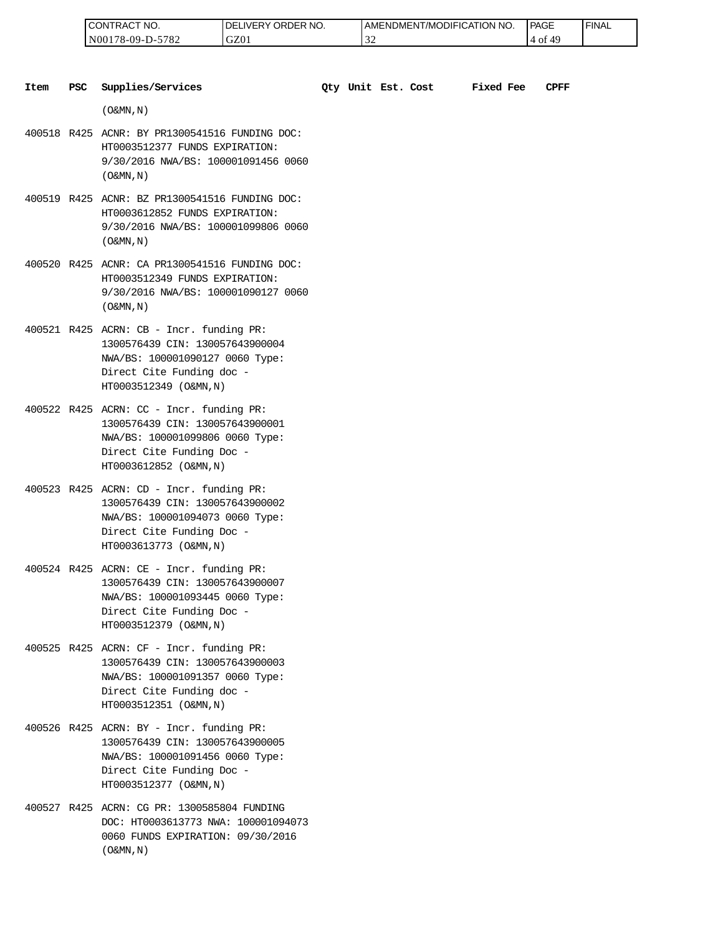| 'NO.<br>⊸∪N '<br>'I RAL              | RDER NO.<br>ר.<br>⊣ vE⊑<br>ж | <b>T/MODIFICATION NO.</b><br>AMENDMENT | <b>PAGE</b><br>____ | <b>FINAL</b> |
|--------------------------------------|------------------------------|----------------------------------------|---------------------|--------------|
| 5700<br>N00<br>′8-09-I<br>∸ ⊘ '<br>. | GZ0                          |                                        | O1<br>45            |              |

| Item | <b>PSC</b> | Supplies/Services                                                                                                                                                     | Oty Unit Est. Cost |  | Fixed Fee | CPFF |
|------|------------|-----------------------------------------------------------------------------------------------------------------------------------------------------------------------|--------------------|--|-----------|------|
|      |            | $(0\&MN,N)$                                                                                                                                                           |                    |  |           |      |
|      |            | 400518 R425 ACNR: BY PR1300541516 FUNDING DOC:<br>HT0003512377 FUNDS EXPIRATION:<br>9/30/2016 NWA/BS: 100001091456 0060<br>$($ O&MN, $\overline{N}$ )                 |                    |  |           |      |
|      |            | 400519 R425 ACNR: BZ PR1300541516 FUNDING DOC:<br>HT0003612852 FUNDS EXPIRATION:<br>9/30/2016 NWA/BS: 100001099806 0060<br>$($ O&MN, N)                               |                    |  |           |      |
|      |            | 400520 R425 ACNR: CA PR1300541516 FUNDING DOC:<br>HT0003512349 FUNDS EXPIRATION:<br>9/30/2016 NWA/BS: 100001090127 0060<br>$($ O&MN, $N$ $)$                          |                    |  |           |      |
|      |            | 400521 R425 ACRN: CB - Incr. funding PR:<br>1300576439 CIN: 130057643900004<br>NWA/BS: 100001090127 0060 Type:<br>Direct Cite Funding doc -<br>HT0003512349 (O&MN, N) |                    |  |           |      |
|      |            | 400522 R425 ACRN: CC - Incr. funding PR:<br>1300576439 CIN: 130057643900001<br>NWA/BS: 100001099806 0060 Type:<br>Direct Cite Funding Doc -<br>HT0003612852 (O&MN, N) |                    |  |           |      |
|      |            | 400523 R425 ACRN: CD - Incr. funding PR:<br>1300576439 CIN: 130057643900002<br>NWA/BS: 100001094073 0060 Type:<br>Direct Cite Funding Doc -<br>HT0003613773 (O&MN, N) |                    |  |           |      |
|      |            | 400524 R425 ACRN: CE - Incr. funding PR:<br>1300576439 CIN: 130057643900007<br>NWA/BS: 100001093445 0060 Type:<br>Direct Cite Funding Doc -<br>HT0003512379 (O&MN, N) |                    |  |           |      |
|      |            | 400525 R425 ACRN: CF - Incr. funding PR:<br>1300576439 CIN: 130057643900003<br>NWA/BS: 100001091357 0060 Type:<br>Direct Cite Funding doc -<br>HT0003512351 (O&MN, N) |                    |  |           |      |
|      |            | 400526 R425 ACRN: BY - Incr. funding PR:<br>1300576439 CIN: 130057643900005<br>NWA/BS: 100001091456 0060 Type:<br>Direct Cite Funding Doc -<br>HT0003512377 (O&MN, N) |                    |  |           |      |
|      |            | 400527 R425 ACRN: CG PR: 1300585804 FUNDING<br>DOC: HT0003613773 NWA: 100001094073<br>0060 FUNDS EXPIRATION: 09/30/2016                                               |                    |  |           |      |

 $($  O&MN , N  $)$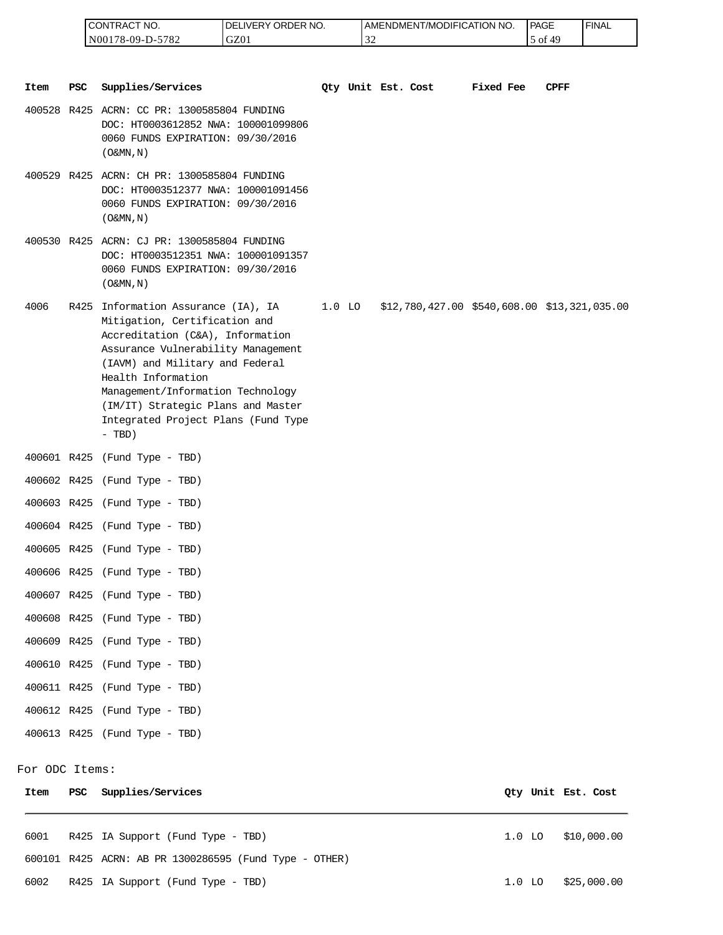| <b>CONTRACT NO.</b> | LIVERY ORDER NO.<br>I DE. | <b>I AMENDMENT/MODIFICATION</b><br>NO. | <sup>1</sup> PAGE | ' FINAL |
|---------------------|---------------------------|----------------------------------------|-------------------|---------|
| N00178-09-D-5782    | GZ01                      | $\sim$                                 | - O<br>ДΩ         |         |

| Item           | PSC | Supplies/Services                                                                                                                                                                                                                                                                                                                     |          | Qty Unit Est. Cost | Fixed Fee | <b>CPFF</b>                                     |
|----------------|-----|---------------------------------------------------------------------------------------------------------------------------------------------------------------------------------------------------------------------------------------------------------------------------------------------------------------------------------------|----------|--------------------|-----------|-------------------------------------------------|
|                |     | 400528 R425 ACRN: CC PR: 1300585804 FUNDING<br>DOC: HT0003612852 NWA: 100001099806<br>0060 FUNDS EXPIRATION: 09/30/2016<br>$($ O&MN, $N$ $)$                                                                                                                                                                                          |          |                    |           |                                                 |
|                |     | 400529 R425 ACRN: CH PR: 1300585804 FUNDING<br>DOC: HT0003512377 NWA: 100001091456<br>0060 FUNDS EXPIRATION: 09/30/2016<br>$($ O&MN, $N$ $)$                                                                                                                                                                                          |          |                    |           |                                                 |
|                |     | 400530 R425 ACRN: CJ PR: 1300585804 FUNDING<br>DOC: HT0003512351 NWA: 100001091357<br>0060 FUNDS EXPIRATION: 09/30/2016<br>$($ O&MN, $N$ $)$                                                                                                                                                                                          |          |                    |           |                                                 |
| 4006           |     | R425 Information Assurance (IA), IA<br>Mitigation, Certification and<br>Accreditation (C&A), Information<br>Assurance Vulnerability Management<br>(IAVM) and Military and Federal<br>Health Information<br>Management/Information Technology<br>(IM/IT) Strategic Plans and Master<br>Integrated Project Plans (Fund Type<br>$- TBD)$ | $1.0$ LO |                    |           | $$12,780,427.00$ $$540,608.00$ $$13,321,035.00$ |
|                |     | 400601 R425 (Fund Type - TBD)                                                                                                                                                                                                                                                                                                         |          |                    |           |                                                 |
|                |     | 400602 R425 (Fund Type - TBD)                                                                                                                                                                                                                                                                                                         |          |                    |           |                                                 |
|                |     | 400603 R425 (Fund Type - TBD)                                                                                                                                                                                                                                                                                                         |          |                    |           |                                                 |
|                |     | 400604 R425 (Fund Type - TBD)                                                                                                                                                                                                                                                                                                         |          |                    |           |                                                 |
|                |     | 400605 R425 (Fund Type - TBD)                                                                                                                                                                                                                                                                                                         |          |                    |           |                                                 |
|                |     | 400606 R425 (Fund Type - TBD)                                                                                                                                                                                                                                                                                                         |          |                    |           |                                                 |
|                |     | 400607 R425 (Fund Type - TBD)                                                                                                                                                                                                                                                                                                         |          |                    |           |                                                 |
|                |     | 400608 R425 (Fund Type - TBD)                                                                                                                                                                                                                                                                                                         |          |                    |           |                                                 |
|                |     | 400609 R425 (Fund Type - TBD)                                                                                                                                                                                                                                                                                                         |          |                    |           |                                                 |
|                |     | 400610 R425 (Fund Type - TBD)                                                                                                                                                                                                                                                                                                         |          |                    |           |                                                 |
|                |     | 400611 R425 (Fund Type - TBD)                                                                                                                                                                                                                                                                                                         |          |                    |           |                                                 |
|                |     | 400612 R425 (Fund Type - TBD)                                                                                                                                                                                                                                                                                                         |          |                    |           |                                                 |
|                |     | 400613 R425 (Fund Type - TBD)                                                                                                                                                                                                                                                                                                         |          |                    |           |                                                 |
| For ODC Items: |     |                                                                                                                                                                                                                                                                                                                                       |          |                    |           |                                                 |
| Item           | PSC | Supplies/Services                                                                                                                                                                                                                                                                                                                     |          |                    |           | Qty Unit Est. Cost                              |
|                |     |                                                                                                                                                                                                                                                                                                                                       |          |                    |           |                                                 |

6001 R425 IA Support (Fund Type - TBD) 1.0 LO \$10,000.00 600101 R425 ACRN: AB PR 1300286595 (Fund Type - OTHER) 6002 R425 IA Support (Fund Type - TBD) 1.0 LO \$25,000.00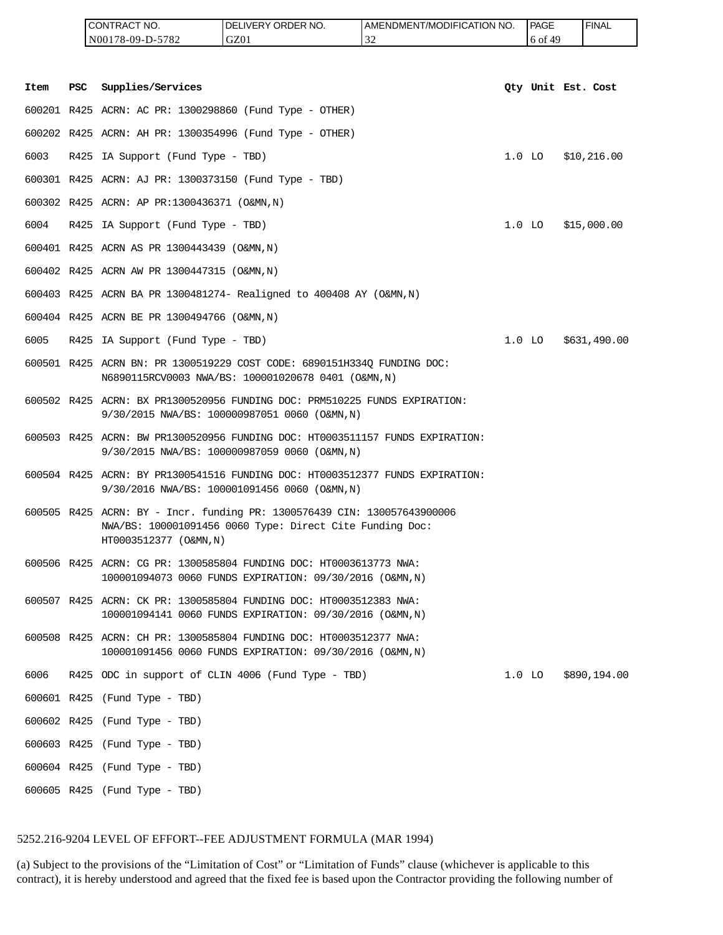|      |            | CONTRACT NO.<br>N00178-09-D-5782                      | DELIVERY ORDER NO.<br>GZ01                                                                                                           | AMENDMENT/MODIFICATION NO.<br>32 | <b>PAGE</b><br>6 of 49 | <b>FINAL</b>       |
|------|------------|-------------------------------------------------------|--------------------------------------------------------------------------------------------------------------------------------------|----------------------------------|------------------------|--------------------|
|      |            |                                                       |                                                                                                                                      |                                  |                        |                    |
| Item | <b>PSC</b> | Supplies/Services                                     |                                                                                                                                      |                                  |                        | Qty Unit Est. Cost |
|      |            |                                                       | 600201 R425 ACRN: AC PR: 1300298860 (Fund Type - OTHER)                                                                              |                                  |                        |                    |
|      |            |                                                       | 600202 R425 ACRN: AH PR: 1300354996 (Fund Type - OTHER)                                                                              |                                  |                        |                    |
| 6003 |            | R425 IA Support (Fund Type - TBD)                     |                                                                                                                                      |                                  | $1.0$ LO               | \$10,216.00        |
|      |            | 600301 R425 ACRN: AJ PR: 1300373150 (Fund Type - TBD) |                                                                                                                                      |                                  |                        |                    |
|      |            | 600302 R425 ACRN: AP PR:1300436371 (O&MN,N)           |                                                                                                                                      |                                  |                        |                    |
| 6004 |            | R425 IA Support (Fund Type - TBD)                     |                                                                                                                                      |                                  | $1.0$ LO               | \$15,000.00        |
|      |            | 600401 R425 ACRN AS PR 1300443439 (O&MN, N)           |                                                                                                                                      |                                  |                        |                    |
|      |            | 600402 R425 ACRN AW PR 1300447315 (O&MN, N)           |                                                                                                                                      |                                  |                        |                    |
|      |            |                                                       | 600403 R425 ACRN BA PR 1300481274- Realigned to 400408 AY (O&MN, N)                                                                  |                                  |                        |                    |
|      |            | 600404 R425 ACRN BE PR 1300494766 (O&MN, N)           |                                                                                                                                      |                                  |                        |                    |
| 6005 |            | R425 IA Support (Fund Type - TBD)                     |                                                                                                                                      |                                  | $1.0$ LO               | \$631,490.00       |
|      |            |                                                       | 600501 R425 ACRN BN: PR 1300519229 COST CODE: 6890151H334Q FUNDING DOC:<br>N6890115RCV0003 NWA/BS: 100001020678 0401 (O&MN,N)        |                                  |                        |                    |
|      |            |                                                       | 600502 R425 ACRN: BX PR1300520956 FUNDING DOC: PRM510225 FUNDS EXPIRATION:<br>9/30/2015 NWA/BS: 100000987051 0060 (O&MN,N)           |                                  |                        |                    |
|      |            |                                                       | 600503 R425 ACRN: BW PR1300520956 FUNDING DOC: HT0003511157 FUNDS EXPIRATION:<br>9/30/2015 NWA/BS: 100000987059 0060 (O&MN,N)        |                                  |                        |                    |
|      |            |                                                       | 600504 R425 ACRN: BY PR1300541516 FUNDING DOC: HT0003512377 FUNDS EXPIRATION:<br>9/30/2016 NWA/BS: 100001091456 0060 (O&MN,N)        |                                  |                        |                    |
|      |            | HT0003512377 (O&MN, N)                                | 600505 R425 ACRN: BY - Incr. funding PR: 1300576439 CIN: 130057643900006<br>NWA/BS: 100001091456 0060 Type: Direct Cite Funding Doc: |                                  |                        |                    |
|      |            |                                                       | 600506 R425 ACRN: CG PR: 1300585804 FUNDING DOC: HT0003613773 NWA:<br>100001094073 0060 FUNDS EXPIRATION: 09/30/2016 (O&MN,N)        |                                  |                        |                    |
|      |            |                                                       | 600507 R425 ACRN: CK PR: 1300585804 FUNDING DOC: HT0003512383 NWA:<br>100001094141 0060 FUNDS EXPIRATION: 09/30/2016 (O&MN,N)        |                                  |                        |                    |
|      |            |                                                       | 600508 R425 ACRN: CH PR: 1300585804 FUNDING DOC: HT0003512377 NWA:<br>100001091456 0060 FUNDS EXPIRATION: 09/30/2016 (O&MN,N)        |                                  |                        |                    |
| 6006 |            |                                                       | R425 ODC in support of CLIN 4006 (Fund Type - TBD)                                                                                   |                                  | $1.0$ LO               | \$890,194.00       |
|      |            | 600601 R425 (Fund Type - TBD)                         |                                                                                                                                      |                                  |                        |                    |
|      |            | 600602 R425 (Fund Type - TBD)                         |                                                                                                                                      |                                  |                        |                    |
|      |            | 600603 R425 (Fund Type - TBD)                         |                                                                                                                                      |                                  |                        |                    |
|      |            | 600604 R425 (Fund Type - TBD)                         |                                                                                                                                      |                                  |                        |                    |

600605 R425 (Fund Type - TBD)

### 5252.216-9204 LEVEL OF EFFORT--FEE ADJUSTMENT FORMULA (MAR 1994)

(a) Subject to the provisions of the "Limitation of Cost" or "Limitation of Funds" clause (whichever is applicable to this contract), it is hereby understood and agreed that the fixed fee is based upon the Contractor providing the following number of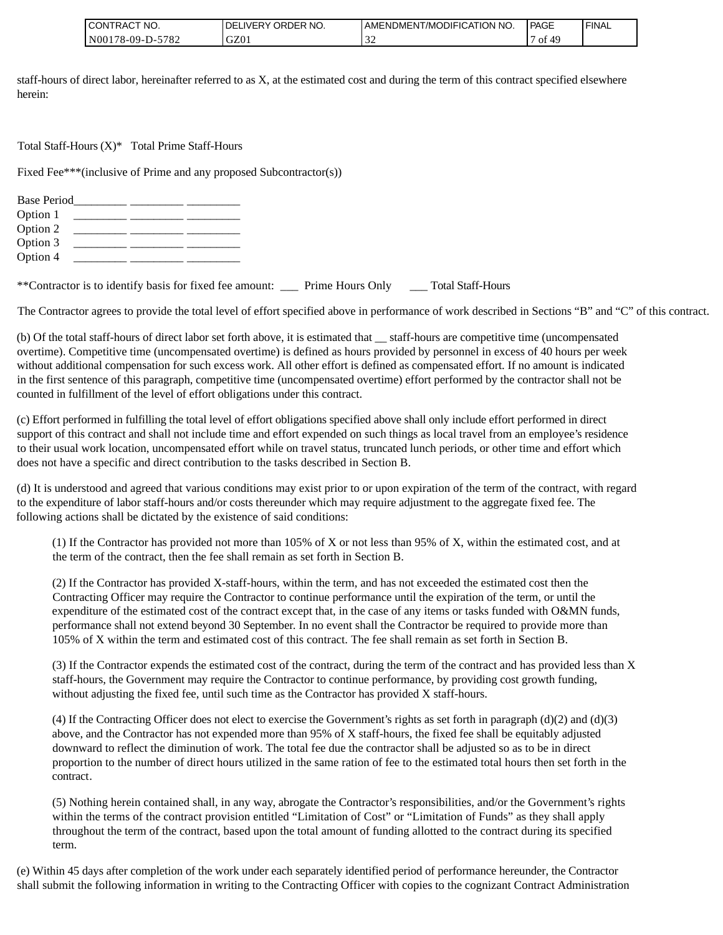| TRACT NO.<br><b>ICONT</b> | ORDER NO.<br><b>DELIVERY</b> | <b>LAMENDMENT/MODIFICATION NO.</b> | l PAGE               | ' FINAL |
|---------------------------|------------------------------|------------------------------------|----------------------|---------|
| -5782<br>N00178-09-D-5    | GZ01                         | $\sim$                             | 4 <sup>c</sup><br>of |         |

staff-hours of direct labor, hereinafter referred to as X, at the estimated cost and during the term of this contract specified elsewhere herein:

Total Staff-Hours (X)\* Total Prime Staff-Hours

Fixed Fee\*\*\*(inclusive of Prime and any proposed Subcontractor(s))

| <b>Base Period</b> |  |  |
|--------------------|--|--|
| Option 1           |  |  |
| Option 2           |  |  |
| Option 3           |  |  |
| Option 4           |  |  |

\*\*Contractor is to identify basis for fixed fee amount: \_\_\_ Prime Hours Only \_\_\_ Total Staff-Hours

The Contractor agrees to provide the total level of effort specified above in performance of work described in Sections "B" and "C" of this contract.

(b) Of the total staff-hours of direct labor set forth above, it is estimated that \_\_ staff-hours are competitive time (uncompensated overtime). Competitive time (uncompensated overtime) is defined as hours provided by personnel in excess of 40 hours per week without additional compensation for such excess work. All other effort is defined as compensated effort. If no amount is indicated in the first sentence of this paragraph, competitive time (uncompensated overtime) effort performed by the contractor shall not be counted in fulfillment of the level of effort obligations under this contract.

(c) Effort performed in fulfilling the total level of effort obligations specified above shall only include effort performed in direct support of this contract and shall not include time and effort expended on such things as local travel from an employee's residence to their usual work location, uncompensated effort while on travel status, truncated lunch periods, or other time and effort which does not have a specific and direct contribution to the tasks described in Section B.

(d) It is understood and agreed that various conditions may exist prior to or upon expiration of the term of the contract, with regard to the expenditure of labor staff-hours and/or costs thereunder which may require adjustment to the aggregate fixed fee. The following actions shall be dictated by the existence of said conditions:

(1) If the Contractor has provided not more than 105% of X or not less than 95% of X, within the estimated cost, and at the term of the contract, then the fee shall remain as set forth in Section B.

(2) If the Contractor has provided X-staff-hours, within the term, and has not exceeded the estimated cost then the Contracting Officer may require the Contractor to continue performance until the expiration of the term, or until the expenditure of the estimated cost of the contract except that, in the case of any items or tasks funded with O&MN funds, performance shall not extend beyond 30 September. In no event shall the Contractor be required to provide more than 105% of X within the term and estimated cost of this contract. The fee shall remain as set forth in Section B.

(3) If the Contractor expends the estimated cost of the contract, during the term of the contract and has provided less than X staff-hours, the Government may require the Contractor to continue performance, by providing cost growth funding, without adjusting the fixed fee, until such time as the Contractor has provided X staff-hours.

(4) If the Contracting Officer does not elect to exercise the Government's rights as set forth in paragraph  $(d)(2)$  and  $(d)(3)$ above, and the Contractor has not expended more than 95% of X staff-hours, the fixed fee shall be equitably adjusted downward to reflect the diminution of work. The total fee due the contractor shall be adjusted so as to be in direct proportion to the number of direct hours utilized in the same ration of fee to the estimated total hours then set forth in the contract.

(5) Nothing herein contained shall, in any way, abrogate the Contractor's responsibilities, and/or the Government's rights within the terms of the contract provision entitled "Limitation of Cost" or "Limitation of Funds" as they shall apply throughout the term of the contract, based upon the total amount of funding allotted to the contract during its specified term.

(e) Within 45 days after completion of the work under each separately identified period of performance hereunder, the Contractor shall submit the following information in writing to the Contracting Officer with copies to the cognizant Contract Administration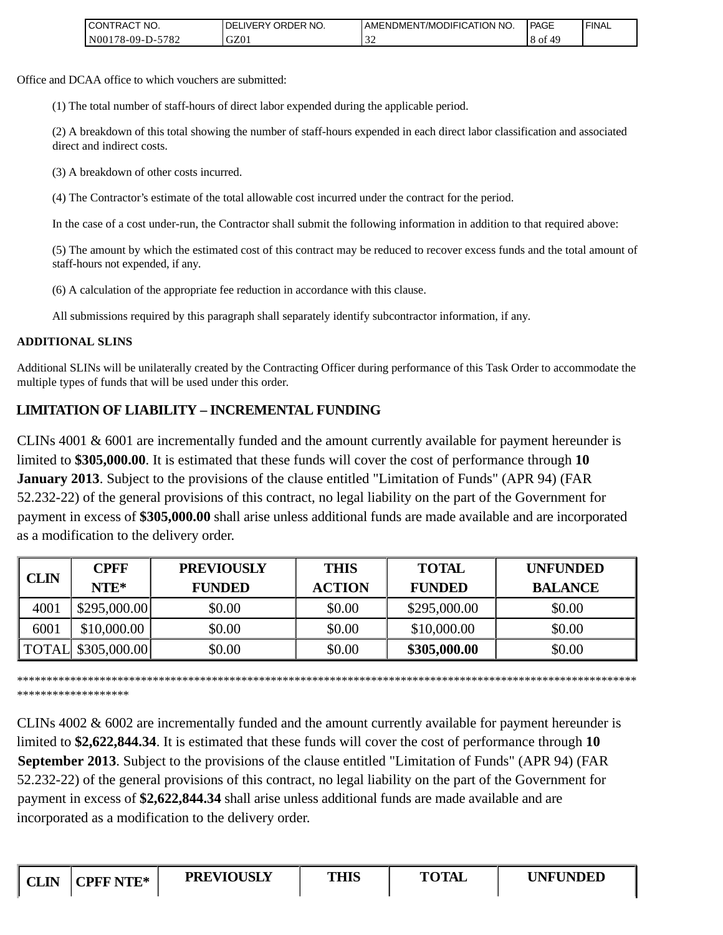| <b>CONTRACT NO.</b>                           | NO.<br>' ORDER<br><b>DELIVERY</b> | I AMENDMENT/MODIFICATION NO. | PAGE     | ' FINAL |
|-----------------------------------------------|-----------------------------------|------------------------------|----------|---------|
| 5782<br>N <sub>00</sub> 1<br>′8-09-I<br>ـ د ۱ | GZ01                              | - - -                        | ΟĪ<br>49 |         |

Office and DCAA office to which vouchers are submitted:

(1) The total number of staff-hours of direct labor expended during the applicable period.

(2) A breakdown of this total showing the number of staff-hours expended in each direct labor classification and associated direct and indirect costs.

(3) A breakdown of other costs incurred.

(4) The Contractor's estimate of the total allowable cost incurred under the contract for the period.

In the case of a cost under-run, the Contractor shall submit the following information in addition to that required above:

(5) The amount by which the estimated cost of this contract may be reduced to recover excess funds and the total amount of staff-hours not expended, if any.

(6) A calculation of the appropriate fee reduction in accordance with this clause.

All submissions required by this paragraph shall separately identify subcontractor information, if any.

### **ADDITIONAL SLINS**

Additional SLINs will be unilaterally created by the Contracting Officer during performance of this Task Order to accommodate the multiple types of funds that will be used under this order.

# **LIMITATION OF LIABILITY – INCREMENTAL FUNDING**

CLINs 4001 & 6001 are incrementally funded and the amount currently available for payment hereunder is limited to **\$305,000.00**. It is estimated that these funds will cover the cost of performance through **10 January 2013**. Subject to the provisions of the clause entitled "Limitation of Funds" (APR 94) (FAR 52.232-22) of the general provisions of this contract, no legal liability on the part of the Government for payment in excess of **\$305,000.00** shall arise unless additional funds are made available and are incorporated as a modification to the delivery order.

|             | <b>CPFF</b>         | <b>PREVIOUSLY</b> | <b>THIS</b>   | <b>TOTAL</b>  | <b>UNFUNDED</b> |
|-------------|---------------------|-------------------|---------------|---------------|-----------------|
| <b>CLIN</b> | $NTE*$              | <b>FUNDED</b>     | <b>ACTION</b> | <b>FUNDED</b> | <b>BALANCE</b>  |
| 4001        | \$295,000.00]       | \$0.00            | \$0.00        | \$295,000.00  | \$0.00          |
| 6001        | \$10,000.00         | \$0.00            | \$0.00        | \$10,000.00   | \$0.00          |
|             | TOTAL \\$305,000.00 | \$0.00            | \$0.00        | \$305,000.00  | \$0.00          |

\*\*\*\*\*\*\*\*\*\*\*\*\*\*\*\*\*\*\*\*\*\*\*\*\*\*\*\*\*\*\*\*\*\*\*\*\*\*\*\*\*\*\*\*\*\*\*\*\*\*\*\*\*\*\*\*\*\*\*\*\*\*\*\*\*\*\*\*\*\*\*\*\*\*\*\*\*\*\*\*\*\*\*\*\*\*\*\*\*\*\*\*\*\*\*\*\*\*\*\*\*\*\*\*\* \*\*\*\*\*\*\*\*\*\*\*\*\*\*\*\*\*\*\*

CLINs 4002 & 6002 are incrementally funded and the amount currently available for payment hereunder is limited to **\$2,622,844.34**. It is estimated that these funds will cover the cost of performance through **10 September 2013**. Subject to the provisions of the clause entitled "Limitation of Funds" (APR 94) (FAR 52.232-22) of the general provisions of this contract, no legal liability on the part of the Government for payment in excess of **\$2,622,844.34** shall arise unless additional funds are made available and are incorporated as a modification to the delivery order.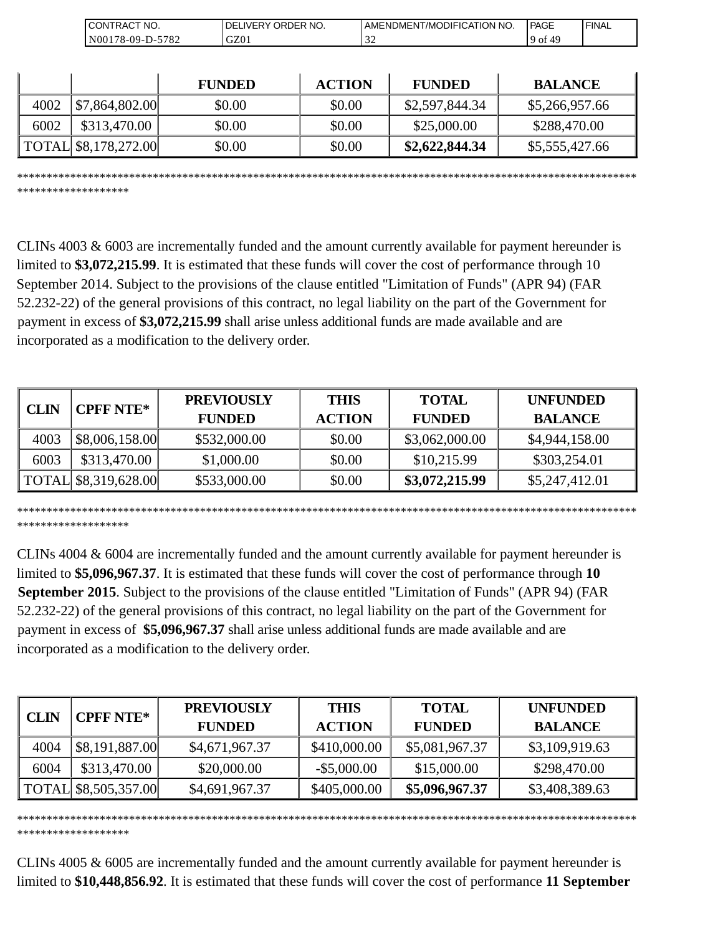| 'NO.<br>∕ONTRACT                             | NO.<br><b>ORDER</b><br>_IVERY_<br>DF | ' NO<br><b>DMENT/MODIFICATION'</b><br>AMEND | <b>PAGE</b> | ' FINAL |
|----------------------------------------------|--------------------------------------|---------------------------------------------|-------------|---------|
| 570 <sup>o</sup><br>'8-09-D-.<br>N(0)<br>104 | GZ01                                 |                                             | Οİ          |         |

|      |                               | <b>FUNDED</b> | <b>ACTION</b> | <b>FUNDED</b>  | <b>BALANCE</b> |
|------|-------------------------------|---------------|---------------|----------------|----------------|
| 4002 | \$7,864,802.00                | \$0.00        | \$0.00        | \$2,597,844.34 | \$5,266,957.66 |
| 6002 | \$313,470.00                  | \$0.00        | \$0.00        | \$25,000.00    | \$288,470.00   |
|      | $\vert$ TOTAL \\$8,178,272.00 | \$0.00        | \$0.00        | \$2,622,844.34 | \$5,555,427.66 |

\*\*\*\*\*\*\*\*\*\*\*\*\*\*\*\*\*\*\*\*\*\*\*\*\*\*\*\*\*\*\*\*\*\*\*\*\*\*\*\*\*\*\*\*\*\*\*\*\*\*\*\*\*\*\*\*\*\*\*\*\*\*\*\*\*\*\*\*\*\*\*\*\*\*\*\*\*\*\*\*\*\*\*\*\*\*\*\*\*\*\*\*\*\*\*\*\*\*\*\*\*\*\*\*\* \*\*\*\*\*\*\*\*\*\*\*\*\*\*\*\*\*\*\*

CLINs 4003 & 6003 are incrementally funded and the amount currently available for payment hereunder is limited to **\$3,072,215.99**. It is estimated that these funds will cover the cost of performance through 10 September 2014. Subject to the provisions of the clause entitled "Limitation of Funds" (APR 94) (FAR 52.232-22) of the general provisions of this contract, no legal liability on the part of the Government for payment in excess of **\$3,072,215.99** shall arise unless additional funds are made available and are incorporated as a modification to the delivery order.

| <b>CPFF NTE*</b><br><b>CLIN</b> |                               | <b>PREVIOUSLY</b> | <b>THIS</b>   | <b>TOTAL</b>   | <b>UNFUNDED</b> |
|---------------------------------|-------------------------------|-------------------|---------------|----------------|-----------------|
|                                 |                               | <b>FUNDED</b>     | <b>ACTION</b> | <b>FUNDED</b>  | <b>BALANCE</b>  |
| 4003                            | \$8,006,158.00                | \$532,000.00      | \$0.00        | \$3,062,000.00 | \$4,944,158.00  |
| 6003                            | \$313,470.00                  | \$1,000.00        | \$0.00        | \$10,215.99    | \$303,254.01    |
|                                 | $\vert$ TOTAL \\$8,319,628.00 | \$533,000.00      | \$0.00        | \$3,072,215.99 | \$5,247,412.01  |

\*\*\*\*\*\*\*\*\*\*\*\*\*\*\*\*\*\*\*\*\*\*\*\*\*\*\*\*\*\*\*\*\*\*\*\*\*\*\*\*\*\*\*\*\*\*\*\*\*\*\*\*\*\*\*\*\*\*\*\*\*\*\*\*\*\*\*\*\*\*\*\*\*\*\*\*\*\*\*\*\*\*\*\*\*\*\*\*\*\*\*\*\*\*\*\*\*\*\*\*\*\*\*\*\* \*\*\*\*\*\*\*\*\*\*\*\*\*\*\*\*\*\*\*

CLINs 4004 & 6004 are incrementally funded and the amount currently available for payment hereunder is limited to **\$5,096,967.37**. It is estimated that these funds will cover the cost of performance through **10 September 2015**. Subject to the provisions of the clause entitled "Limitation of Funds" (APR 94) (FAR 52.232-22) of the general provisions of this contract, no legal liability on the part of the Government for payment in excess of **\$5,096,967.37** shall arise unless additional funds are made available and are incorporated as a modification to the delivery order.

| <b>CLIN</b> | <b>CPFF NTE*</b>     | <b>PREVIOUSLY</b> | <b>THIS</b>    | <b>TOTAL</b>   | <b>UNFUNDED</b> |
|-------------|----------------------|-------------------|----------------|----------------|-----------------|
|             |                      | <b>FUNDED</b>     | <b>ACTION</b>  | <b>FUNDED</b>  | <b>BALANCE</b>  |
| 4004        | \$8,191,887.00       | \$4,671,967.37    | \$410,000.00   | \$5,081,967.37 | \$3,109,919.63  |
| 6004        | \$313,470.00         | \$20,000.00       | $-$ \$5,000.00 | \$15,000.00    | \$298,470.00    |
|             | TOTAL \$8,505,357.00 | \$4,691,967.37    | \$405,000.00   | \$5,096,967.37 | \$3,408,389.63  |

CLINs 4005 & 6005 are incrementally funded and the amount currently available for payment hereunder is limited to **\$10,448,856.92**. It is estimated that these funds will cover the cost of performance **11 September**

\*\*\*\*\*\*\*\*\*\*\*\*\*\*\*\*\*\*\*\*\*\*\*\*\*\*\*\*\*\*\*\*\*\*\*\*\*\*\*\*\*\*\*\*\*\*\*\*\*\*\*\*\*\*\*\*\*\*\*\*\*\*\*\*\*\*\*\*\*\*\*\*\*\*\*\*\*\*\*\*\*\*\*\*\*\*\*\*\*\*\*\*\*\*\*\*\*\*\*\*\*\*\*\*\*

\*\*\*\*\*\*\*\*\*\*\*\*\*\*\*\*\*\*\*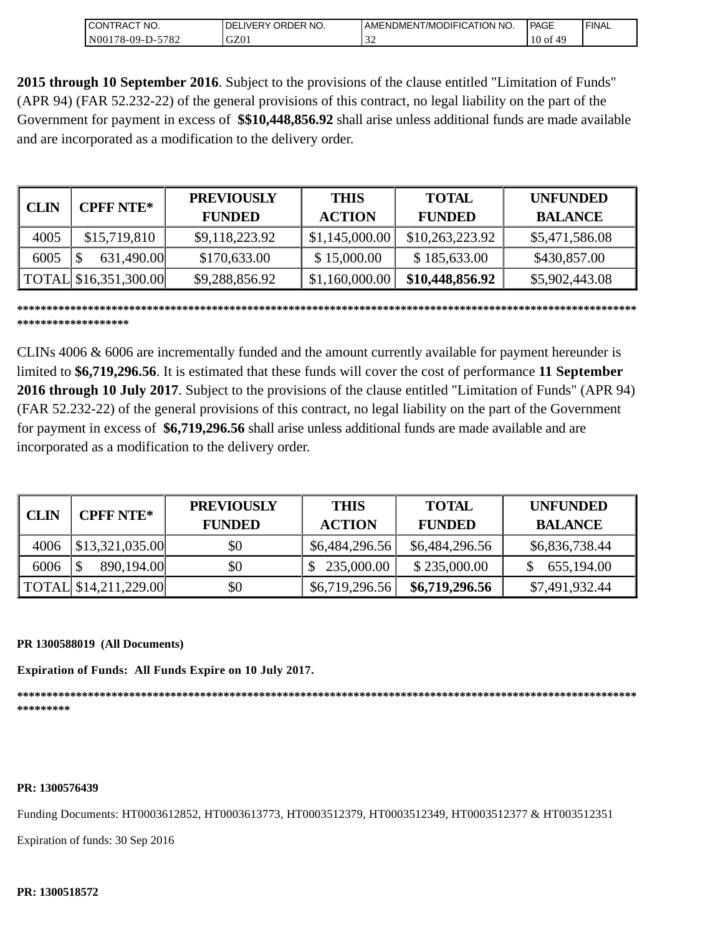| 'NO.<br>CONTRAC <sub>1</sub> | NO.<br>ORDER<br><b>IVERY</b><br>DE. | T/MODIFICATION NO.<br><b>AMENDMENT</b> | <b>PAGE</b> | 'FINAL |
|------------------------------|-------------------------------------|----------------------------------------|-------------|--------|
| 5782<br>N00178-09-D-5        | GZ01                                | $\sim$                                 | 10 of       |        |

**2015 through 10 September 2016**. Subject to the provisions of the clause entitled "Limitation of Funds" (APR 94) (FAR 52.232-22) of the general provisions of this contract, no legal liability on the part of the Government for payment in excess of **\$\$10,448,856.92** shall arise unless additional funds are made available and are incorporated as a modification to the delivery order.

| <b>CLIN</b> | <b>CPFF NTE*</b>      | <b>PREVIOUSLY</b><br><b>FUNDED</b> | <b>THIS</b><br><b>ACTION</b> | <b>TOTAL</b><br><b>FUNDED</b> | <b>UNFUNDED</b><br><b>BALANCE</b> |
|-------------|-----------------------|------------------------------------|------------------------------|-------------------------------|-----------------------------------|
| 4005        | \$15,719,810          | \$9,118,223.92                     | \$1,145,000.00               | \$10,263,223.92               | \$5,471,586.08                    |
| 6005        | 631,490.00            | \$170,633.00                       | \$15,000.00                  | \$185,633.00                  | \$430,857.00                      |
|             | TOTAL \$16,351,300.00 | \$9,288,856.92                     | \$1,160,000.00               | \$10,448,856.92               | \$5,902,443.08                    |

**\*\*\*\*\*\*\*\*\*\*\*\*\*\*\*\*\*\*\*\*\*\*\*\*\*\*\*\*\*\*\*\*\*\*\*\*\*\*\*\*\*\*\*\*\*\*\*\*\*\*\*\*\*\*\*\*\*\*\*\*\*\*\*\*\*\*\*\*\*\*\*\*\*\*\*\*\*\*\*\*\*\*\*\*\*\*\*\*\*\*\*\*\*\*\*\*\*\*\*\*\*\*\*\*\* \*\*\*\*\*\*\*\*\*\*\*\*\*\*\*\*\*\*\***

CLINs 4006 & 6006 are incrementally funded and the amount currently available for payment hereunder is limited to **\$6,719,296.56**. It is estimated that these funds will cover the cost of performance **11 September 2016 through 10 July 2017**. Subject to the provisions of the clause entitled "Limitation of Funds" (APR 94) (FAR 52.232-22) of the general provisions of this contract, no legal liability on the part of the Government for payment in excess of **\$6,719,296.56** shall arise unless additional funds are made available and are incorporated as a modification to the delivery order.

| <b>CLIN</b> | CPFF NTE*               | <b>PREVIOUSLY</b> | <b>THIS</b>    | <b>TOTAL</b>   | <b>UNFUNDED</b> |
|-------------|-------------------------|-------------------|----------------|----------------|-----------------|
|             |                         | <b>FUNDED</b>     | <b>ACTION</b>  | <b>FUNDED</b>  | <b>BALANCE</b>  |
| 4006        | \$13,321,035.00         | \$0               | \$6,484,296.56 | \$6,484,296.56 | \$6,836,738.44  |
| 6006        | 890,194.00              | \$0               | 235,000.00     | \$235,000.00   | 655,194.00      |
|             | [TOTAL \$14,211,229.00] | \$0               | \$6,719,296.56 | \$6,719,296.56 | \$7,491,932.44  |

### **PR 1300588019 (All Documents)**

**Expiration of Funds: All Funds Expire on 10 July 2017.**

**\*\*\*\*\*\*\*\*\*\*\*\*\*\*\*\*\*\*\*\*\*\*\*\*\*\*\*\*\*\*\*\*\*\*\*\*\*\*\*\*\*\*\*\*\*\*\*\*\*\*\*\*\*\*\*\*\*\*\*\*\*\*\*\*\*\*\*\*\*\*\*\*\*\*\*\*\*\*\*\*\*\*\*\*\*\*\*\*\*\*\*\*\*\*\*\*\*\*\*\*\*\*\*\*\* \*\*\*\*\*\*\*\*\***

### **PR: 1300576439**

Funding Documents: HT0003612852, HT0003613773, HT0003512379, HT0003512349, HT0003512377 & HT003512351

Expiration of funds: 30 Sep 2016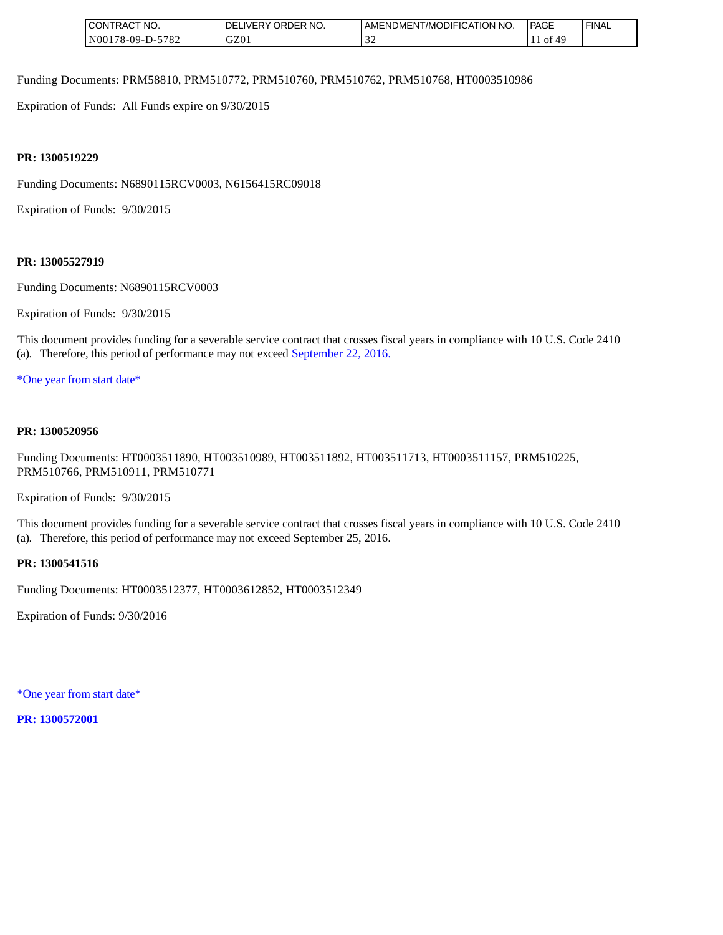| NO.<br>JON'<br>RAC                         | ORDER NO.<br>DΕ<br>177FR | MODIFICATION<br>NO.<br><b>AMENDMENT</b><br>. <sub>L/MC</sub> v | PAGE | 'FINAL |
|--------------------------------------------|--------------------------|----------------------------------------------------------------|------|--------|
| 5700<br>N001<br>$.8 - 09 - D - 57$<br>0۷ ا | GZ01                     |                                                                | 0Ī   |        |

Funding Documents: PRM58810, PRM510772, PRM510760, PRM510762, PRM510768, HT0003510986

Expiration of Funds: All Funds expire on 9/30/2015

### **PR: 1300519229**

Funding Documents: N6890115RCV0003, N6156415RC09018

Expiration of Funds: 9/30/2015

#### **PR: 13005527919**

Funding Documents: N6890115RCV0003

Expiration of Funds: 9/30/2015

This document provides funding for a severable service contract that crosses fiscal years in compliance with 10 U.S. Code 2410 (a). Therefore, this period of performance may not exceed September 22, 2016.

\*One year from start date\*

#### **PR: 1300520956**

Funding Documents: HT0003511890, HT003510989, HT003511892, HT003511713, HT0003511157, PRM510225, PRM510766, PRM510911, PRM510771

Expiration of Funds: 9/30/2015

This document provides funding for a severable service contract that crosses fiscal years in compliance with 10 U.S. Code 2410 (a). Therefore, this period of performance may not exceed September 25, 2016.

#### **PR: 1300541516**

Funding Documents: HT0003512377, HT0003612852, HT0003512349

Expiration of Funds: 9/30/2016

\*One year from start date\*

**PR: 1300572001**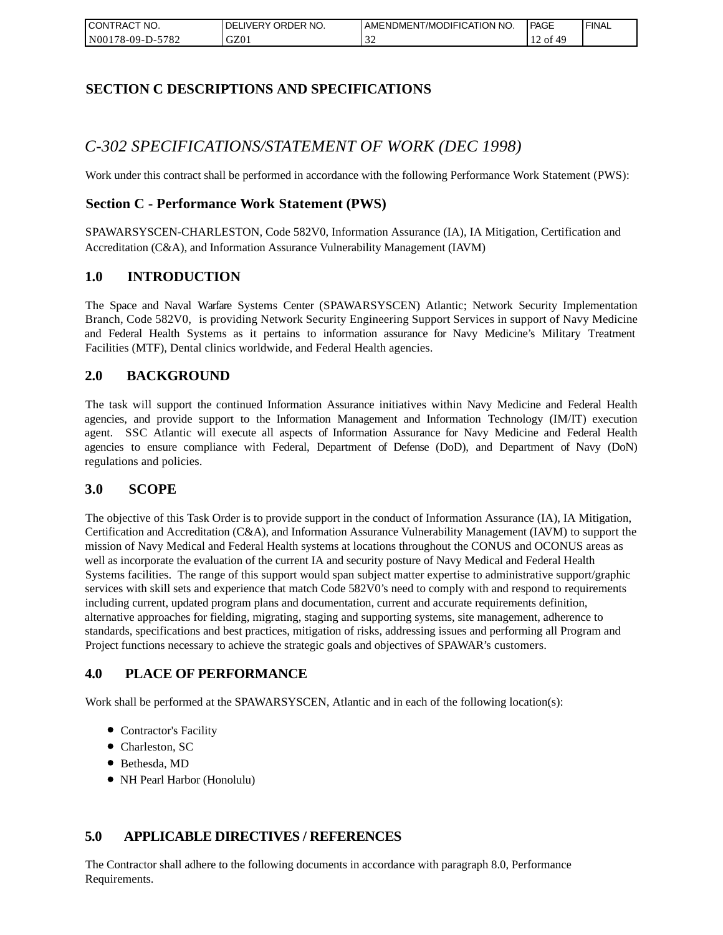| I CONTRACT NO.   | `NO.<br>DELIVERY ORDER | AMENDMENT/MODIFICATION NO. | <b>PAGE</b> | ' FINAL |
|------------------|------------------------|----------------------------|-------------|---------|
| N00178-09-D-5782 | GZ01                   | - - -                      | 49<br>- of  |         |

## **SECTION C DESCRIPTIONS AND SPECIFICATIONS**

# *C-302 SPECIFICATIONS/STATEMENT OF WORK (DEC 1998)*

Work under this contract shall be performed in accordance with the following Performance Work Statement (PWS):

## **Section C - Performance Work Statement (PWS)**

SPAWARSYSCEN-CHARLESTON, Code 582V0, Information Assurance (IA), IA Mitigation, Certification and Accreditation (C&A), and Information Assurance Vulnerability Management (IAVM)

### **1.0 INTRODUCTION**

The Space and Naval Warfare Systems Center (SPAWARSYSCEN) Atlantic; Network Security Implementation Branch, Code 582V0, is providing Network Security Engineering Support Services in support of Navy Medicine and Federal Health Systems as it pertains to information assurance for Navy Medicine's Military Treatment Facilities (MTF), Dental clinics worldwide, and Federal Health agencies.

## **2.0 BACKGROUND**

The task will support the continued Information Assurance initiatives within Navy Medicine and Federal Health agencies, and provide support to the Information Management and Information Technology (IM/IT) execution agent. SSC Atlantic will execute all aspects of Information Assurance for Navy Medicine and Federal Health agencies to ensure compliance with Federal, Department of Defense (DoD), and Department of Navy (DoN) regulations and policies.

### **3.0 SCOPE**

The objective of this Task Order is to provide support in the conduct of Information Assurance (IA), IA Mitigation, Certification and Accreditation (C&A), and Information Assurance Vulnerability Management (IAVM) to support the mission of Navy Medical and Federal Health systems at locations throughout the CONUS and OCONUS areas as well as incorporate the evaluation of the current IA and security posture of Navy Medical and Federal Health Systems facilities. The range of this support would span subject matter expertise to administrative support/graphic services with skill sets and experience that match Code 582V0's need to comply with and respond to requirements including current, updated program plans and documentation, current and accurate requirements definition, alternative approaches for fielding, migrating, staging and supporting systems, site management, adherence to standards, specifications and best practices, mitigation of risks, addressing issues and performing all Program and Project functions necessary to achieve the strategic goals and objectives of SPAWAR's customers.

## **4.0 PLACE OF PERFORMANCE**

Work shall be performed at the SPAWARSYSCEN, Atlantic and in each of the following location(s):

- Contractor's Facility
- Charleston, SC
- Bethesda, MD
- NH Pearl Harbor (Honolulu)

## **5.0 APPLICABLE DIRECTIVES / REFERENCES**

The Contractor shall adhere to the following documents in accordance with paragraph 8.0, Performance Requirements.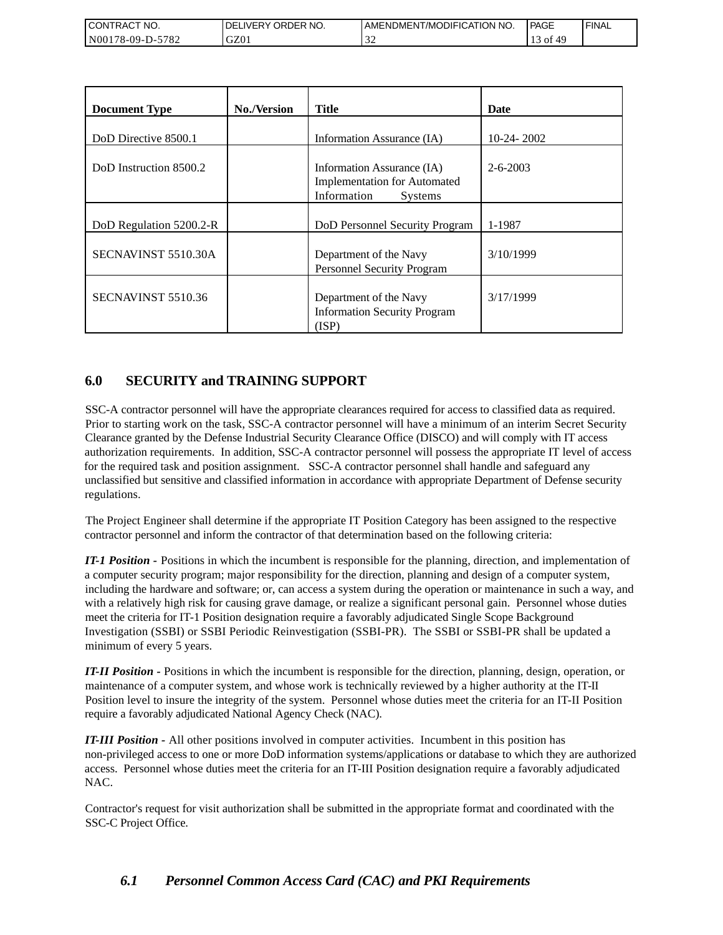| <b>I CONTRACT NO.</b>     | DELIVERY ORDER NO. | AMENDMENT/MODIFICATION NO. | <b>PAGE</b> | ' FINAL |
|---------------------------|--------------------|----------------------------|-------------|---------|
| 5782<br>N001<br>78-09-D-. | GZ01               | -22                        | - of        |         |

| <b>Document Type</b>    | <b>No./Version</b> | <b>Title</b>                                                                                       | Date           |
|-------------------------|--------------------|----------------------------------------------------------------------------------------------------|----------------|
| DoD Directive 8500.1    |                    | Information Assurance (IA)                                                                         | $10-24-2002$   |
| DoD Instruction 8500.2  |                    | Information Assurance (IA)<br><b>Implementation for Automated</b><br>Information<br><b>Systems</b> | $2 - 6 - 2003$ |
| DoD Regulation 5200.2-R |                    | DoD Personnel Security Program                                                                     | 1-1987         |
| SECNAVINST 5510.30A     |                    | Department of the Navy<br>Personnel Security Program                                               | 3/10/1999      |
| SECNAVINST 5510.36      |                    | Department of the Navy<br><b>Information Security Program</b><br>(ISP)                             | 3/17/1999      |

# **6.0 SECURITY and TRAINING SUPPORT**

SSC-A contractor personnel will have the appropriate clearances required for access to classified data as required. Prior to starting work on the task, SSC-A contractor personnel will have a minimum of an interim Secret Security Clearance granted by the Defense Industrial Security Clearance Office (DISCO) and will comply with IT access authorization requirements. In addition, SSC-A contractor personnel will possess the appropriate IT level of access for the required task and position assignment. SSC-A contractor personnel shall handle and safeguard any unclassified but sensitive and classified information in accordance with appropriate Department of Defense security regulations.

The Project Engineer shall determine if the appropriate IT Position Category has been assigned to the respective contractor personnel and inform the contractor of that determination based on the following criteria:

*IT-1 Position -* Positions in which the incumbent is responsible for the planning, direction, and implementation of a computer security program; major responsibility for the direction, planning and design of a computer system, including the hardware and software; or, can access a system during the operation or maintenance in such a way, and with a relatively high risk for causing grave damage, or realize a significant personal gain. Personnel whose duties meet the criteria for IT-1 Position designation require a favorably adjudicated Single Scope Background Investigation (SSBI) or SSBI Periodic Reinvestigation (SSBI-PR). The SSBI or SSBI-PR shall be updated a minimum of every 5 years.

*IT-II Position -* Positions in which the incumbent is responsible for the direction, planning, design, operation, or maintenance of a computer system, and whose work is technically reviewed by a higher authority at the IT-II Position level to insure the integrity of the system. Personnel whose duties meet the criteria for an IT-II Position require a favorably adjudicated National Agency Check (NAC).

*IT-III Position -* All other positions involved in computer activities. Incumbent in this position has non-privileged access to one or more DoD information systems/applications or database to which they are authorized access. Personnel whose duties meet the criteria for an IT-III Position designation require a favorably adjudicated NAC.

Contractor's request for visit authorization shall be submitted in the appropriate format and coordinated with the SSC-C Project Office.

# *6.1 Personnel Common Access Card (CAC) and PKI Requirements*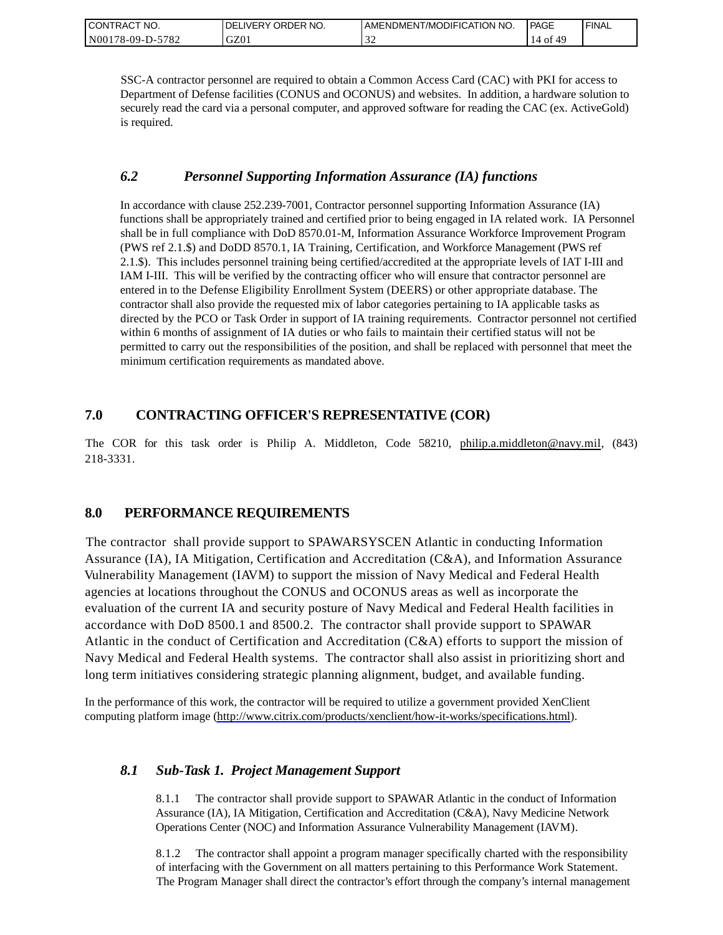| CONTRACT NO.     | ORDER NO.<br><b>DELIVERY</b> | I AMENDMENT/MODIFICATION NO. | PAGE  | ' FINAL |
|------------------|------------------------------|------------------------------|-------|---------|
| N00178-09-D-5782 | GZ01                         | $\sim$                       | 14 of |         |

SSC-A contractor personnel are required to obtain a Common Access Card (CAC) with PKI for access to Department of Defense facilities (CONUS and OCONUS) and websites. In addition, a hardware solution to securely read the card via a personal computer, and approved software for reading the CAC (ex. ActiveGold) is required.

## *6.2 Personnel Supporting Information Assurance (IA) functions*

In accordance with clause 252.239-7001, Contractor personnel supporting Information Assurance (IA) functions shall be appropriately trained and certified prior to being engaged in IA related work. IA Personnel shall be in full compliance with DoD 8570.01-M, Information Assurance Workforce Improvement Program (PWS ref 2.1.\$) and DoDD 8570.1, IA Training, Certification, and Workforce Management (PWS ref 2.1.\$). This includes personnel training being certified/accredited at the appropriate levels of IAT I-III and IAM I-III. This will be verified by the contracting officer who will ensure that contractor personnel are entered in to the Defense Eligibility Enrollment System (DEERS) or other appropriate database. The contractor shall also provide the requested mix of labor categories pertaining to IA applicable tasks as directed by the PCO or Task Order in support of IA training requirements. Contractor personnel not certified within 6 months of assignment of IA duties or who fails to maintain their certified status will not be permitted to carry out the responsibilities of the position, and shall be replaced with personnel that meet the minimum certification requirements as mandated above.

## **7.0 CONTRACTING OFFICER'S REPRESENTATIVE (COR)**

The COR for this task order is Philip A. Middleton, Code 58210, [philip.a.middleton@navy.mil,](mailto:cphilip.a.middleton@navy.mil) (843) 218-3331.

## **8.0 PERFORMANCE REQUIREMENTS**

The contractor shall provide support to SPAWARSYSCEN Atlantic in conducting Information Assurance (IA), IA Mitigation, Certification and Accreditation (C&A), and Information Assurance Vulnerability Management (IAVM) to support the mission of Navy Medical and Federal Health agencies at locations throughout the CONUS and OCONUS areas as well as incorporate the evaluation of the current IA and security posture of Navy Medical and Federal Health facilities in accordance with DoD 8500.1 and 8500.2. The contractor shall provide support to SPAWAR Atlantic in the conduct of Certification and Accreditation (C&A) efforts to support the mission of Navy Medical and Federal Health systems. The contractor shall also assist in prioritizing short and long term initiatives considering strategic planning alignment, budget, and available funding.

In the performance of this work, the contractor will be required to utilize a government provided XenClient computing platform image [\(http://www.citrix.com/products/xenclient/how-it-works/specifications.html\)](http://www.citrix.com/products/xenclient/how-it-works/specifications.html).

## *8.1 Sub-Task 1. Project Management Support*

8.1.1 The contractor shall provide support to SPAWAR Atlantic in the conduct of Information Assurance (IA), IA Mitigation, Certification and Accreditation (C&A), Navy Medicine Network Operations Center (NOC) and Information Assurance Vulnerability Management (IAVM).

8.1.2 The contractor shall appoint a program manager specifically charted with the responsibility of interfacing with the Government on all matters pertaining to this Performance Work Statement. The Program Manager shall direct the contractor's effort through the company's internal management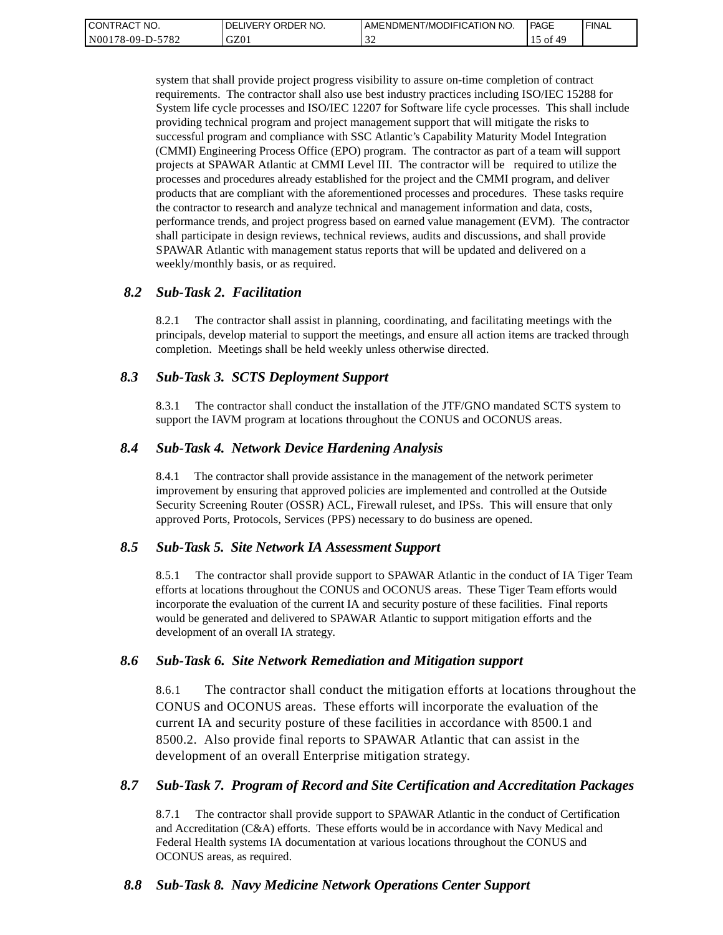| " NO.<br><b>CONTRACT</b> | ' ORDER NO.<br><b>DELIVERY</b> | I AMENDMENT/MODIFICATION NO. | PAGE | <b>FINAL</b> |
|--------------------------|--------------------------------|------------------------------|------|--------------|
| N00178-09-D-5782         | GZ01                           | $\sim$<br>-22                | ΟĪ   |              |

system that shall provide project progress visibility to assure on-time completion of contract requirements. The contractor shall also use best industry practices including ISO/IEC 15288 for System life cycle processes and ISO/IEC 12207 for Software life cycle processes. This shall include providing technical program and project management support that will mitigate the risks to successful program and compliance with SSC Atlantic's Capability Maturity Model Integration (CMMI) Engineering Process Office (EPO) program. The contractor as part of a team will support projects at SPAWAR Atlantic at CMMI Level III. The contractor will be required to utilize the processes and procedures already established for the project and the CMMI program, and deliver products that are compliant with the aforementioned processes and procedures. These tasks require the contractor to research and analyze technical and management information and data, costs, performance trends, and project progress based on earned value management (EVM). The contractor shall participate in design reviews, technical reviews, audits and discussions, and shall provide SPAWAR Atlantic with management status reports that will be updated and delivered on a weekly/monthly basis, or as required.

### *8.2 Sub-Task 2. Facilitation*

8.2.1 The contractor shall assist in planning, coordinating, and facilitating meetings with the principals, develop material to support the meetings, and ensure all action items are tracked through completion. Meetings shall be held weekly unless otherwise directed.

### *8.3 Sub-Task 3. SCTS Deployment Support*

8.3.1 The contractor shall conduct the installation of the JTF/GNO mandated SCTS system to support the IAVM program at locations throughout the CONUS and OCONUS areas.

### *8.4 Sub-Task 4. Network Device Hardening Analysis*

8.4.1 The contractor shall provide assistance in the management of the network perimeter improvement by ensuring that approved policies are implemented and controlled at the Outside Security Screening Router (OSSR) ACL, Firewall ruleset, and IPSs. This will ensure that only approved Ports, Protocols, Services (PPS) necessary to do business are opened.

### *8.5 Sub-Task 5. Site Network IA Assessment Support*

8.5.1 The contractor shall provide support to SPAWAR Atlantic in the conduct of IA Tiger Team efforts at locations throughout the CONUS and OCONUS areas. These Tiger Team efforts would incorporate the evaluation of the current IA and security posture of these facilities. Final reports would be generated and delivered to SPAWAR Atlantic to support mitigation efforts and the development of an overall IA strategy.

### *8.6 Sub-Task 6. Site Network Remediation and Mitigation support*

8.6.1 The contractor shall conduct the mitigation efforts at locations throughout the CONUS and OCONUS areas. These efforts will incorporate the evaluation of the current IA and security posture of these facilities in accordance with 8500.1 and 8500.2. Also provide final reports to SPAWAR Atlantic that can assist in the development of an overall Enterprise mitigation strategy.

### *8.7 Sub-Task 7. Program of Record and Site Certification and Accreditation Packages*

8.7.1 The contractor shall provide support to SPAWAR Atlantic in the conduct of Certification and Accreditation (C&A) efforts. These efforts would be in accordance with Navy Medical and Federal Health systems IA documentation at various locations throughout the CONUS and OCONUS areas, as required.

### *8.8 Sub-Task 8. Navy Medicine Network Operations Center Support*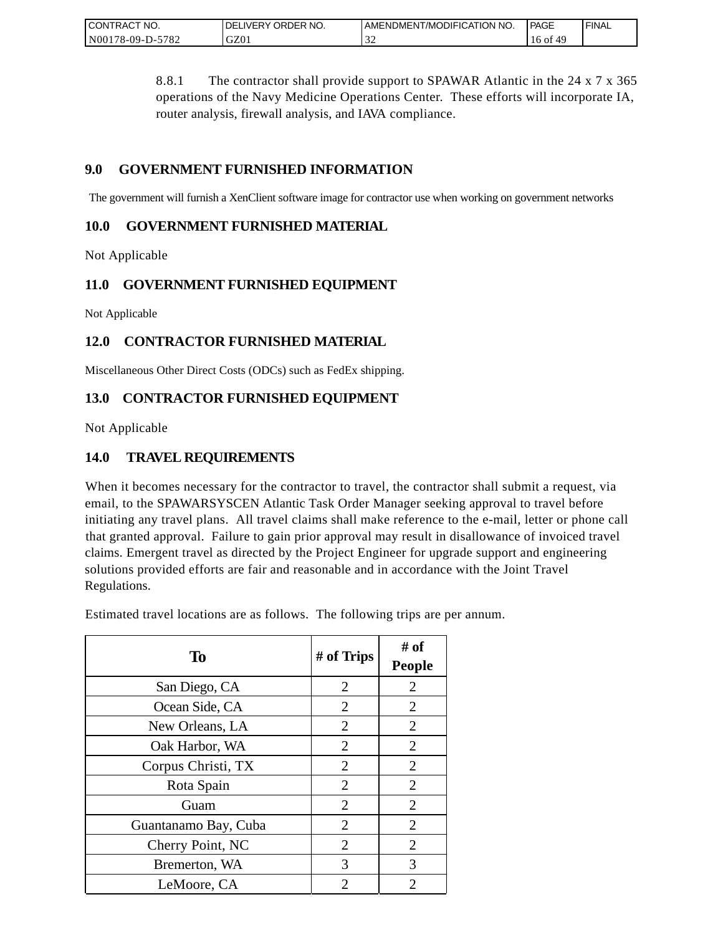| CONTRACT NO.                | ORDER NO.<br><b>DELIVERY</b> | AMENDMENT/MODIFICATION NO. | PAGE  | <b>FINAL</b> |
|-----------------------------|------------------------------|----------------------------|-------|--------------|
| $-5782$<br>N00<br>78-09-D-5 | GZ0.                         | $\sim$                     | 10 OI |              |

8.8.1 The contractor shall provide support to SPAWAR Atlantic in the 24 x 7 x 365 operations of the Navy Medicine Operations Center. These efforts will incorporate IA, router analysis, firewall analysis, and IAVA compliance.

## **9.0 GOVERNMENT FURNISHED INFORMATION**

The government will furnish a XenClient software image for contractor use when working on government networks

## **10.0 GOVERNMENT FURNISHED MATERIAL**

Not Applicable

## **11.0 GOVERNMENT FURNISHED EQUIPMENT**

Not Applicable

# **12.0 CONTRACTOR FURNISHED MATERIAL**

Miscellaneous Other Direct Costs (ODCs) such as FedEx shipping.

## **13.0 CONTRACTOR FURNISHED EQUIPMENT**

Not Applicable

## **14.0 TRAVEL REQUIREMENTS**

When it becomes necessary for the contractor to travel, the contractor shall submit a request, via email, to the SPAWARSYSCEN Atlantic Task Order Manager seeking approval to travel before initiating any travel plans. All travel claims shall make reference to the e-mail, letter or phone call that granted approval. Failure to gain prior approval may result in disallowance of invoiced travel claims. Emergent travel as directed by the Project Engineer for upgrade support and engineering solutions provided efforts are fair and reasonable and in accordance with the Joint Travel Regulations.

Estimated travel locations are as follows. The following trips are per annum.

| To                   | # of Trips     | # of<br><b>People</b> |
|----------------------|----------------|-----------------------|
| San Diego, CA        | $\overline{2}$ | $\overline{2}$        |
| Ocean Side, CA       | $\overline{2}$ | $\overline{2}$        |
| New Orleans, LA      | 2              | 2                     |
| Oak Harbor, WA       | $\overline{2}$ | $\overline{2}$        |
| Corpus Christi, TX   | 2              | $\overline{2}$        |
| Rota Spain           | $\overline{2}$ | $\overline{2}$        |
| Guam                 | $\overline{2}$ | $\overline{2}$        |
| Guantanamo Bay, Cuba | 2              | $\overline{2}$        |
| Cherry Point, NC     | $\overline{2}$ | $\overline{2}$        |
| Bremerton, WA        | 3              | 3                     |
| LeMoore, CA          | 2              | 2                     |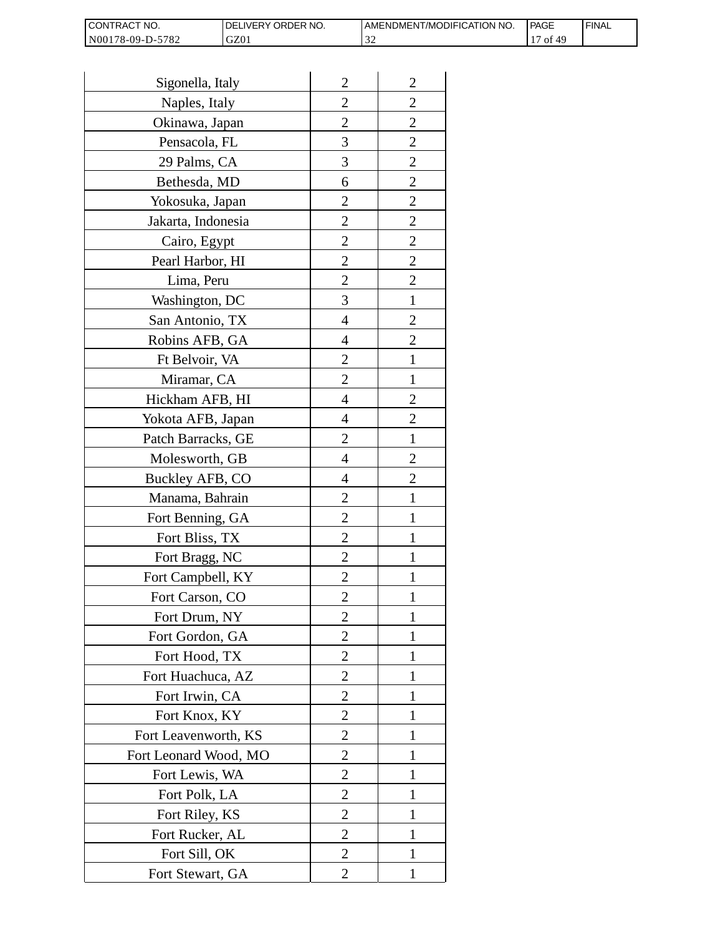| I CONTRACT NO.   | <b>IDELIVERY ORDER NO.</b> | AMENDMENT/MODIFICATION NO. | PAGE       | 'FINAL |
|------------------|----------------------------|----------------------------|------------|--------|
| N00178-09-D-5782 | GZ01                       | - - -                      | 14 f<br>0t |        |

| Sigonella, Italy      | $\overline{2}$ | $\overline{2}$ |
|-----------------------|----------------|----------------|
| Naples, Italy         | $\overline{c}$ | $\overline{c}$ |
| Okinawa, Japan        | $\overline{c}$ | $\overline{c}$ |
| Pensacola, FL         | 3              | $\overline{c}$ |
| 29 Palms, CA          | 3              | $\overline{2}$ |
| Bethesda, MD          | 6              | $\overline{2}$ |
| Yokosuka, Japan       | 2              | $\overline{c}$ |
| Jakarta, Indonesia    | $\overline{c}$ | $\overline{c}$ |
| Cairo, Egypt          | $\overline{c}$ | $\overline{c}$ |
| Pearl Harbor, HI      | $\overline{2}$ | $\overline{2}$ |
| Lima, Peru            | $\overline{c}$ | $\overline{2}$ |
| Washington, DC        | 3              | $\mathbf{1}$   |
| San Antonio, TX       | 4              | $\overline{c}$ |
| Robins AFB, GA        | 4              | $\overline{c}$ |
| Ft Belvoir, VA        | $\overline{c}$ | $\mathbf{1}$   |
| Miramar, CA           | $\overline{2}$ | 1              |
| Hickham AFB, HI       | 4              | $\overline{2}$ |
| Yokota AFB, Japan     | 4              | $\overline{c}$ |
| Patch Barracks, GE    | $\overline{2}$ | $\mathbf{1}$   |
| Molesworth, GB        | 4              | $\overline{2}$ |
| Buckley AFB, CO       | 4              | $\overline{c}$ |
| Manama, Bahrain       | $\overline{c}$ | $\mathbf{1}$   |
| Fort Benning, GA      | $\overline{c}$ | 1              |
| Fort Bliss, TX        | $\overline{c}$ | 1              |
| Fort Bragg, NC        | $\overline{2}$ | 1              |
| Fort Campbell, KY     | $\overline{c}$ |                |
| Fort Carson, CO       | $\overline{c}$ | 1              |
| Fort Drum, NY         | $\overline{2}$ | 1              |
| Fort Gordon, GA       | $\overline{2}$ | 1              |
| Fort Hood, TX         | $\overline{2}$ | I              |
| Fort Huachuca, AZ     | 2              | 1              |
| Fort Irwin, CA        | $\overline{c}$ | 1              |
| Fort Knox, KY         | $\overline{c}$ | 1              |
| Fort Leavenworth, KS  | $\overline{2}$ | $\mathbf{1}$   |
| Fort Leonard Wood, MO | $\overline{2}$ | 1              |
| Fort Lewis, WA        | 2              | 1              |
| Fort Polk, LA         | 2              | 1              |
| Fort Riley, KS        | $\overline{c}$ | 1              |
| Fort Rucker, AL       | $\overline{c}$ | 1              |
| Fort Sill, OK         | 2              | 1              |
| Fort Stewart, GA      | 2              | 1              |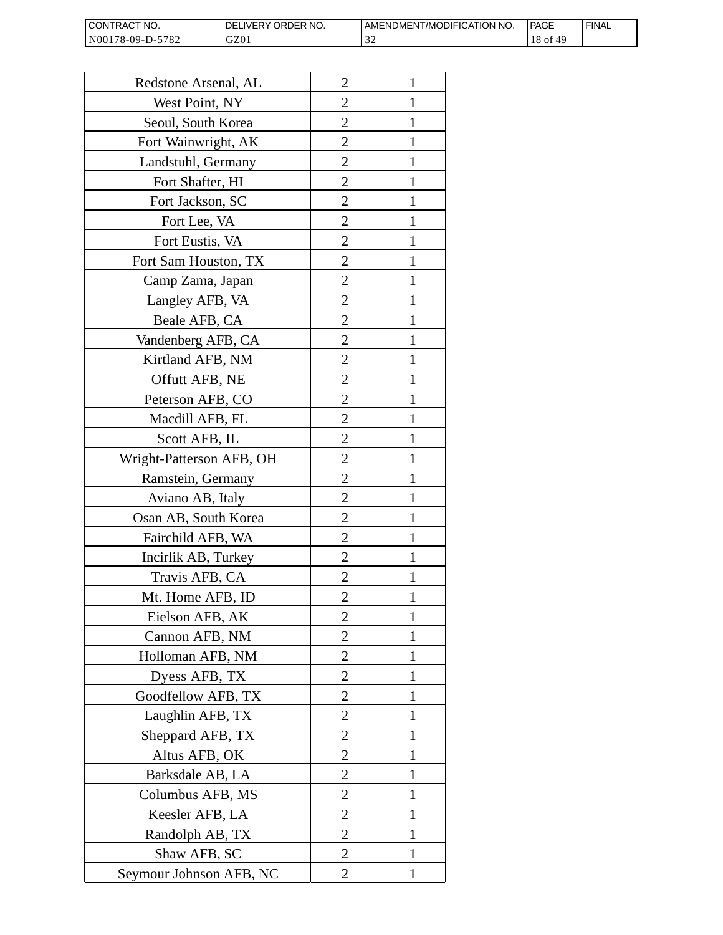| I CONTRACT NO.   | DELIVERY ORDER NO. | AMENDMENT/MODIFICATION NO. | PAGE           | ' FINAL |
|------------------|--------------------|----------------------------|----------------|---------|
| N00178-09-D-5782 | GZ01               |                            | $18$ of<br>-49 |         |

| Redstone Arsenal, AL     | $\overline{2}$ | 1            |
|--------------------------|----------------|--------------|
| West Point, NY           | $\overline{2}$ | 1            |
| Seoul, South Korea       | 2              | 1            |
| Fort Wainwright, AK      | 2              | 1            |
| Landstuhl, Germany       | $\overline{2}$ | 1            |
| Fort Shafter, HI         | $\overline{2}$ | 1            |
| Fort Jackson, SC         | $\overline{2}$ | 1            |
| Fort Lee, VA             | $\overline{2}$ | 1            |
| Fort Eustis, VA          | $\overline{2}$ | 1            |
| Fort Sam Houston, TX     | $\overline{c}$ | 1            |
| Camp Zama, Japan         | $\overline{2}$ | 1            |
| Langley AFB, VA          | $\overline{2}$ | 1            |
| Beale AFB, CA            | $\overline{2}$ |              |
| Vandenberg AFB, CA       | 2              | 1            |
| Kirtland AFB, NM         | $\overline{2}$ | 1            |
| Offutt AFB, NE           | $\overline{2}$ | 1            |
| Peterson AFB, CO         | $\overline{2}$ | 1            |
| Macdill AFB, FL          | $\overline{2}$ | 1            |
| Scott AFB, IL            | 2              | 1            |
| Wright-Patterson AFB, OH | $\overline{2}$ | 1            |
| Ramstein, Germany        | $\overline{2}$ | 1            |
| Aviano AB, Italy         | 2              | 1            |
| Osan AB, South Korea     | $\overline{2}$ | 1            |
| Fairchild AFB, WA        | $\overline{2}$ | 1            |
| Incirlik AB, Turkey      | $\overline{2}$ |              |
| Travis AFB, CA           | $\overline{2}$ | 1            |
| Mt. Home AFB, ID         | 2              |              |
| Eielson AFB, AK          | $\overline{2}$ | 1            |
| Cannon AFB, NM           | $\overline{2}$ | 1            |
| Holloman AFB, NM         | $\overline{2}$ | 1            |
| Dyess AFB, TX            | $\overline{2}$ | 1            |
| Goodfellow AFB, TX       | $\overline{2}$ | 1            |
| Laughlin AFB, TX         | 2              | 1            |
| Sheppard AFB, TX         | $\overline{2}$ | 1            |
| Altus AFB, OK            | $\overline{2}$ | 1            |
| Barksdale AB, LA         | $\overline{2}$ | 1            |
| Columbus AFB, MS         | $\overline{2}$ | 1            |
| Keesler AFB, LA          | 2              | 1            |
| Randolph AB, TX          | $\overline{2}$ | $\mathbf{1}$ |
| Shaw AFB, SC             | $\overline{2}$ | 1            |
| Seymour Johnson AFB, NC  | 2              | 1            |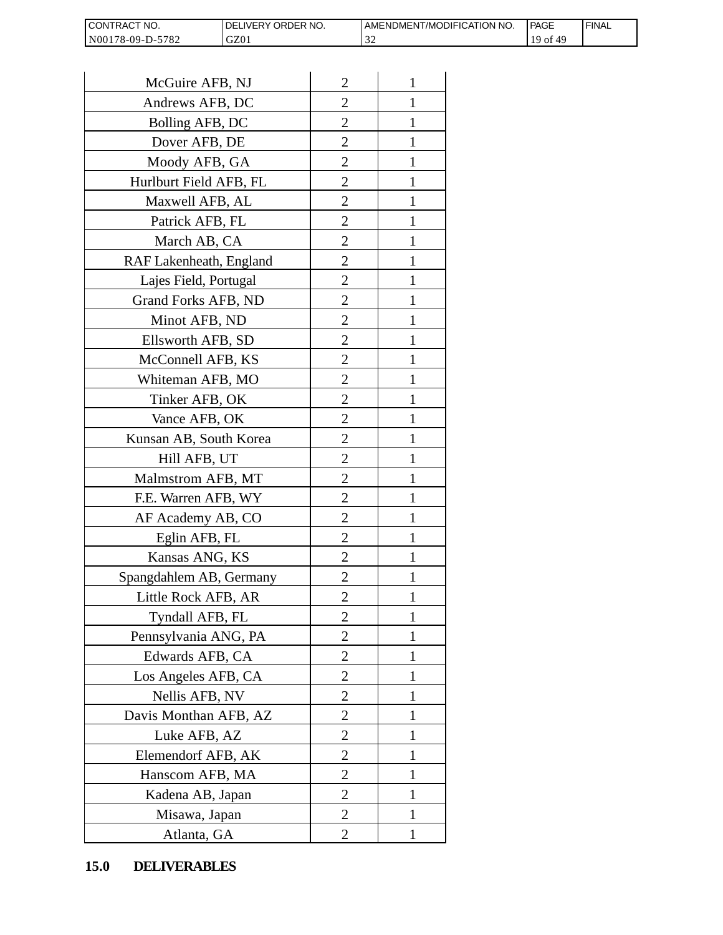| I CONTRACT<br>OT NO. | <b>ORDER</b><br>NO.<br><b>IVERY</b><br>DF' | AMENDMENT/MODIFICATION NO. | <b>PAGE</b> | <b>FINAL</b> |
|----------------------|--------------------------------------------|----------------------------|-------------|--------------|
| N00178-09-D-5782     | GZ01                                       | $\sim$<br>ے ر              | O1          |              |

| CONTRACT NO.<br>N00178-09-D-5782 | DELIVERY ORDER NO.<br>GZ01 |                | AMENDMENT/MOI<br>32 |
|----------------------------------|----------------------------|----------------|---------------------|
|                                  |                            |                |                     |
| McGuire AFB, NJ                  |                            | $\overline{2}$ | 1                   |
| Andrews AFB, DC                  |                            | 2              | 1                   |
| Bolling AFB, DC                  |                            | 2              | 1                   |
| Dover AFB, DE                    |                            | $\overline{2}$ | $\mathbf{1}$        |
| Moody AFB, GA                    |                            | $\overline{2}$ | 1                   |
| Hurlburt Field AFB, FL           |                            | $\overline{2}$ | 1                   |
| Maxwell AFB, AL                  |                            | $\overline{2}$ | 1                   |
| Patrick AFB, FL                  |                            | $\overline{2}$ | 1                   |
| March AB, CA                     |                            | $\overline{c}$ | 1                   |
| RAF Lakenheath, England          |                            | $\overline{2}$ | $\mathbf{1}$        |
| Lajes Field, Portugal            |                            | $\overline{2}$ | 1                   |
| Grand Forks AFB, ND              |                            | $\overline{2}$ | 1                   |
| Minot AFB, ND                    |                            | $\overline{2}$ | 1                   |
| Ellsworth AFB, SD                |                            | $\overline{c}$ | 1                   |
| McConnell AFB, KS                |                            | $\overline{c}$ | 1                   |
| Whiteman AFB, MO                 |                            | $\overline{2}$ | 1                   |
| Tinker AFB, OK                   |                            | $\overline{2}$ | 1                   |
| Vance AFB, OK                    |                            | $\overline{c}$ | 1                   |
| Kunsan AB, South Korea           |                            | $\overline{2}$ | 1                   |
| Hill AFB, UT                     |                            | $\overline{c}$ | 1                   |
| Malmstrom AFB, MT                |                            | $\overline{2}$ | 1                   |
| F.E. Warren AFB, WY              |                            | $\overline{2}$ | $\mathbf{1}$        |
| AF Academy AB, CO                |                            | $\overline{c}$ | 1                   |
| Eglin AFB, FL                    |                            | $\overline{2}$ | $\mathbf{1}$        |
| Kansas ANG, KS                   |                            | $\overline{c}$ |                     |
| Spangdahlem AB, Germany          |                            | $\overline{2}$ | 1                   |
| Little Rock AFB, AR              |                            | 2              | 1                   |
| Tyndall AFB, FL                  |                            | $\overline{2}$ | $\mathbf{1}$        |
| Pennsylvania ANG, PA             |                            | $\overline{2}$ | 1                   |
| Edwards AFB, CA                  |                            | 2              | 1                   |
| Los Angeles AFB, CA              |                            | $\overline{2}$ | 1                   |
| Nellis AFB, NV                   |                            | 2              | 1                   |
| Davis Monthan AFB, AZ            |                            | $\overline{c}$ | 1                   |
| Luke AFB, AZ                     |                            | $\overline{2}$ | 1                   |
| Elemendorf AFB, AK               |                            | $\overline{2}$ | 1                   |
| Hanscom AFB, MA                  |                            | $\overline{2}$ | 1                   |
| Kadena AB, Japan                 |                            | 2              | 1                   |
| Misawa, Japan                    |                            | $\overline{2}$ | 1                   |
| Atlanta, GA                      |                            | $\overline{2}$ | 1                   |
| <b>DELIVERABLES</b><br>15.0      |                            |                |                     |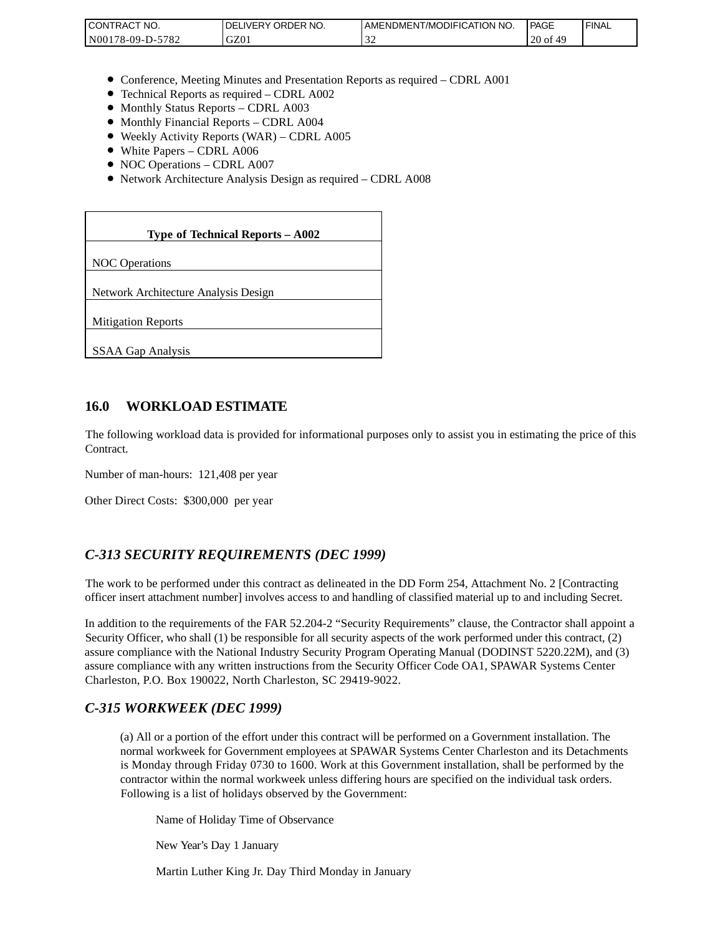| <b>I CONTRACT NO.</b>    | DELIVERY ORDER NO. | AMENDMENT/MODIFICATION NO. | <b>PAGE</b> | 'FINAL |
|--------------------------|--------------------|----------------------------|-------------|--------|
| -5782<br>$N00178-09-D-2$ | GZ01               | - - -                      | $20$ of     |        |

- Conference, Meeting Minutes and Presentation Reports as required CDRL A001
- Technical Reports as required CDRL A002
- Monthly Status Reports CDRL A003
- $\bullet$  Monthly Financial Reports CDRL A004
- Weekly Activity Reports (WAR) CDRL A005
- White Papers CDRL A006
- NOC Operations CDRL A007
- Network Architecture Analysis Design as required CDRL A008

| CONTRACT NO.<br>N00178-09-D-5782                                                                                                                                                                                                                                                                                                                                 | DELIVERY ORDER NO.<br>GZ01                                                                                                                                                                                                                                                                                              | AMENDME<br>32 |
|------------------------------------------------------------------------------------------------------------------------------------------------------------------------------------------------------------------------------------------------------------------------------------------------------------------------------------------------------------------|-------------------------------------------------------------------------------------------------------------------------------------------------------------------------------------------------------------------------------------------------------------------------------------------------------------------------|---------------|
|                                                                                                                                                                                                                                                                                                                                                                  |                                                                                                                                                                                                                                                                                                                         |               |
| • Monthly Status Reports - CDRL A003<br>• Monthly Financial Reports - CDRL A004<br>• White Papers - CDRL A006<br>• NOC Operations - CDRL A007                                                                                                                                                                                                                    | • Conference, Meeting Minutes and Presentation Reports as rec<br>• Technical Reports as required - CDRL A002<br>• Weekly Activity Reports (WAR) - CDRL A005<br>• Network Architecture Analysis Design as required - CDRL A                                                                                              |               |
|                                                                                                                                                                                                                                                                                                                                                                  | Type of Technical Reports - A002                                                                                                                                                                                                                                                                                        |               |
| <b>NOC</b> Operations                                                                                                                                                                                                                                                                                                                                            |                                                                                                                                                                                                                                                                                                                         |               |
| Network Architecture Analysis Design                                                                                                                                                                                                                                                                                                                             |                                                                                                                                                                                                                                                                                                                         |               |
| <b>Mitigation Reports</b>                                                                                                                                                                                                                                                                                                                                        |                                                                                                                                                                                                                                                                                                                         |               |
| <b>SSAA Gap Analysis</b>                                                                                                                                                                                                                                                                                                                                         |                                                                                                                                                                                                                                                                                                                         |               |
|                                                                                                                                                                                                                                                                                                                                                                  |                                                                                                                                                                                                                                                                                                                         |               |
| 16.0<br><b>WORKLOAD ESTIMATE</b>                                                                                                                                                                                                                                                                                                                                 |                                                                                                                                                                                                                                                                                                                         |               |
| The following workload data is provided for informational purposes<br>Contract.                                                                                                                                                                                                                                                                                  |                                                                                                                                                                                                                                                                                                                         |               |
| Number of man-hours: 121,408 per year                                                                                                                                                                                                                                                                                                                            |                                                                                                                                                                                                                                                                                                                         |               |
| Other Direct Costs: \$300,000 per year                                                                                                                                                                                                                                                                                                                           |                                                                                                                                                                                                                                                                                                                         |               |
| C-313 SECURITY REQUIREMENTS (DEC 1999)                                                                                                                                                                                                                                                                                                                           |                                                                                                                                                                                                                                                                                                                         |               |
| The work to be performed under this contract as delineated in the DI<br>officer insert attachment number] involves access to and handling of o                                                                                                                                                                                                                   |                                                                                                                                                                                                                                                                                                                         |               |
| In addition to the requirements of the FAR 52.204-2 "Security Requi<br>Security Officer, who shall (1) be responsible for all security aspects of<br>assure compliance with the National Industry Security Program Oper<br>assure compliance with any written instructions from the Security Of<br>Charleston, P.O. Box 190022, North Charleston, SC 29419-9022. |                                                                                                                                                                                                                                                                                                                         |               |
| C-315 WORKWEEK (DEC 1999)                                                                                                                                                                                                                                                                                                                                        |                                                                                                                                                                                                                                                                                                                         |               |
|                                                                                                                                                                                                                                                                                                                                                                  | (a) All or a portion of the effort under this contract will be per<br>normal workweek for Government employees at SPAWAR Sy<br>is Monday through Friday 0730 to 1600. Work at this Gover<br>contractor within the normal workweek unless differing hours<br>Following is a list of holidays observed by the Government: |               |
|                                                                                                                                                                                                                                                                                                                                                                  | Name of Holiday Time of Observance                                                                                                                                                                                                                                                                                      |               |
| New Year's Day 1 January                                                                                                                                                                                                                                                                                                                                         |                                                                                                                                                                                                                                                                                                                         |               |
|                                                                                                                                                                                                                                                                                                                                                                  | Martin Luther King Jr. Day Third Monday in January                                                                                                                                                                                                                                                                      |               |

### **16.0 WORKLOAD ESTIMATE**

The following workload data is provided for informational purposes only to assist you in estimating the price of this Contract.

## *C-313 SECURITY REQUIREMENTS (DEC 1999)*

The work to be performed under this contract as delineated in the DD Form 254, Attachment No. 2 [Contracting officer insert attachment number] involves access to and handling of classified material up to and including Secret.

In addition to the requirements of the FAR 52.204-2 "Security Requirements" clause, the Contractor shall appoint a Security Officer, who shall (1) be responsible for all security aspects of the work performed under this contract, (2) assure compliance with the National Industry Security Program Operating Manual (DODINST 5220.22M), and (3) assure compliance with any written instructions from the Security Officer Code OA1, SPAWAR Systems Center Charleston, P.O. Box 190022, North Charleston, SC 29419-9022.

### *C-315 WORKWEEK (DEC 1999)*

(a) All or a portion of the effort under this contract will be performed on a Government installation. The normal workweek for Government employees at SPAWAR Systems Center Charleston and its Detachments is Monday through Friday 0730 to 1600. Work at this Government installation, shall be performed by the contractor within the normal workweek unless differing hours are specified on the individual task orders. Following is a list of holidays observed by the Government: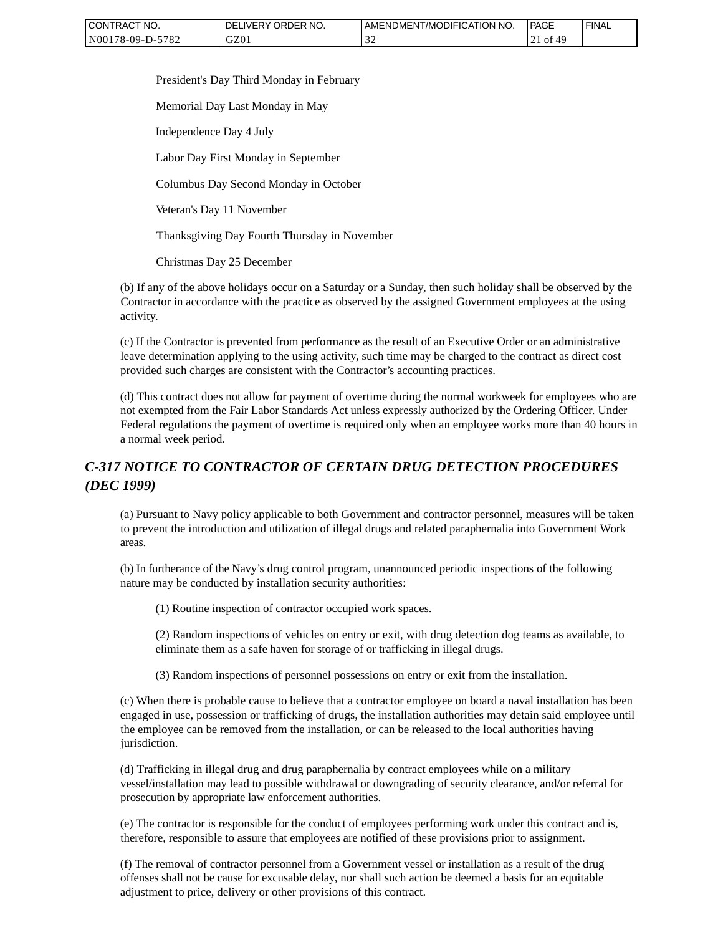| CONTRACT NO.     | ' ORDER NO.<br><b>DELIVERY</b> | AMENDMENT/MODIFICATION<br>`NO. | <b>PAGE</b>   | ' FINAL |
|------------------|--------------------------------|--------------------------------|---------------|---------|
| N00178-09-D-5782 | GZ01                           |                                | 0t<br>4°<br>∸ |         |

President's Day Third Monday in February

Memorial Day Last Monday in May

Independence Day 4 July

Labor Day First Monday in September

Columbus Day Second Monday in October

Veteran's Day 11 November

Thanksgiving Day Fourth Thursday in November

Christmas Day 25 December

(b) If any of the above holidays occur on a Saturday or a Sunday, then such holiday shall be observed by the Contractor in accordance with the practice as observed by the assigned Government employees at the using activity.

(c) If the Contractor is prevented from performance as the result of an Executive Order or an administrative leave determination applying to the using activity, such time may be charged to the contract as direct cost provided such charges are consistent with the Contractor's accounting practices.

(d) This contract does not allow for payment of overtime during the normal workweek for employees who are not exempted from the Fair Labor Standards Act unless expressly authorized by the Ordering Officer. Under Federal regulations the payment of overtime is required only when an employee works more than 40 hours in a normal week period.

# *C-317 NOTICE TO CONTRACTOR OF CERTAIN DRUG DETECTION PROCEDURES (DEC 1999)*

(a) Pursuant to Navy policy applicable to both Government and contractor personnel, measures will be taken to prevent the introduction and utilization of illegal drugs and related paraphernalia into Government Work areas.

(b) In furtherance of the Navy's drug control program, unannounced periodic inspections of the following nature may be conducted by installation security authorities:

(1) Routine inspection of contractor occupied work spaces.

(2) Random inspections of vehicles on entry or exit, with drug detection dog teams as available, to eliminate them as a safe haven for storage of or trafficking in illegal drugs.

(3) Random inspections of personnel possessions on entry or exit from the installation.

(c) When there is probable cause to believe that a contractor employee on board a naval installation has been engaged in use, possession or trafficking of drugs, the installation authorities may detain said employee until the employee can be removed from the installation, or can be released to the local authorities having jurisdiction.

(d) Trafficking in illegal drug and drug paraphernalia by contract employees while on a military vessel/installation may lead to possible withdrawal or downgrading of security clearance, and/or referral for prosecution by appropriate law enforcement authorities.

(e) The contractor is responsible for the conduct of employees performing work under this contract and is, therefore, responsible to assure that employees are notified of these provisions prior to assignment.

(f) The removal of contractor personnel from a Government vessel or installation as a result of the drug offenses shall not be cause for excusable delay, nor shall such action be deemed a basis for an equitable adjustment to price, delivery or other provisions of this contract.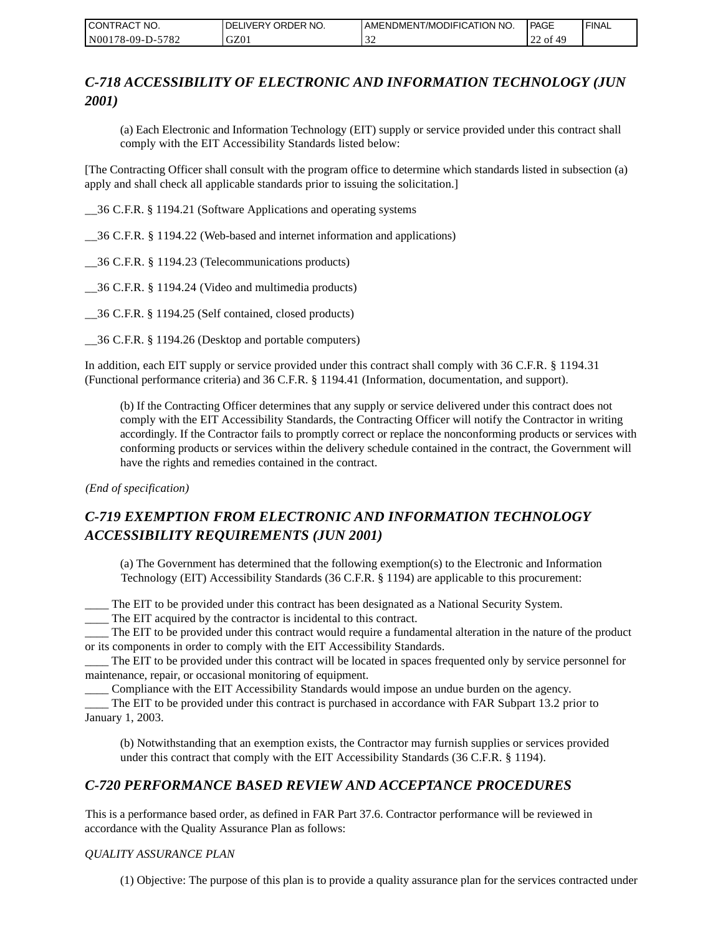| I CONTRACT NO.   | DELIVERY ORDER NO. | I AMENDMENT/MODIFICATION NO. | <b>PAGE</b>   | ' FINAL |
|------------------|--------------------|------------------------------|---------------|---------|
| N00178-09-D-5782 | GZ01               | $\sim$                       | . of 49<br>∠∠ |         |

# *C-718 ACCESSIBILITY OF ELECTRONIC AND INFORMATION TECHNOLOGY (JUN 2001)*

(a) Each Electronic and Information Technology (EIT) supply or service provided under this contract shall comply with the EIT Accessibility Standards listed below:

[The Contracting Officer shall consult with the program office to determine which standards listed in subsection (a) apply and shall check all applicable standards prior to issuing the solicitation.]

\_\_36 C.F.R. § 1194.21 (Software Applications and operating systems

\_\_36 C.F.R. § 1194.22 (Web-based and internet information and applications)

\_\_36 C.F.R. § 1194.23 (Telecommunications products)

\_\_36 C.F.R. § 1194.24 (Video and multimedia products)

\_\_36 C.F.R. § 1194.25 (Self contained, closed products)

\_\_36 C.F.R. § 1194.26 (Desktop and portable computers)

In addition, each EIT supply or service provided under this contract shall comply with 36 C.F.R. § 1194.31 (Functional performance criteria) and 36 C.F.R. § 1194.41 (Information, documentation, and support).

(b) If the Contracting Officer determines that any supply or service delivered under this contract does not comply with the EIT Accessibility Standards, the Contracting Officer will notify the Contractor in writing accordingly. If the Contractor fails to promptly correct or replace the nonconforming products or services with conforming products or services within the delivery schedule contained in the contract, the Government will have the rights and remedies contained in the contract.

*(End of specification)*

# *C-719 EXEMPTION FROM ELECTRONIC AND INFORMATION TECHNOLOGY ACCESSIBILITY REQUIREMENTS (JUN 2001)*

(a) The Government has determined that the following exemption(s) to the Electronic and Information Technology (EIT) Accessibility Standards (36 C.F.R. § 1194) are applicable to this procurement:

\_\_\_\_ The EIT to be provided under this contract has been designated as a National Security System.

\_\_\_\_ The EIT acquired by the contractor is incidental to this contract.

\_\_\_\_ The EIT to be provided under this contract would require a fundamental alteration in the nature of the product or its components in order to comply with the EIT Accessibility Standards.

\_\_\_\_ The EIT to be provided under this contract will be located in spaces frequented only by service personnel for maintenance, repair, or occasional monitoring of equipment.

\_\_\_\_ Compliance with the EIT Accessibility Standards would impose an undue burden on the agency.

\_\_\_\_ The EIT to be provided under this contract is purchased in accordance with FAR Subpart 13.2 prior to January 1, 2003.

(b) Notwithstanding that an exemption exists, the Contractor may furnish supplies or services provided under this contract that comply with the EIT Accessibility Standards (36 C.F.R. § 1194).

## *C-720 PERFORMANCE BASED REVIEW AND ACCEPTANCE PROCEDURES*

This is a performance based order, as defined in FAR Part 37.6. Contractor performance will be reviewed in accordance with the Quality Assurance Plan as follows:

### *QUALITY ASSURANCE PLAN*

(1) Objective: The purpose of this plan is to provide a quality assurance plan for the services contracted under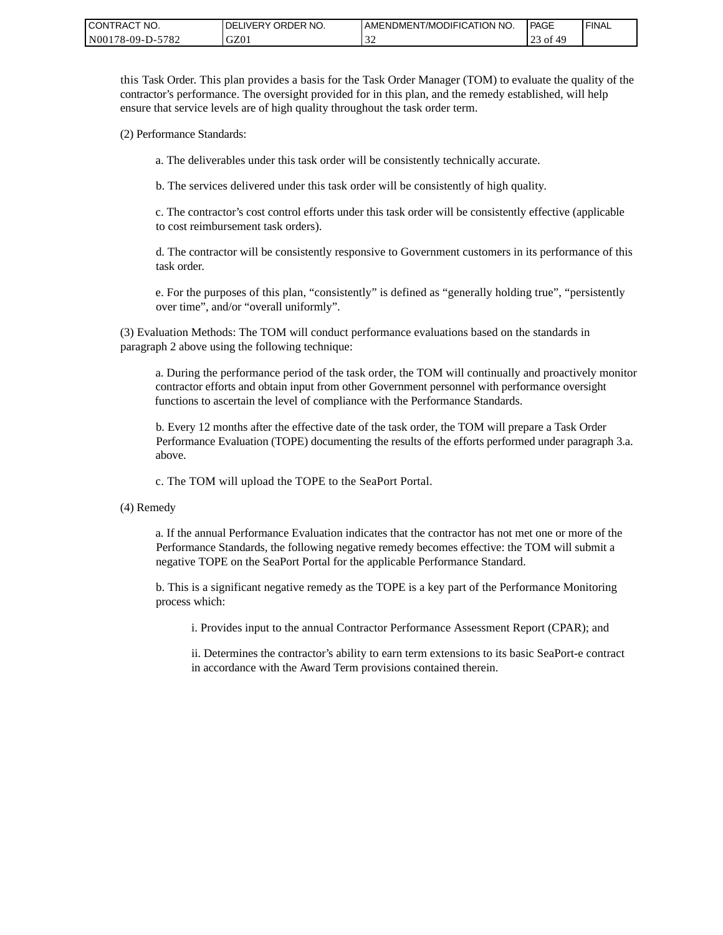| <b>CONTRACT</b><br>'NO. | ORDER NO.<br><b>DELIVERY</b> | LAMENDMENT/MODIFICATION NO. | PAGE               | ' FINAL |
|-------------------------|------------------------------|-----------------------------|--------------------|---------|
| 5782<br>N00178-09-D-5   | GZ01                         | $\sim$<br>. J 4             | 1G ک<br>- of<br>ر_ |         |

this Task Order. This plan provides a basis for the Task Order Manager (TOM) to evaluate the quality of the contractor's performance. The oversight provided for in this plan, and the remedy established, will help ensure that service levels are of high quality throughout the task order term.

(2) Performance Standards:

a. The deliverables under this task order will be consistently technically accurate.

b. The services delivered under this task order will be consistently of high quality.

c. The contractor's cost control efforts under this task order will be consistently effective (applicable to cost reimbursement task orders).

d. The contractor will be consistently responsive to Government customers in its performance of this task order.

e. For the purposes of this plan, "consistently" is defined as "generally holding true", "persistently over time", and/or "overall uniformly".

(3) Evaluation Methods: The TOM will conduct performance evaluations based on the standards in paragraph 2 above using the following technique:

a. During the performance period of the task order, the TOM will continually and proactively monitor contractor efforts and obtain input from other Government personnel with performance oversight functions to ascertain the level of compliance with the Performance Standards.

b. Every 12 months after the effective date of the task order, the TOM will prepare a Task Order Performance Evaluation (TOPE) documenting the results of the efforts performed under paragraph 3.a. above.

c. The TOM will upload the TOPE to the SeaPort Portal.

(4) Remedy

a. If the annual Performance Evaluation indicates that the contractor has not met one or more of the Performance Standards, the following negative remedy becomes effective: the TOM will submit a negative TOPE on the SeaPort Portal for the applicable Performance Standard.

b. This is a significant negative remedy as the TOPE is a key part of the Performance Monitoring process which:

i. Provides input to the annual Contractor Performance Assessment Report (CPAR); and

ii. Determines the contractor's ability to earn term extensions to its basic SeaPort-e contract in accordance with the Award Term provisions contained therein.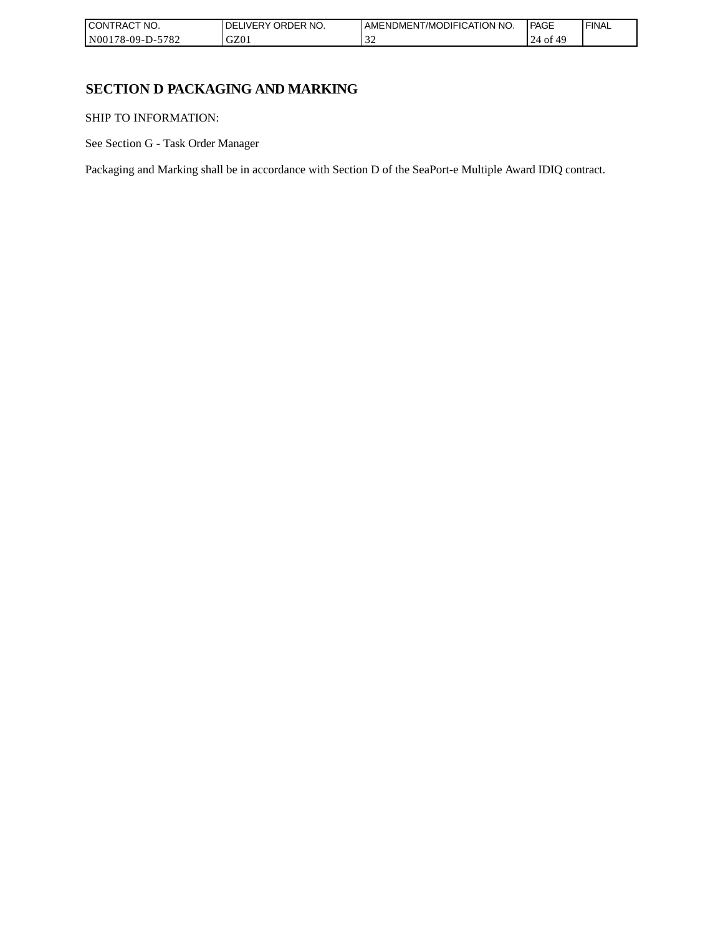| I CONTRACT NO.           | `NO.<br>ORDER<br>.IVERY<br>DELI | AMENDMENT/MODIFICATION NO. | <b>PAGE</b> | 'FINAL |
|--------------------------|---------------------------------|----------------------------|-------------|--------|
| -5782<br>  N00178-09-D-5 | GZ0 <sub>1</sub>                |                            | 24<br>ΟĪ    |        |

# **SECTION D PACKAGING AND MARKING**

SHIP TO INFORMATION:

See Section G - Task Order Manager

Packaging and Marking shall be in accordance with Section D of the SeaPort-e Multiple Award IDIQ contract.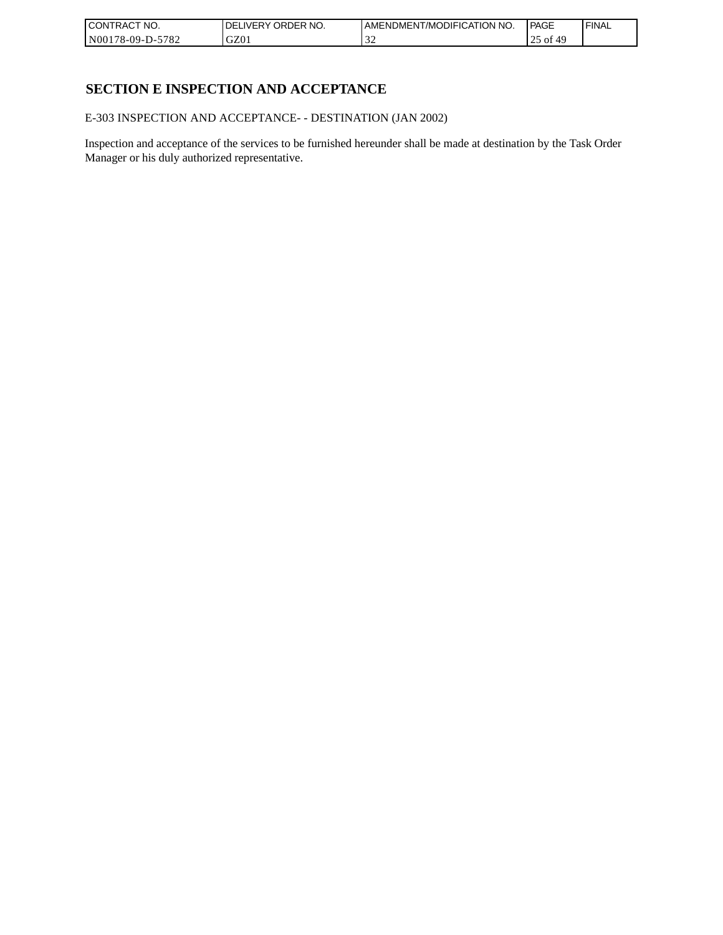| CONTRACT<br>`CT NO.      | NO.<br>' ORDER<br><b>DELIVERY</b> | I AMENDMENT/MODIFICATION NO. | l PAGE     | ' FINAL |
|--------------------------|-----------------------------------|------------------------------|------------|---------|
| $-5782$<br>N00178-09-D-5 | GZ01                              | - - - - -                    | ⊖ o1<br>رے |         |

# **SECTION E INSPECTION AND ACCEPTANCE**

E-303 INSPECTION AND ACCEPTANCE- - DESTINATION (JAN 2002)

Inspection and acceptance of the services to be furnished hereunder shall be made at destination by the Task Order Manager or his duly authorized representative.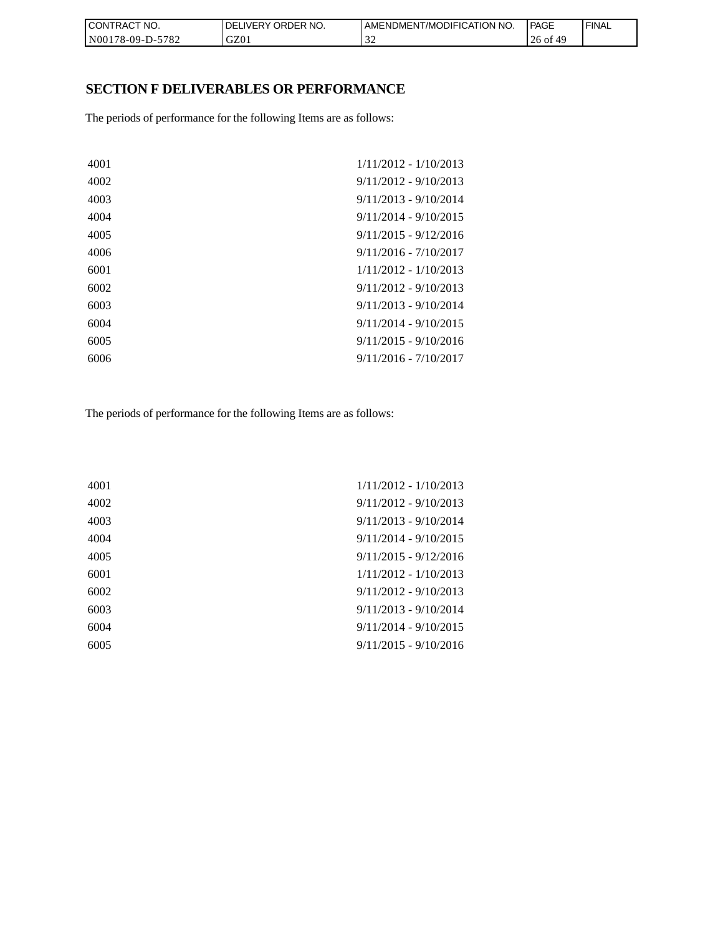| CON <sub>1</sub><br>'TRACT NO. | NO.<br><b>DELIVERY ORDER</b> | <b>I AMENDMENT/MODIFICATION NO.</b> | <b>PAGE</b>    | ' FINAL |
|--------------------------------|------------------------------|-------------------------------------|----------------|---------|
| N00178-09-D-5782               | GZ01                         |                                     | $26$ of<br>-49 |         |

# **SECTION F DELIVERABLES OR PERFORMANCE**

The periods of performance for the following Items are as follows:

| 4001 | $1/11/2012 - 1/10/2013$ |
|------|-------------------------|
| 4002 | $9/11/2012 - 9/10/2013$ |
| 4003 | $9/11/2013 - 9/10/2014$ |
| 4004 | $9/11/2014 - 9/10/2015$ |
| 4005 | $9/11/2015 - 9/12/2016$ |
| 4006 | $9/11/2016 - 7/10/2017$ |
| 6001 | $1/11/2012 - 1/10/2013$ |
| 6002 | $9/11/2012 - 9/10/2013$ |
| 6003 | $9/11/2013 - 9/10/2014$ |
| 6004 | $9/11/2014 - 9/10/2015$ |
| 6005 | $9/11/2015 - 9/10/2016$ |
| 6006 | $9/11/2016 - 7/10/2017$ |

The periods of performance for the following Items are as follows:

| 4001 | 1/11/2012 - 1/10/2013   |
|------|-------------------------|
| 4002 | $9/11/2012 - 9/10/2013$ |
| 4003 | $9/11/2013 - 9/10/2014$ |
| 4004 | $9/11/2014 - 9/10/2015$ |
| 4005 | $9/11/2015 - 9/12/2016$ |
| 6001 | $1/11/2012 - 1/10/2013$ |
| 6002 | $9/11/2012 - 9/10/2013$ |
| 6003 | $9/11/2013 - 9/10/2014$ |
| 6004 | $9/11/2014 - 9/10/2015$ |
| 6005 | $9/11/2015 - 9/10/2016$ |
|      |                         |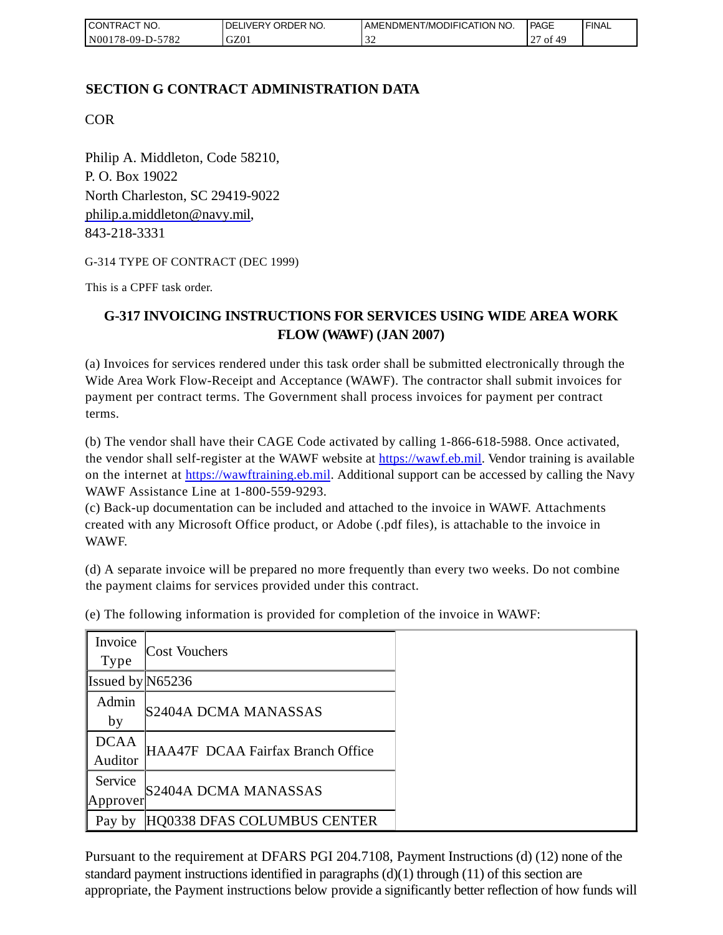| I CONTRACT NO.   | <b>IDELIVERY ORDER NO.</b> | AMENDMENT/MODIFICATION NO. | PAGE           | 'FINAL |
|------------------|----------------------------|----------------------------|----------------|--------|
| N00178-09-D-5782 | GZ01                       | - - -                      | of<br>$\sim$ 1 |        |

## **SECTION G CONTRACT ADMINISTRATION DATA**

COR

Philip A. Middleton, Code 58210, P. O. Box 19022 North Charleston, SC 29419-9022 [philip.a.middleton@navy.mil,](mailto:cphilip.a.middleton@navy.mil) 843-218-3331

G-314 TYPE OF CONTRACT (DEC 1999)

This is a CPFF task order.

# **G-317 INVOICING INSTRUCTIONS FOR SERVICES USING WIDE AREA WORK FLOW (WAWF) (JAN 2007)**

(a) Invoices for services rendered under this task order shall be submitted electronically through the Wide Area Work Flow-Receipt and Acceptance (WAWF). The contractor shall submit invoices for payment per contract terms. The Government shall process invoices for payment per contract terms.

(b) The vendor shall have their CAGE Code activated by calling 1-866-618-5988. Once activated, the vendor shall self-register at the WAWF website at [https://wawf.eb.mil.](https://wawf.eb.mil/) Vendor training is available on the internet at [https://wawftraining.eb.mil.](https://wawftraining.eb.mil/) Additional support can be accessed by calling the Navy WAWF Assistance Line at 1-800-559-9293.

(c) Back-up documentation can be included and attached to the invoice in WAWF. Attachments created with any Microsoft Office product, or Adobe (.pdf files), is attachable to the invoice in WAWF.

(d) A separate invoice will be prepared no more frequently than every two weeks. Do not combine the payment claims for services provided under this contract.

| Invoice<br><b>Type</b> | <b>Cost Vouchers</b>              |
|------------------------|-----------------------------------|
|                        |                                   |
| Issued by $N65236$     |                                   |
| Admin                  |                                   |
| by                     | S2404A DCMA MANASSAS              |
| <b>DCAA</b>            |                                   |
| Auditor                | HAA47F DCAA Fairfax Branch Office |
| Service                |                                   |
| Approver               | S2404A DCMA MANASSAS              |
| Pay by                 | HQ0338 DFAS COLUMBUS CENTER       |

(e) The following information is provided for completion of the invoice in WAWF:

Pursuant to the requirement at DFARS PGI 204.7108, Payment Instructions (d) (12) none of the standard payment instructions identified in paragraphs  $(d)(1)$  through  $(11)$  of this section are appropriate, the Payment instructions below provide a significantly better reflection of how funds will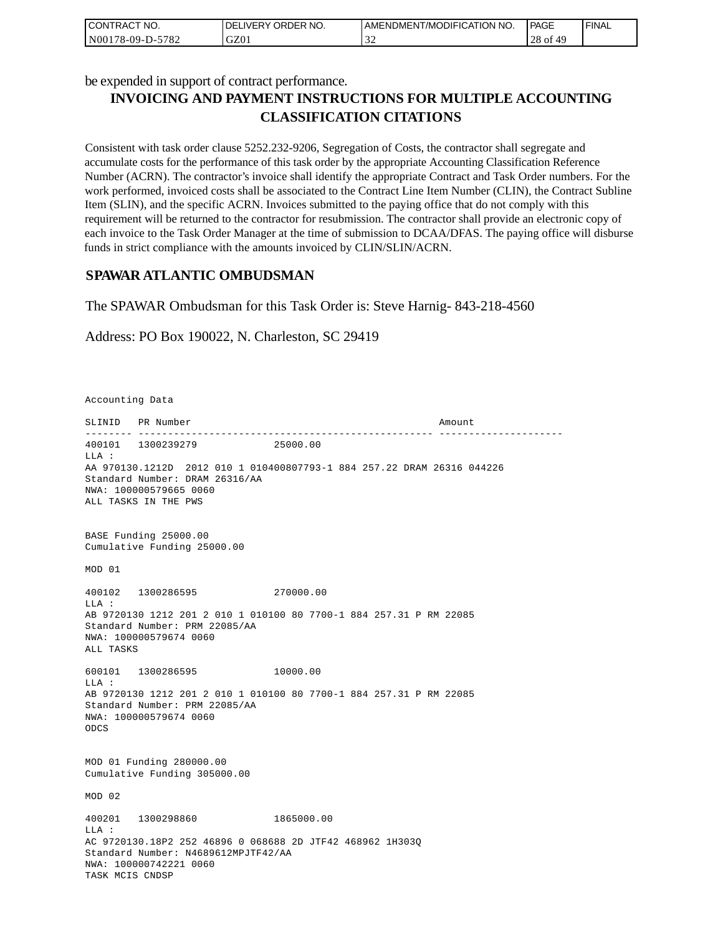| I CONTRACT NO.   | I DELIVERY ORDER NO. | AMENDMENT/MODIFICATION NO. | PAGE            | ' FINAL |
|------------------|----------------------|----------------------------|-----------------|---------|
| N00178-09-D-5782 | GZ01                 | $\sim$                     | $28$ of<br>f 49 |         |

be expended in support of contract performance.

# **INVOICING AND PAYMENT INSTRUCTIONS FOR MULTIPLE ACCOUNTING CLASSIFICATION CITATIONS**

Consistent with task order clause 5252.232-9206, Segregation of Costs, the contractor shall segregate and accumulate costs for the performance of this task order by the appropriate Accounting Classification Reference Number (ACRN). The contractor's invoice shall identify the appropriate Contract and Task Order numbers. For the work performed, invoiced costs shall be associated to the Contract Line Item Number (CLIN), the Contract Subline Item (SLIN), and the specific ACRN. Invoices submitted to the paying office that do not comply with this requirement will be returned to the contractor for resubmission. The contractor shall provide an electronic copy of each invoice to the Task Order Manager at the time of submission to DCAA/DFAS. The paying office will disburse funds in strict compliance with the amounts invoiced by CLIN/SLIN/ACRN.

## **SPAWAR ATLANTIC OMBUDSMAN**

The SPAWAR Ombudsman for this Task Order is: Steve Harnig- 843-218-4560

Address: PO Box 190022, N. Charleston, SC 29419

Accounting Data

SLINID PR Number Amount -------- -------------------------------------------------- --------------------- 400101 1300239279 25000.00  $T.T.A$  : AA 970130.1212D 2012 010 1 010400807793-1 884 257.22 DRAM 26316 044226 Standard Number: DRAM 26316/AA NWA: 100000579665 0060 ALL TASKS IN THE PWS BASE Funding 25000.00 Cumulative Funding 25000.00 MOD 01 400102 1300286595 270000.00 LLA : AB 9720130 1212 201 2 010 1 010100 80 7700-1 884 257.31 P RM 22085 Standard Number: PRM 22085/AA NWA: 100000579674 0060 ALL TASKS 600101 1300286595 10000.00 LLA : AB 9720130 1212 201 2 010 1 010100 80 7700-1 884 257.31 P RM 22085 Standard Number: PRM 22085/AA NWA: 100000579674 0060 ODCS MOD 01 Funding 280000.00 Cumulative Funding 305000.00 MOD 02 400201 1300298860 1865000.00  $T.T.A$  : AC 9720130.18P2 252 46896 0 068688 2D JTF42 468962 1H303Q Standard Number: N4689612MPJTF42/AA NWA: 100000742221 0060 TASK MCIS CNDSP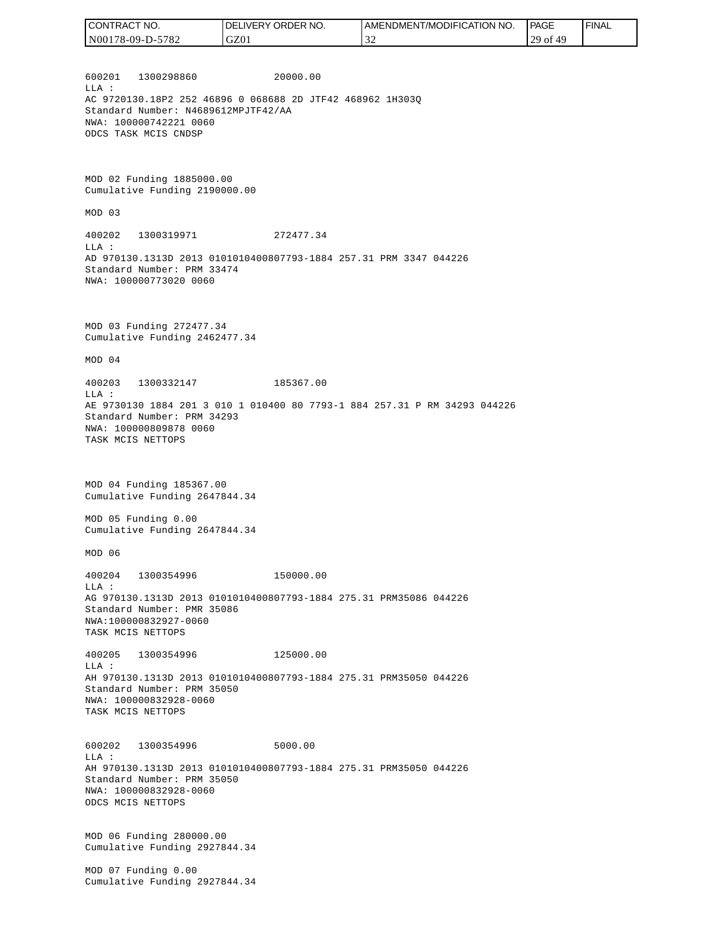| CONTRACT NO.     | DELIVERY ORDER NO. | AMENDMENT/MODIFICATION NO. | PAGE     | ' FINAL |
|------------------|--------------------|----------------------------|----------|---------|
| N00178-09-D-5782 | GZ01               | -22                        | 29 of 49 |         |

600201 1300298860 20000.00 LLA : AC 9720130.18P2 252 46896 0 068688 2D JTF42 468962 1H303Q Standard Number: N4689612MPJTF42/AA NWA: 100000742221 0060 ODCS TASK MCIS CNDSP

MOD 02 Funding 1885000.00 Cumulative Funding 2190000.00

MOD 03

400202 1300319971 272477.34 LLA : AD 970130.1313D 2013 0101010400807793-1884 257.31 PRM 3347 044226 Standard Number: PRM 33474 NWA: 100000773020 0060

MOD 03 Funding 272477.34 Cumulative Funding 2462477.34

MOD 04

400203 1300332147 185367.00 LLA : AE 9730130 1884 201 3 010 1 010400 80 7793-1 884 257.31 P RM 34293 044226 Standard Number: PRM 34293 NWA: 100000809878 0060 TASK MCIS NETTOPS

MOD 04 Funding 185367.00 Cumulative Funding 2647844.34

MOD 05 Funding 0.00 Cumulative Funding 2647844.34

MOD 06

400204 1300354996 150000.00 LLA : AG 970130.1313D 2013 0101010400807793-1884 275.31 PRM35086 044226 Standard Number: PMR 35086 NWA:100000832927-0060 TASK MCIS NETTOPS

400205 1300354996 125000.00 LLA : AH 970130.1313D 2013 0101010400807793-1884 275.31 PRM35050 044226 Standard Number: PRM 35050 NWA: 100000832928-0060 TASK MCIS NETTOPS

600202 1300354996 5000.00 LLA : AH 970130.1313D 2013 0101010400807793-1884 275.31 PRM35050 044226 Standard Number: PRM 35050 NWA: 100000832928-0060 ODCS MCIS NETTOPS

MOD 06 Funding 280000.00 Cumulative Funding 2927844.34

MOD 07 Funding 0.00 Cumulative Funding 2927844.34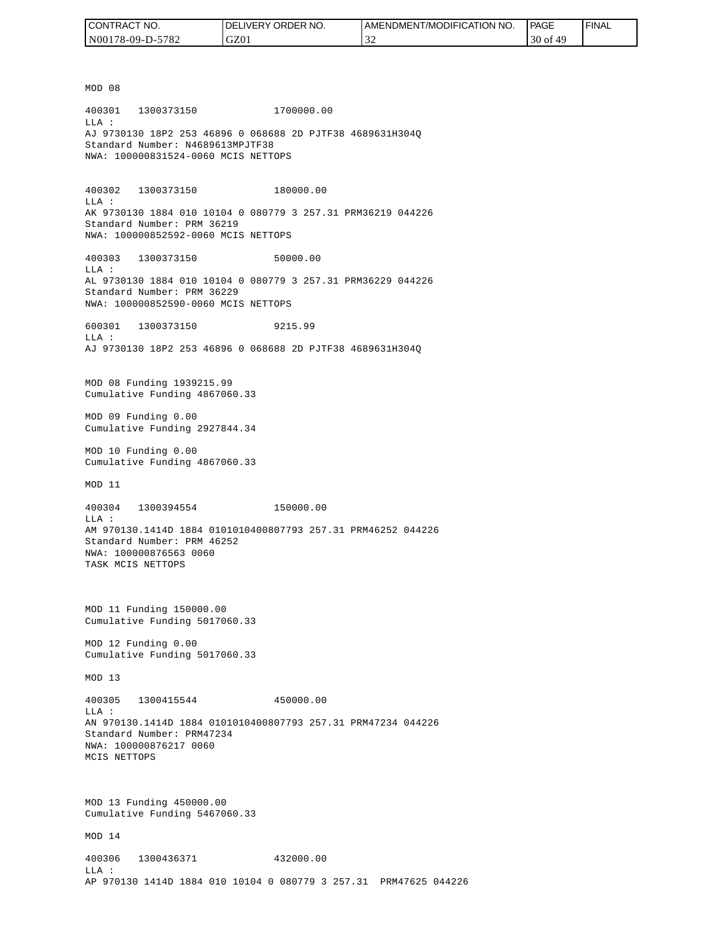| CONTRACT NO.     | <b>IDELIVERY ORDER NO.</b> | I AMENDMENT/MODIFICATION NO. | PAGE     | ' FINAL |
|------------------|----------------------------|------------------------------|----------|---------|
| N00178-09-D-5782 | GZ01                       | $\sim$                       | 30 of 49 |         |

MOD 08 400301 1300373150 1700000.00 LLA : AJ 9730130 18P2 253 46896 0 068688 2D PJTF38 4689631H304Q Standard Number: N4689613MPJTF38 NWA: 100000831524-0060 MCIS NETTOPS 400302 1300373150 180000.00 LLA : AK 9730130 1884 010 10104 0 080779 3 257.31 PRM36219 044226 Standard Number: PRM 36219 NWA: 100000852592-0060 MCIS NETTOPS 400303 1300373150 50000.00 LLA : AL 9730130 1884 010 10104 0 080779 3 257.31 PRM36229 044226 Standard Number: PRM 36229 NWA: 100000852590-0060 MCIS NETTOPS 600301 1300373150 9215.99  $T.T.A$  : AJ 9730130 18P2 253 46896 0 068688 2D PJTF38 4689631H304Q MOD 08 Funding 1939215.99 Cumulative Funding 4867060.33 MOD 09 Funding 0.00 Cumulative Funding 2927844.34 MOD 10 Funding 0.00 Cumulative Funding 4867060.33 MOD 11 400304 1300394554 150000.00 LLA : AM 970130.1414D 1884 0101010400807793 257.31 PRM46252 044226 Standard Number: PRM 46252 NWA: 100000876563 0060 TASK MCIS NETTOPS MOD 11 Funding 150000.00 Cumulative Funding 5017060.33 MOD 12 Funding 0.00 Cumulative Funding 5017060.33 MOD 13 400305 1300415544 450000.00  $L.L.A$  : AN 970130.1414D 1884 0101010400807793 257.31 PRM47234 044226 Standard Number: PRM47234 NWA: 100000876217 0060 MCIS NETTOPS MOD 13 Funding 450000.00 Cumulative Funding 5467060.33 MOD 14 400306 1300436371 432000.00 LLA : AP 970130 1414D 1884 010 10104 0 080779 3 257.31 PRM47625 044226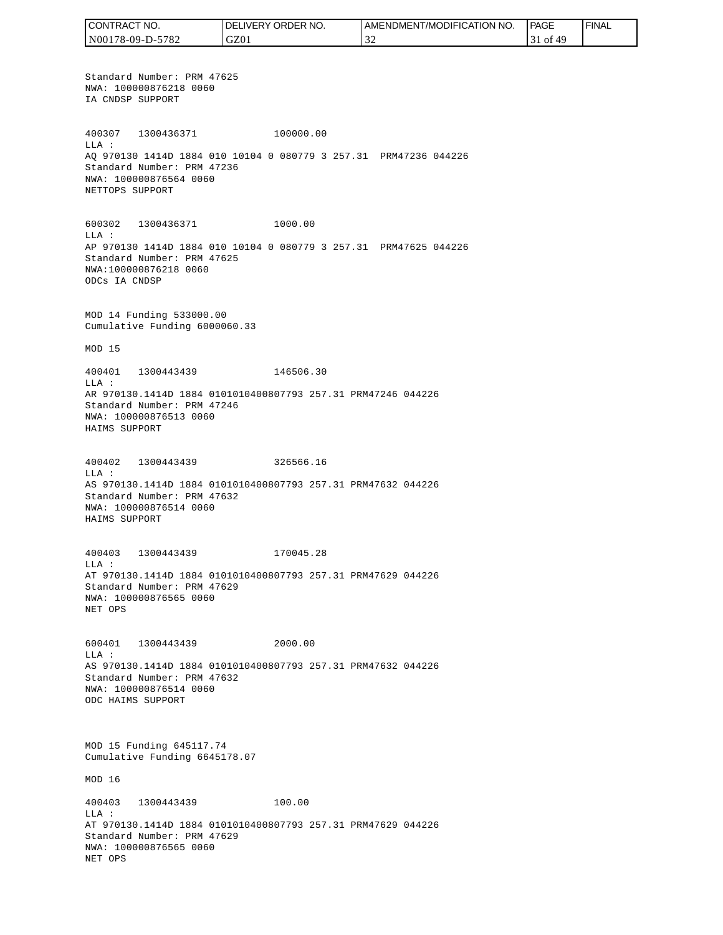CONTRACT NO. DELIVERY ORDER NO. AMENDMENT/MODIFICATION NO. PAGE FINALCONTRACT NO.<br>NO0178-09-D-5<br>Standard Numk<br>NWA: 1000087<br>IA CNDSP SUPP<br>400307 1300<br>400307 1300<br>400307 1300<br>MLA: 2000087<br>NET CNDSP SUPPC<br>600302 1300<br>NET TOPS SUPPC<br>600302 1300<br>LLA: AP 970130 141<br>Standard Numk<br>NWA: 10000087<br>MAD N00178-09-D-5782 GZ01 32 31 of 49 Standard Number: PRM 47625 NWA: 100000876218 0060 IA CNDSP SUPPORT 400307 1300436371 100000.00 LLA : AQ 970130 1414D 1884 010 10104 0 080779 3 257.31 PRM47236 044226 Standard Number: PRM 47236 NWA: 100000876564 0060 NETTOPS SUPPORT 600302 1300436371 1000.00 LLA : AP 970130 1414D 1884 010 10104 0 080779 3 257.31 PRM47625 044226 Standard Number: PRM 47625 NWA:100000876218 0060 ODCs IA CNDSP MOD 14 Funding 533000.00 Cumulative Funding 6000060.33 MOD 15 400401 1300443439 146506.30 LLA : AR 970130.1414D 1884 0101010400807793 257.31 PRM47246 044226 Standard Number: PRM 47246 NWA: 100000876513 0060 HAIMS SUPPORT 400402 1300443439 326566.16 LLA : AS 970130.1414D 1884 0101010400807793 257.31 PRM47632 044226 Standard Number: PRM 47632 NWA: 100000876514 0060 HAIMS SUPPORT 400403 1300443439 170045.28 LLA : AT 970130.1414D 1884 0101010400807793 257.31 PRM47629 044226 Standard Number: PRM 47629 NWA: 100000876565 0060 NET OPS 600401 1300443439 2000.00 LLA : AS 970130.1414D 1884 0101010400807793 257.31 PRM47632 044226 Standard Number: PRM 47632 NWA: 100000876514 0060 ODC HAIMS SUPPORT MOD 15 Funding 645117.74 Cumulative Funding 6645178.07 MOD 16 400403 1300443439 100.00 LLA : AT 970130.1414D 1884 0101010400807793 257.31 PRM47629 044226 Standard Number: PRM 47629 NWA: 100000876565 0060 NET OPS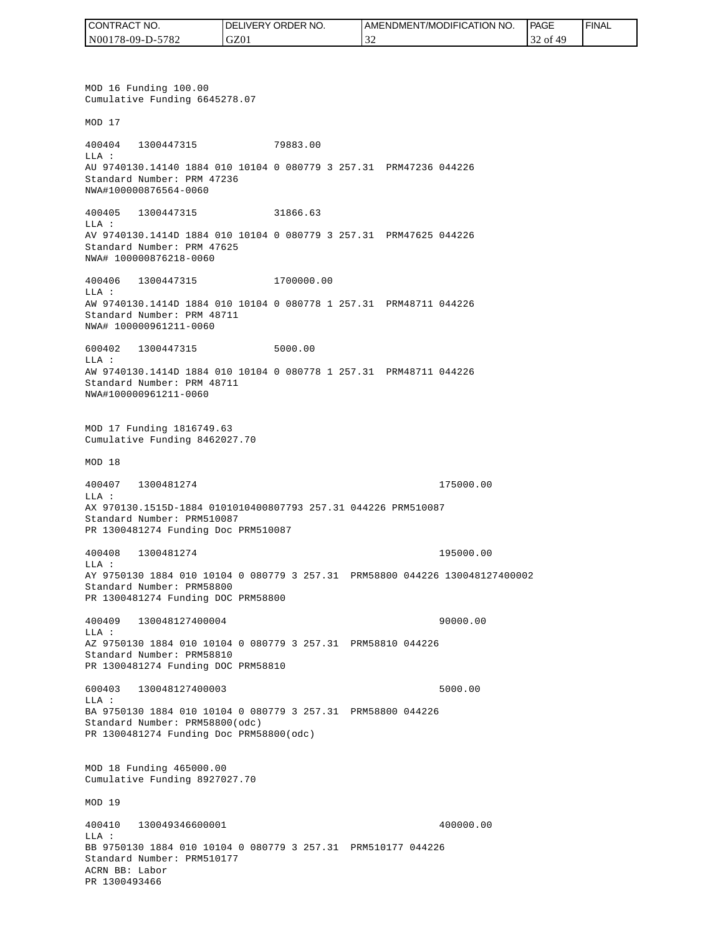| CONTRACT NO.     | <b>IDELIVERY ORDER NO.</b> | AMENDMENT/MODIFICATION<br>NO. | <b>PAGE</b> | ' FINAL |
|------------------|----------------------------|-------------------------------|-------------|---------|
| N00178-09-D-5782 | GZ01                       |                               | 32 of<br>49 |         |

MOD 16 Funding 100.00 Cumulative Funding 6645278.07 MOD 17 400404 1300447315 79883.00 LLA : AU 9740130.14140 1884 010 10104 0 080779 3 257.31 PRM47236 044226 Standard Number: PRM 47236 NWA#100000876564-0060 400405 1300447315 31866.63 LLA : AV 9740130.1414D 1884 010 10104 0 080779 3 257.31 PRM47625 044226 Standard Number: PRM 47625 NWA# 100000876218-0060 400406 1300447315 1700000.00 LLA : AW 9740130.1414D 1884 010 10104 0 080778 1 257.31 PRM48711 044226 Standard Number: PRM 48711 NWA# 100000961211-0060 600402 1300447315 5000.00 LLA : AW 9740130.1414D 1884 010 10104 0 080778 1 257.31 PRM48711 044226 Standard Number: PRM 48711 NWA#100000961211-0060 MOD 17 Funding 1816749.63 Cumulative Funding 8462027.70 MOD 18 400407 1300481274 175000.00 LLA : AX 970130.1515D-1884 0101010400807793 257.31 044226 PRM510087 Standard Number: PRM510087 PR 1300481274 Funding Doc PRM510087 400408 1300481274 195000.00 LLA : AY 9750130 1884 010 10104 0 080779 3 257.31 PRM58800 044226 130048127400002 Standard Number: PRM58800 PR 1300481274 Funding DOC PRM58800 400409 130048127400004 90000.00 LLA : AZ 9750130 1884 010 10104 0 080779 3 257.31 PRM58810 044226 Standard Number: PRM58810 PR 1300481274 Funding DOC PRM58810 600403 130048127400003 5000.00 LLA : BA 9750130 1884 010 10104 0 080779 3 257.31 PRM58800 044226 Standard Number: PRM58800(odc) PR 1300481274 Funding Doc PRM58800(odc) MOD 18 Funding 465000.00 Cumulative Funding 8927027.70 MOD 19 400410 130049346600001 400000.00  $L.L.A$  : BB 9750130 1884 010 10104 0 080779 3 257.31 PRM510177 044226 Standard Number: PRM510177 ACRN BB: Labor PR 1300493466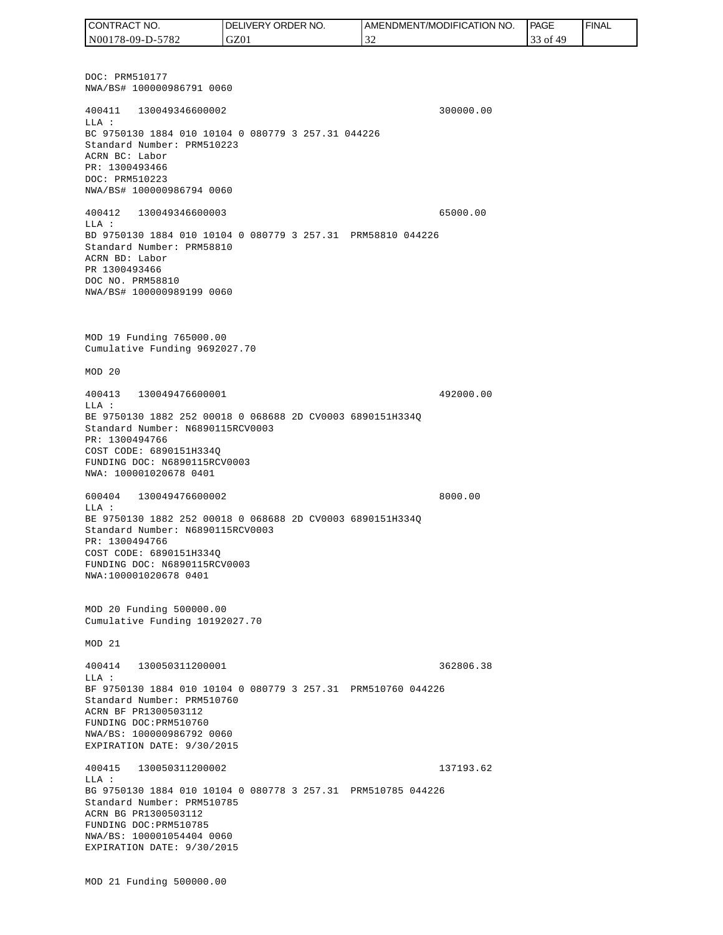DOC: PRM510177 NWA/BS# 100000986791 0060 400411 130049346600002 300000.00 LLA : BC 9750130 1884 010 10104 0 080779 3 257.31 044226 Standard Number: PRM510223 ACRN BC: Labor PR: 1300493466 DOC: PRM510223 NWA/BS# 100000986794 0060 400412 130049346600003 65000.00 LLA : BD 9750130 1884 010 10104 0 080779 3 257.31 PRM58810 044226 Standard Number: PRM58810 ACRN BD: Labor PR 1300493466 DOC NO. PRM58810 NWA/BS# 100000989199 0060 MOD 19 Funding 765000.00 Cumulative Funding 9692027.70 MOD 20 400413 130049476600001 492000.00 LLA : BE 9750130 1882 252 00018 0 068688 2D CV0003 6890151H334Q Standard Number: N6890115RCV0003 PR: 1300494766 COST CODE: 6890151H334Q FUNDING DOC: N6890115RCV0003 NWA: 100001020678 0401 600404 130049476600002 8000.00 LLA : BE 9750130 1882 252 00018 0 068688 2D CV0003 6890151H334Q Standard Number: N6890115RCV0003 PR: 1300494766 COST CODE: 6890151H334Q FUNDING DOC: N6890115RCV0003 NWA:100001020678 0401 MOD 20 Funding 500000.00 Cumulative Funding 10192027.70 MOD 21 400414 130050311200001 362806.38  $T.T.A$  : BF 9750130 1884 010 10104 0 080779 3 257.31 PRM510760 044226 Standard Number: PRM510760 ACRN BF PR1300503112 FUNDING DOC:PRM510760 NWA/BS: 100000986792 0060 EXPIRATION DATE: 9/30/2015 400415 130050311200002 137193.62 LLA : BG 9750130 1884 010 10104 0 080778 3 257.31 PRM510785 044226 Standard Number: PRM510785 ACRN BG PR1300503112 FUNDING DOC:PRM510785 NWA/BS: 100001054404 0060 EXPIRATION DATE: 9/30/2015 MOD 21 Funding 500000.00 CONTRACT NO. N00178-09-D-5782 DELIVERY ORDER NO. GZ01 AMENDMENT/MODIFICATION NO. 32 **PAGE**  33 of 49 FINAL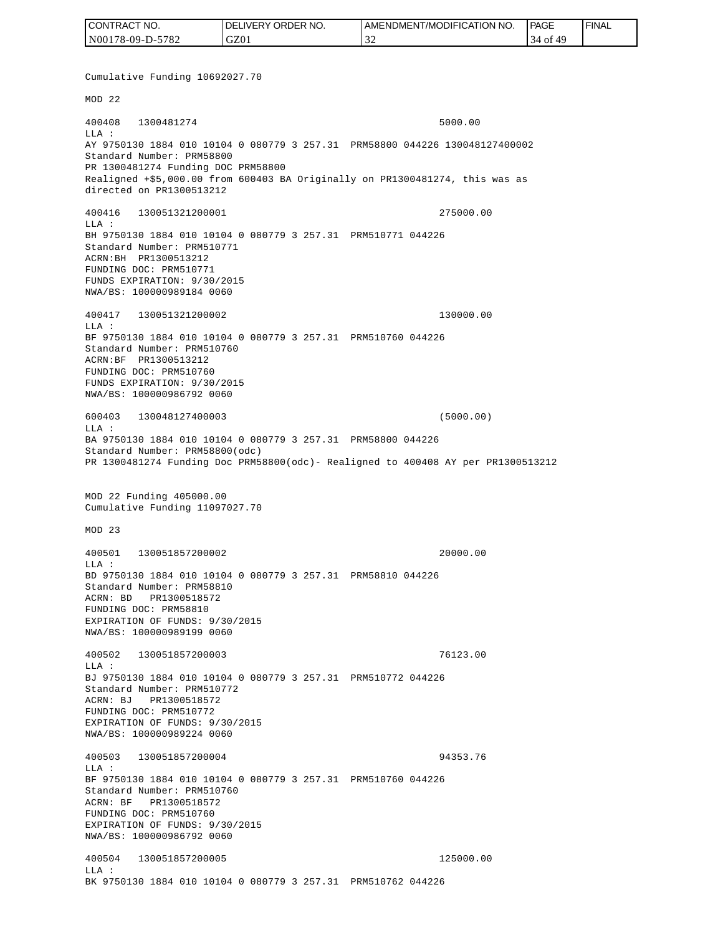| I CONTRACT NO.   | DELIVERY ORDER NO. | <b>AMENDMENT/MODIFICATION NO.</b> | <b>PAGE</b>                   | ' FINAL |
|------------------|--------------------|-----------------------------------|-------------------------------|---------|
| N00178-09-D-5782 | GZ01               | $\sim$                            | 49<br>‡ of<br>$\triangleleft$ |         |

Cumulative Funding 10692027.70 MOD 22 400408 1300481274 5000.00 LLA : AY 9750130 1884 010 10104 0 080779 3 257.31 PRM58800 044226 130048127400002 Standard Number: PRM58800 PR 1300481274 Funding DOC PRM58800 Realigned +\$5,000.00 from 600403 BA Originally on PR1300481274, this was as directed on PR1300513212 400416 130051321200001 275000.00 LLA : BH 9750130 1884 010 10104 0 080779 3 257.31 PRM510771 044226 Standard Number: PRM510771 ACRN:BH PR1300513212 FUNDING DOC: PRM510771 FUNDS EXPIRATION: 9/30/2015 NWA/BS: 100000989184 0060 400417 130051321200002 130000.00 LLA : BF 9750130 1884 010 10104 0 080779 3 257.31 PRM510760 044226 Standard Number: PRM510760 ACRN:BF PR1300513212 FUNDING DOC: PRM510760 FUNDS EXPIRATION: 9/30/2015 NWA/BS: 100000986792 0060 600403 130048127400003 (5000.00)  $L.L.A$  : BA 9750130 1884 010 10104 0 080779 3 257.31 PRM58800 044226 Standard Number: PRM58800(odc) PR 1300481274 Funding Doc PRM58800(odc)- Realigned to 400408 AY per PR1300513212 MOD 22 Funding 405000.00 Cumulative Funding 11097027.70 MOD 23 400501 130051857200002 20000.00  $L.L.A$  : BD 9750130 1884 010 10104 0 080779 3 257.31 PRM58810 044226 Standard Number: PRM58810 ACRN: BD PR1300518572 FUNDING DOC: PRM58810 EXPIRATION OF FUNDS: 9/30/2015 NWA/BS: 100000989199 0060 400502 130051857200003 76123.00 LLA : BJ 9750130 1884 010 10104 0 080779 3 257.31 PRM510772 044226 Standard Number: PRM510772 ACRN: BJ PR1300518572 FUNDING DOC: PRM510772 EXPIRATION OF FUNDS: 9/30/2015 NWA/BS: 100000989224 0060 400503 130051857200004 94353.76  $T.T.A$  : BF 9750130 1884 010 10104 0 080779 3 257.31 PRM510760 044226 Standard Number: PRM510760 ACRN: BF PR1300518572 FUNDING DOC: PRM510760 EXPIRATION OF FUNDS: 9/30/2015 NWA/BS: 100000986792 0060 400504 130051857200005 125000.00 LLA : BK 9750130 1884 010 10104 0 080779 3 257.31 PRM510762 044226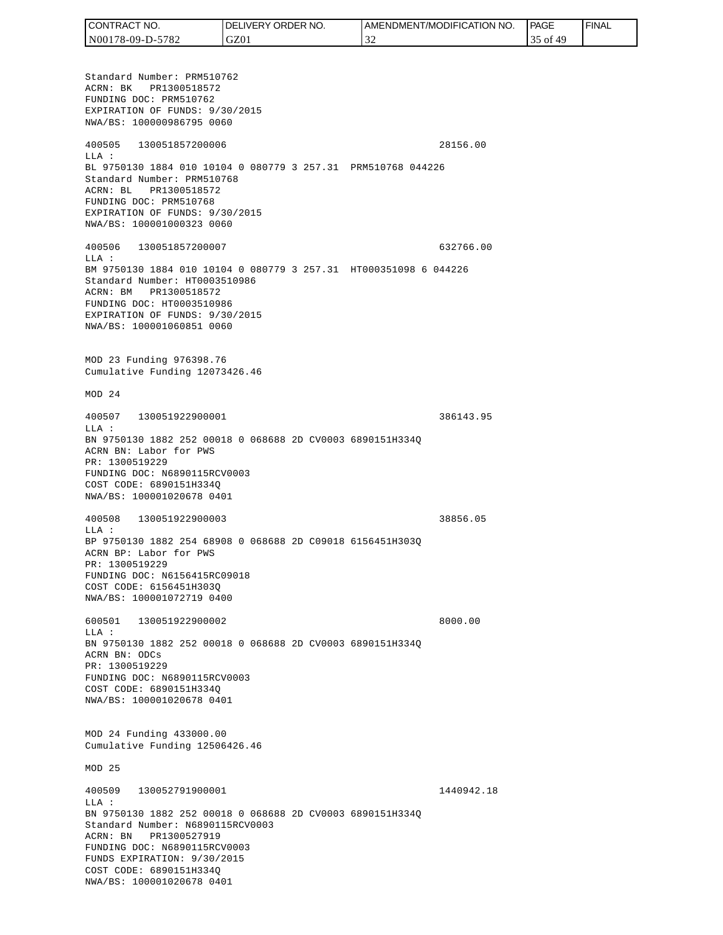| CONTRACT NO.     | DELIVERY ORDER NO. | I AMENDMENT/MODIFICATION NO. | PAGE            | 'FINAL |
|------------------|--------------------|------------------------------|-----------------|--------|
| N00178-09-D-5782 | GZ01               | -22                          | 0Ť<br>49<br>ر ر |        |

Standard Number: PRM510762 ACRN: BK PR1300518572 FUNDING DOC: PRM510762 EXPIRATION OF FUNDS: 9/30/2015 NWA/BS: 100000986795 0060 400505 130051857200006 28156.00 LLA : BL 9750130 1884 010 10104 0 080779 3 257.31 PRM510768 044226 Standard Number: PRM510768 ACRN: BL PR1300518572 FUNDING DOC: PRM510768 EXPIRATION OF FUNDS: 9/30/2015 NWA/BS: 100001000323 0060 400506 130051857200007 632766.00 LLA : BM 9750130 1884 010 10104 0 080779 3 257.31 HT000351098 6 044226 Standard Number: HT0003510986 ACRN: BM PR1300518572 FUNDING DOC: HT0003510986 EXPIRATION OF FUNDS: 9/30/2015 NWA/BS: 100001060851 0060 MOD 23 Funding 976398.76 Cumulative Funding 12073426.46 MOD 24 400507 130051922900001 386143.95  $T.T.A$  : BN 9750130 1882 252 00018 0 068688 2D CV0003 6890151H334Q ACRN BN: Labor for PWS PR: 1300519229 FUNDING DOC: N6890115RCV0003 COST CODE: 6890151H334Q NWA/BS: 100001020678 0401 400508 130051922900003 38856.05 LLA : BP 9750130 1882 254 68908 0 068688 2D C09018 6156451H303Q ACRN BP: Labor for PWS PR: 1300519229 FUNDING DOC: N6156415RC09018 COST CODE: 6156451H303Q NWA/BS: 100001072719 0400 600501 130051922900002 8000.00 LLA : BN 9750130 1882 252 00018 0 068688 2D CV0003 6890151H334Q ACRN BN: ODCs PR: 1300519229 FUNDING DOC: N6890115RCV0003 COST CODE: 6890151H334Q NWA/BS: 100001020678 0401 MOD 24 Funding 433000.00 Cumulative Funding 12506426.46 MOD 25 400509 130052791900001 1440942.18 LLA : BN 9750130 1882 252 00018 0 068688 2D CV0003 6890151H334Q Standard Number: N6890115RCV0003 ACRN: BN PR1300527919 FUNDING DOC: N6890115RCV0003 FUNDS EXPIRATION: 9/30/2015 COST CODE: 6890151H334Q NWA/BS: 100001020678 0401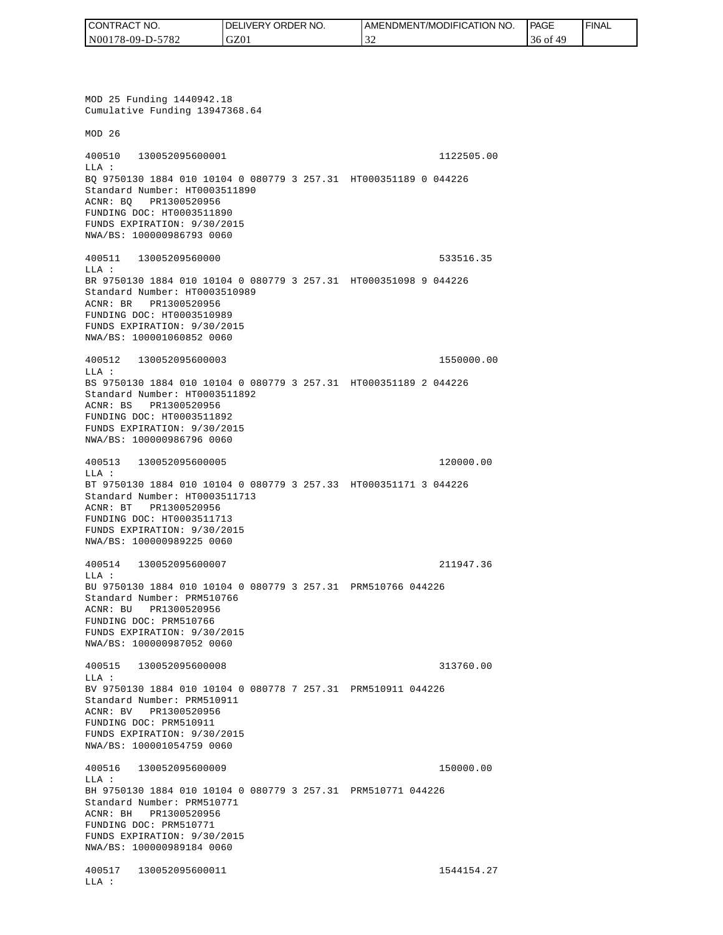| CONTRACT NO.     | <b>IDELIVERY ORDER NO.</b> | AMENDMENT/MODIFICATION NO. | <b>PAGE</b>  | ' FINAL |
|------------------|----------------------------|----------------------------|--------------|---------|
| N00178-09-D-5782 | GZ01                       |                            | -49<br>36 of |         |

MOD 25 Funding 1440942.18 Cumulative Funding 13947368.64 MOD 26 400510 130052095600001 1122505.00 LLA : BQ 9750130 1884 010 10104 0 080779 3 257.31 HT000351189 0 044226 Standard Number: HT0003511890 ACNR: BQ PR1300520956 FUNDING DOC: HT0003511890 FUNDS EXPIRATION: 9/30/2015 NWA/BS: 100000986793 0060 400511 13005209560000 533516.35 LLA : BR 9750130 1884 010 10104 0 080779 3 257.31 HT000351098 9 044226 Standard Number: HT0003510989 ACNR: BR PR1300520956 FUNDING DOC: HT0003510989 FUNDS EXPIRATION: 9/30/2015 NWA/BS: 100001060852 0060 400512 130052095600003 1550000.00 LLA : BS 9750130 1884 010 10104 0 080779 3 257.31 HT000351189 2 044226 Standard Number: HT0003511892 ACNR: BS PR1300520956 FUNDING DOC: HT0003511892 FUNDS EXPIRATION: 9/30/2015 NWA/BS: 100000986796 0060 400513 130052095600005 120000.00 LLA : BT 9750130 1884 010 10104 0 080779 3 257.33 HT000351171 3 044226 Standard Number: HT0003511713 ACNR: BT PR1300520956 FUNDING DOC: HT0003511713 FUNDS EXPIRATION: 9/30/2015 NWA/BS: 100000989225 0060 400514 130052095600007 211947.36 LLA : BU 9750130 1884 010 10104 0 080779 3 257.31 PRM510766 044226 Standard Number: PRM510766 ACNR: BU PR1300520956 FUNDING DOC: PRM510766 FUNDS EXPIRATION: 9/30/2015 NWA/BS: 100000987052 0060 400515 130052095600008 313760.00  $T.T.A$  : BV 9750130 1884 010 10104 0 080778 7 257.31 PRM510911 044226 Standard Number: PRM510911 ACNR: BV PR1300520956 FUNDING DOC: PRM510911 FUNDS EXPIRATION: 9/30/2015 NWA/BS: 100001054759 0060 400516 130052095600009 150000.00 LLA : BH 9750130 1884 010 10104 0 080779 3 257.31 PRM510771 044226 Standard Number: PRM510771 ACNR: BH PR1300520956 FUNDING DOC: PRM510771 FUNDS EXPIRATION: 9/30/2015 NWA/BS: 100000989184 0060 400517 130052095600011 1544154.27 LLA :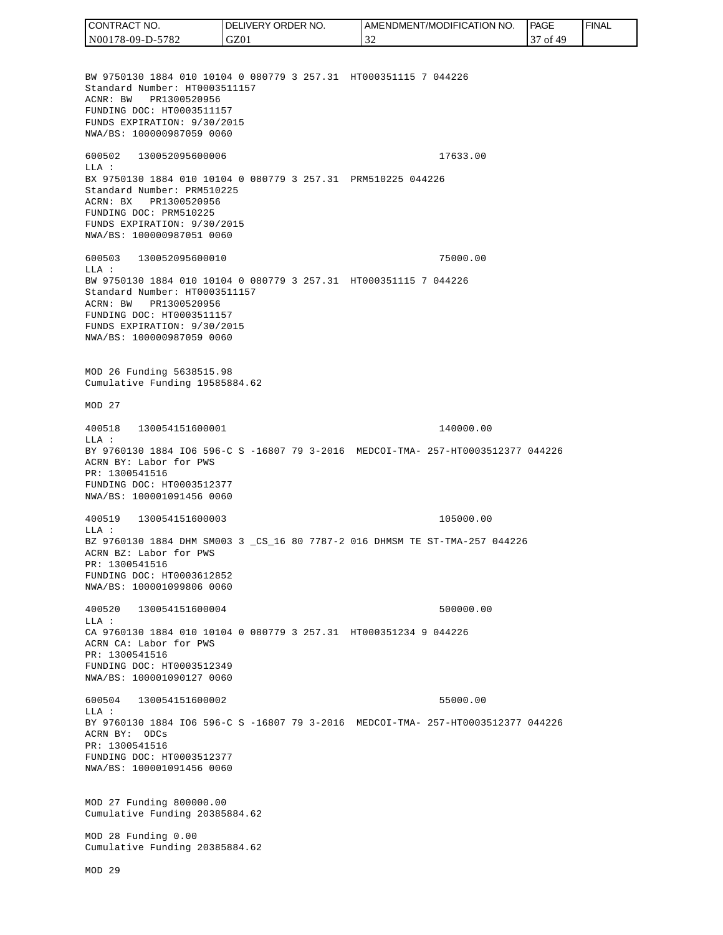CONTRACT NO. DELIVERY ORDER NO. AMENDMENT/MODIFICATION NO. **PAGE**  FINALCONTRACT NO.<br>
NO0178-09-D-5<br>
BW 9750130 18<br>
Standard Numb<br>
Standard Numb<br>
ACNR: BW PR<br>
FUNDING DOC:<br>
FUNDS EXPIRAT<br>
FUNDING DOC:<br>
TEUNDS EXPIRAT<br>
600502 1300<br>
600502 1300<br>
LLA: BX 9750130 18<br>
Standard Numb<br>
ACRR: BW PR<br>
FU N00178-09-D-5782 GZ01 32 37 of 49 BW 9750130 1884 010 10104 0 080779 3 257.31 HT000351115 7 044226 Standard Number: HT0003511157 ACNR: BW PR1300520956 FUNDING DOC: HT0003511157 FUNDS EXPIRATION: 9/30/2015 NWA/BS: 100000987059 0060 600502 130052095600006 17633.00 LLA : BX 9750130 1884 010 10104 0 080779 3 257.31 PRM510225 044226 Standard Number: PRM510225 ACRN: BX PR1300520956 FUNDING DOC: PRM510225 FUNDS EXPIRATION: 9/30/2015 NWA/BS: 100000987051 0060 600503 130052095600010 75000.00  $T.T.A$  : BW 9750130 1884 010 10104 0 080779 3 257.31 HT000351115 7 044226 Standard Number: HT0003511157 ACRN: BW PR1300520956 FUNDING DOC: HT0003511157 FUNDS EXPIRATION: 9/30/2015 NWA/BS: 100000987059 0060 MOD 26 Funding 5638515.98 Cumulative Funding 19585884.62 MOD 27 400518 130054151600001 140000.00 LLA : BY 9760130 1884 IO6 596-C S -16807 79 3-2016 MEDCOI-TMA- 257-HT0003512377 044226 ACRN BY: Labor for PWS PR: 1300541516 FUNDING DOC: HT0003512377 NWA/BS: 100001091456 0060 400519 130054151600003 105000.00 LLA : BZ 9760130 1884 DHM SM003 3 \_CS\_16 80 7787-2 016 DHMSM TE ST-TMA-257 044226 ACRN BZ: Labor for PWS PR: 1300541516 FUNDING DOC: HT0003612852 NWA/BS: 100001099806 0060 400520 130054151600004 500000.00  $L.L.A$  : CA 9760130 1884 010 10104 0 080779 3 257.31 HT000351234 9 044226 ACRN CA: Labor for PWS PR: 1300541516 FUNDING DOC: HT0003512349 NWA/BS: 100001090127 0060 600504 130054151600002 55000.00  $T.T.A$  : BY 9760130 1884 IO6 596-C S -16807 79 3-2016 MEDCOI-TMA- 257-HT0003512377 044226 ACRN BY: ODCs PR: 1300541516 FUNDING DOC: HT0003512377 NWA/BS: 100001091456 0060 MOD 27 Funding 800000.00 Cumulative Funding 20385884.62 MOD 28 Funding 0.00 Cumulative Funding 20385884.62 MOD 29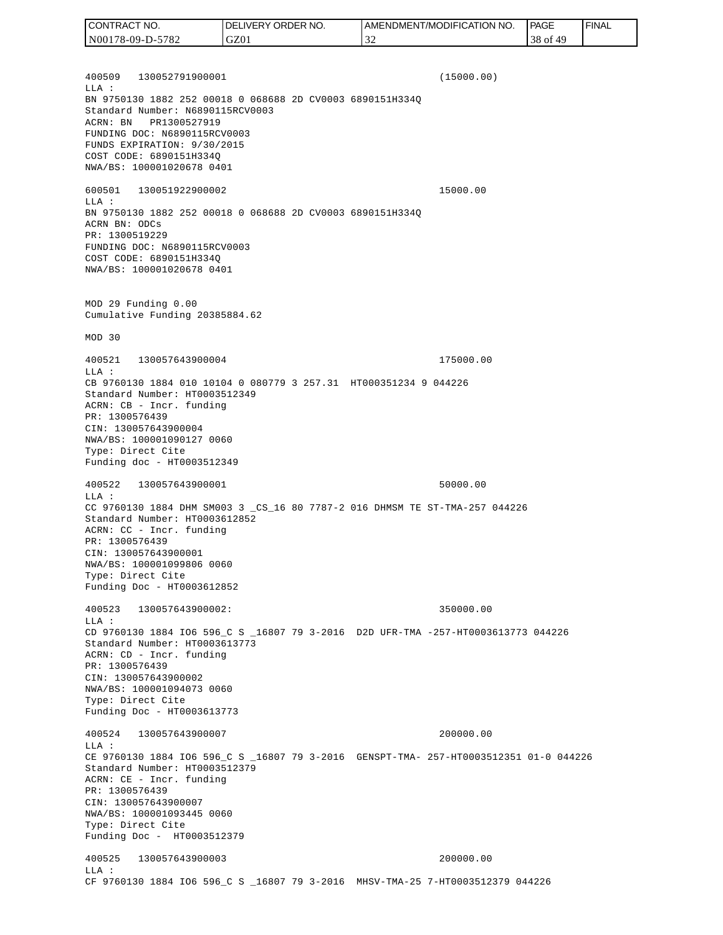400509 130052791900001 (15000.00) LLA : BN 9750130 1882 252 00018 0 068688 2D CV0003 6890151H334Q Standard Number: N6890115RCV0003 ACRN: BN PR1300527919 FUNDING DOC: N6890115RCV0003 FUNDS EXPIRATION: 9/30/2015 COST CODE: 6890151H334Q NWA/BS: 100001020678 0401 600501 130051922900002 15000.00 LLA : BN 9750130 1882 252 00018 0 068688 2D CV0003 6890151H334Q ACRN BN: ODCs PR: 1300519229 FUNDING DOC: N6890115RCV0003 COST CODE: 6890151H334Q NWA/BS: 100001020678 0401 MOD 29 Funding 0.00 Cumulative Funding 20385884.62 MOD 30 400521 130057643900004 175000.00 LLA : CB 9760130 1884 010 10104 0 080779 3 257.31 HT000351234 9 044226 Standard Number: HT0003512349 ACRN: CB - Incr. funding PR: 1300576439 CIN: 130057643900004 NWA/BS: 100001090127 0060 Type: Direct Cite Funding doc - HT0003512349 400522 130057643900001 50000.00 LLA : CC 9760130 1884 DHM SM003 3 \_CS\_16 80 7787-2 016 DHMSM TE ST-TMA-257 044226 Standard Number: HT0003612852 ACRN: CC - Incr. funding PR: 1300576439 CIN: 130057643900001 NWA/BS: 100001099806 0060 Type: Direct Cite Funding Doc - HT0003612852 400523 130057643900002: 350000.00  $L.L.A$  : CD 9760130 1884 IO6 596\_C S \_16807 79 3-2016 D2D UFR-TMA -257-HT0003613773 044226 Standard Number: HT0003613773 ACRN: CD - Incr. funding PR: 1300576439 CIN: 130057643900002 NWA/BS: 100001094073 0060 Type: Direct Cite Funding Doc - HT0003613773 400524 130057643900007 200000.00 LLA : CE 9760130 1884 IO6 596\_C S \_16807 79 3-2016 GENSPT-TMA- 257-HT0003512351 01-0 044226 Standard Number: HT0003512379 ACRN: CE - Incr. funding PR: 1300576439 CIN: 130057643900007 NWA/BS: 100001093445 0060 Type: Direct Cite Funding Doc - HT0003512379 400525 130057643900003 200000.00 LLA : CF 9760130 1884 IO6 596\_C S \_16807 79 3-2016 MHSV-TMA-25 7-HT0003512379 044226 CONTRACT NO. N00178-09-D-5782 DELIVERY ORDER NO. GZ01 AMENDMENT/MODIFICATION NO. 32 **PAGE**  38 of 49 FINAL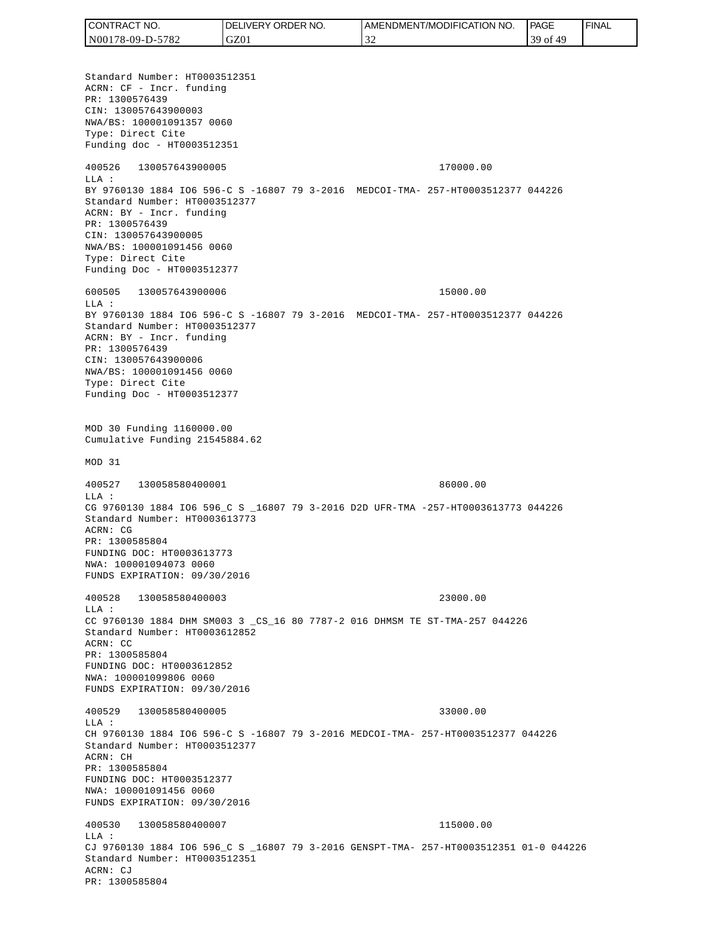Standard Number: HT0003512351 ACRN: CF - Incr. funding PR: 1300576439 CIN: 130057643900003 NWA/BS: 100001091357 0060 Type: Direct Cite Funding doc - HT0003512351 400526 130057643900005 170000.00 LLA : BY 9760130 1884 IO6 596-C S -16807 79 3-2016 MEDCOI-TMA- 257-HT0003512377 044226 Standard Number: HT0003512377 ACRN: BY - Incr. funding PR: 1300576439 CIN: 130057643900005 NWA/BS: 100001091456 0060 Type: Direct Cite Funding Doc - HT0003512377 600505 130057643900006 15000.00  $T.T.A$  : BY 9760130 1884 IO6 596-C S -16807 79 3-2016 MEDCOI-TMA- 257-HT0003512377 044226 Standard Number: HT0003512377 ACRN: BY - Incr. funding PR: 1300576439 CIN: 130057643900006 NWA/BS: 100001091456 0060 Type: Direct Cite Funding Doc - HT0003512377 MOD 30 Funding 1160000.00 Cumulative Funding 21545884.62 MOD 31 400527 130058580400001 86000.00 LLA : CG 9760130 1884 IO6 596\_C S \_16807 79 3-2016 D2D UFR-TMA -257-HT0003613773 044226 Standard Number: HT0003613773 ACRN: CG PR: 1300585804 FUNDING DOC: HT0003613773 NWA: 100001094073 0060 FUNDS EXPIRATION: 09/30/2016 400528 130058580400003 23000.00 LLA : CC 9760130 1884 DHM SM003 3 \_CS\_16 80 7787-2 016 DHMSM TE ST-TMA-257 044226 Standard Number: HT0003612852 ACRN: CC PR: 1300585804 FUNDING DOC: HT0003612852 NWA: 100001099806 0060 FUNDS EXPIRATION: 09/30/2016 400529 130058580400005 33000.00 LLA : CH 9760130 1884 IO6 596-C S -16807 79 3-2016 MEDCOI-TMA- 257-HT0003512377 044226 Standard Number: HT0003512377 ACRN: CH PR: 1300585804 FUNDING DOC: HT0003512377 NWA: 100001091456 0060 FUNDS EXPIRATION: 09/30/2016 400530 130058580400007 115000.00  $T.T.A$  : CJ 9760130 1884 IO6 596\_C S \_16807 79 3-2016 GENSPT-TMA- 257-HT0003512351 01-0 044226 Standard Number: HT0003512351 ACRN: CJ PR: 1300585804 CONTRACT NO. N00178-09-D-5782 DELIVERY ORDER NO. GZ01 AMENDMENT/MODIFICATION NO. 32 **PAGE**  39 of 49 FINAL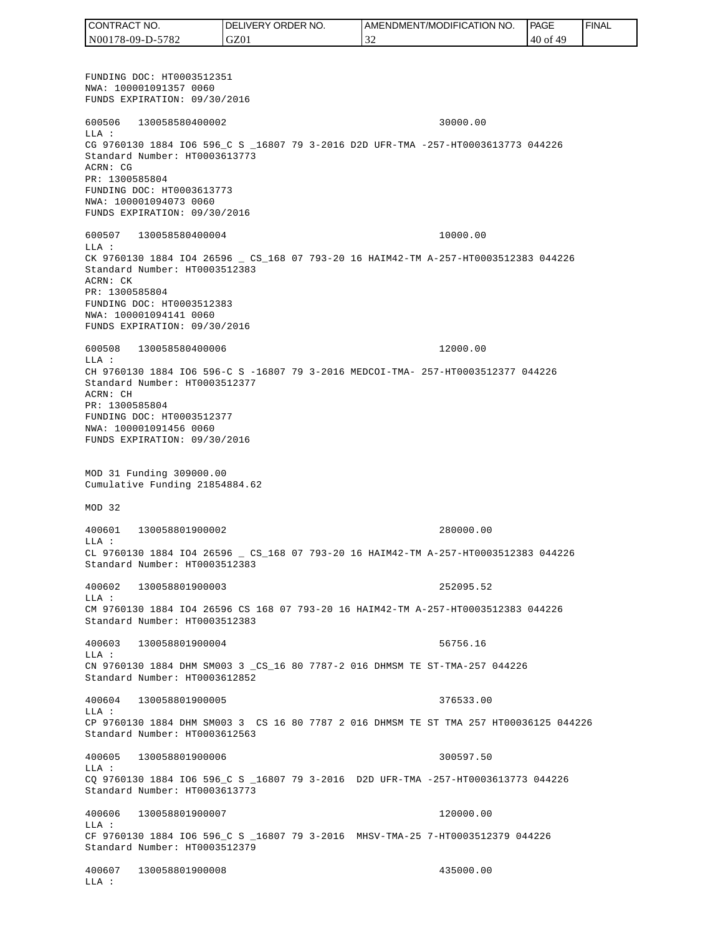FUNDING DOC: HT0003512351 NWA: 100001091357 0060 FUNDS EXPIRATION: 09/30/2016 600506 130058580400002 30000.00 LLA : CG 9760130 1884 IO6 596\_C S \_16807 79 3-2016 D2D UFR-TMA -257-HT0003613773 044226 Standard Number: HT0003613773 ACRN: CG PR: 1300585804 FUNDING DOC: HT0003613773 NWA: 100001094073 0060 FUNDS EXPIRATION: 09/30/2016 600507 130058580400004 10000.00 LLA : CK 9760130 1884 IO4 26596 \_ CS\_168 07 793-20 16 HAIM42-TM A-257-HT0003512383 044226 Standard Number: HT0003512383 ACRN: CK PR: 1300585804 FUNDING DOC: HT0003512383 NWA: 100001094141 0060 FUNDS EXPIRATION: 09/30/2016 600508 130058580400006 12000.00 LLA : CH 9760130 1884 IO6 596-C S -16807 79 3-2016 MEDCOI-TMA- 257-HT0003512377 044226 Standard Number: HT0003512377 ACRN: CH PR: 1300585804 FUNDING DOC: HT0003512377 NWA: 100001091456 0060 FUNDS EXPIRATION: 09/30/2016 MOD 31 Funding 309000.00 Cumulative Funding 21854884.62 MOD 32 400601 130058801900002 280000.00 LLA : CL 9760130 1884 IO4 26596 \_ CS\_168 07 793-20 16 HAIM42-TM A-257-HT0003512383 044226 Standard Number: HT0003512383 400602 130058801900003 252095.52 LLA : CM 9760130 1884 IO4 26596 CS 168 07 793-20 16 HAIM42-TM A-257-HT0003512383 044226 Standard Number: HT0003512383 400603 130058801900004 56756.16 LLA : CN 9760130 1884 DHM SM003 3 \_CS\_16 80 7787-2 016 DHMSM TE ST-TMA-257 044226 Standard Number: HT0003612852 400604 130058801900005 376533.00  $T.T.A$  : CP 9760130 1884 DHM SM003 3 CS 16 80 7787 2 016 DHMSM TE ST TMA 257 HT00036125 044226 Standard Number: HT0003612563 400605 130058801900006 300597.50  $T.T.A$  : CQ 9760130 1884 IO6 596\_C S \_16807 79 3-2016 D2D UFR-TMA -257-HT0003613773 044226 Standard Number: HT0003613773 400606 130058801900007 120000.00 LLA : CF 9760130 1884 IO6 596\_C S \_16807 79 3-2016 MHSV-TMA-25 7-HT0003512379 044226 Standard Number: HT0003512379 400607 130058801900008 435000.00 LLA : CONTRACT NO. N00178-09-D-5782 DELIVERY ORDER NO. GZ01 AMENDMENT/MODIFICATION NO. 32 **PAGE**  40 of 49 FINAL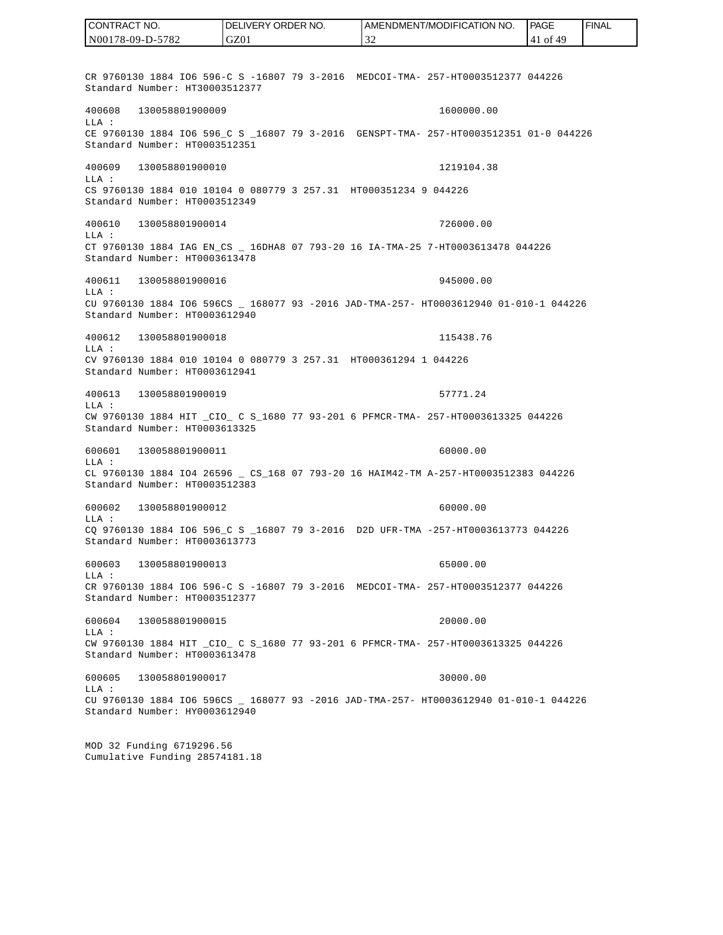CR 9760130 1884 IO6 596-C S -16807 79 3-2016 MEDCOI-TMA- 257-HT0003512377 044226 Standard Number: HT30003512377 400608 130058801900009 1600000.00 LLA : CE 9760130 1884 IO6 596 C S 16807 79 3-2016 GENSPT-TMA- 257-HT0003512351 01-0 044226 Standard Number: HT0003512351 400609 130058801900010 1219104.38 LLA : CS 9760130 1884 010 10104 0 080779 3 257.31 HT000351234 9 044226 Standard Number: HT0003512349 400610 130058801900014 726000.00 LLA : CT 9760130 1884 IAG EN\_CS \_ 16DHA8 07 793-20 16 IA-TMA-25 7-HT0003613478 044226 Standard Number: HT0003613478 400611 130058801900016 945000.00 LLA : CU 9760130 1884 IO6 596CS \_ 168077 93 -2016 JAD-TMA-257- HT0003612940 01-010-1 044226 Standard Number: HT0003612940 400612 130058801900018 115438.76 LLA : CV 9760130 1884 010 10104 0 080779 3 257.31 HT000361294 1 044226 Standard Number: HT0003612941 400613 130058801900019 57771.24 LLA : CW 9760130 1884 HIT \_CIO\_ C S\_1680 77 93-201 6 PFMCR-TMA- 257-HT0003613325 044226 Standard Number: HT0003613325 600601 130058801900011 60000.00 LLA : CL 9760130 1884 IO4 26596 \_ CS\_168 07 793-20 16 HAIM42-TM A-257-HT0003512383 044226 Standard Number: HT0003512383 600602 130058801900012 60000.00 LLA : CQ 9760130 1884 IO6 596\_C S \_16807 79 3-2016 D2D UFR-TMA -257-HT0003613773 044226 Standard Number: HT0003613773 600603 130058801900013 65000.00 LLA : CR 9760130 1884 IO6 596-C S -16807 79 3-2016 MEDCOI-TMA- 257-HT0003512377 044226 Standard Number: HT0003512377 600604 130058801900015 20000.00 LLA : CW 9760130 1884 HIT \_CIO\_ C S\_1680 77 93-201 6 PFMCR-TMA- 257-HT0003613325 044226 Standard Number: HT0003613478 600605 130058801900017 30000.00 LLA : CU 9760130 1884 IO6 596CS \_ 168077 93 -2016 JAD-TMA-257- HT0003612940 01-010-1 044226 Standard Number: HY0003612940 MOD 32 Funding 6719296.56 Cumulative Funding 28574181.18 CONTRACT NO. N00178-09-D-5782 DELIVERY ORDER NO. GZ01 AMENDMENT/MODIFICATION NO. 32 PAGE 41 of 49 FINAL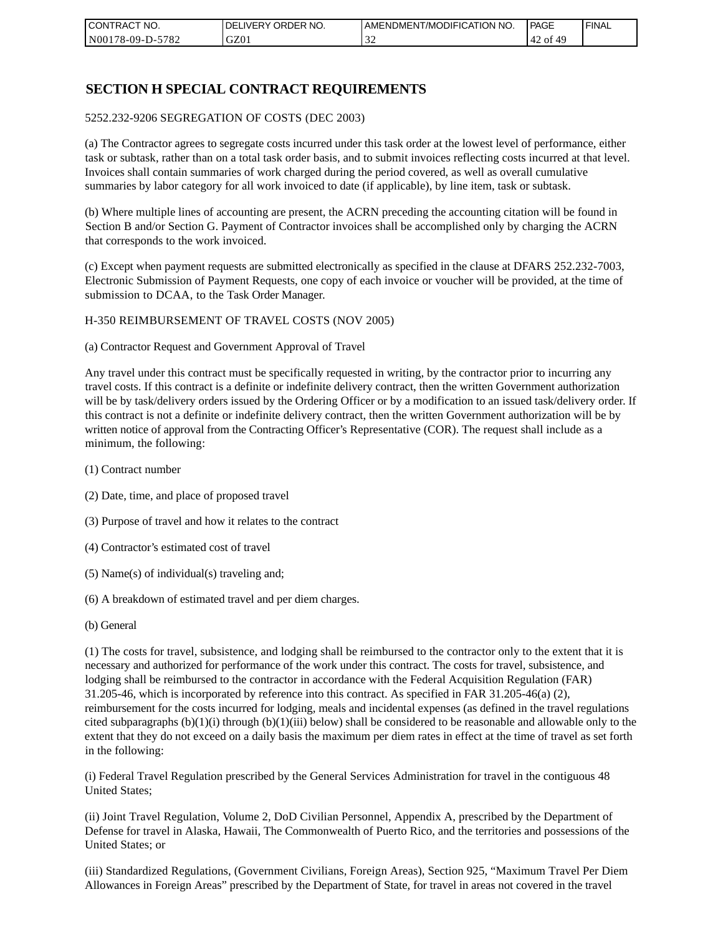| I CONTRACT NO.   | NO.<br>DELIVERY ORDER | AMENDMENT/MODIFICATION NO. | PAGE           | ' FINAL |
|------------------|-----------------------|----------------------------|----------------|---------|
| N00178-09-D-5782 | GZ01                  | - - -                      | 49<br>of<br>42 |         |

## **SECTION H SPECIAL CONTRACT REQUIREMENTS**

#### 5252.232-9206 SEGREGATION OF COSTS (DEC 2003)

(a) The Contractor agrees to segregate costs incurred under this task order at the lowest level of performance, either task or subtask, rather than on a total task order basis, and to submit invoices reflecting costs incurred at that level. Invoices shall contain summaries of work charged during the period covered, as well as overall cumulative summaries by labor category for all work invoiced to date (if applicable), by line item, task or subtask.

(b) Where multiple lines of accounting are present, the ACRN preceding the accounting citation will be found in Section B and/or Section G. Payment of Contractor invoices shall be accomplished only by charging the ACRN that corresponds to the work invoiced.

(c) Except when payment requests are submitted electronically as specified in the clause at DFARS 252.232-7003, Electronic Submission of Payment Requests, one copy of each invoice or voucher will be provided, at the time of submission to DCAA, to the Task Order Manager.

#### H-350 REIMBURSEMENT OF TRAVEL COSTS (NOV 2005)

(a) Contractor Request and Government Approval of Travel

Any travel under this contract must be specifically requested in writing, by the contractor prior to incurring any travel costs. If this contract is a definite or indefinite delivery contract, then the written Government authorization will be by task/delivery orders issued by the Ordering Officer or by a modification to an issued task/delivery order. If this contract is not a definite or indefinite delivery contract, then the written Government authorization will be by written notice of approval from the Contracting Officer's Representative (COR). The request shall include as a minimum, the following:

- (1) Contract number
- (2) Date, time, and place of proposed travel
- (3) Purpose of travel and how it relates to the contract
- (4) Contractor's estimated cost of travel
- (5) Name(s) of individual(s) traveling and;
- (6) A breakdown of estimated travel and per diem charges.
- (b) General

(1) The costs for travel, subsistence, and lodging shall be reimbursed to the contractor only to the extent that it is necessary and authorized for performance of the work under this contract. The costs for travel, subsistence, and lodging shall be reimbursed to the contractor in accordance with the Federal Acquisition Regulation (FAR) 31.205-46, which is incorporated by reference into this contract. As specified in FAR 31.205-46(a) (2), reimbursement for the costs incurred for lodging, meals and incidental expenses (as defined in the travel regulations cited subparagraphs  $(b)(1)(i)$  through  $(b)(1)(iii)$  below) shall be considered to be reasonable and allowable only to the extent that they do not exceed on a daily basis the maximum per diem rates in effect at the time of travel as set forth in the following:

(i) Federal Travel Regulation prescribed by the General Services Administration for travel in the contiguous 48 United States;

(ii) Joint Travel Regulation, Volume 2, DoD Civilian Personnel, Appendix A, prescribed by the Department of Defense for travel in Alaska, Hawaii, The Commonwealth of Puerto Rico, and the territories and possessions of the United States; or

(iii) Standardized Regulations, (Government Civilians, Foreign Areas), Section 925, "Maximum Travel Per Diem Allowances in Foreign Areas" prescribed by the Department of State, for travel in areas not covered in the travel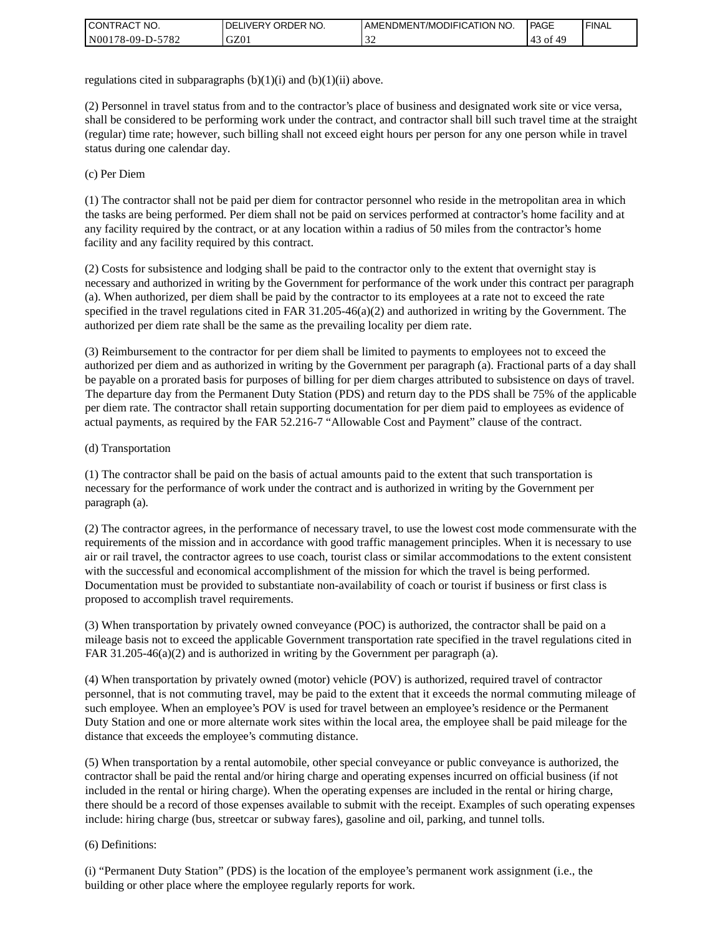| <b>CONTRACT</b><br>`CT NO. | `NO.<br><b>DELIVERY ORDER</b> | AMENDMENT/MODIFICATION NO. | <b>PAGE</b> | ' FINAL |
|----------------------------|-------------------------------|----------------------------|-------------|---------|
| N00178-09-D-5782           | GZ01                          | - - -                      | ot.         |         |

regulations cited in subparagraphs  $(b)(1)(i)$  and  $(b)(1)(ii)$  above.

(2) Personnel in travel status from and to the contractor's place of business and designated work site or vice versa, shall be considered to be performing work under the contract, and contractor shall bill such travel time at the straight (regular) time rate; however, such billing shall not exceed eight hours per person for any one person while in travel status during one calendar day.

(c) Per Diem

(1) The contractor shall not be paid per diem for contractor personnel who reside in the metropolitan area in which the tasks are being performed. Per diem shall not be paid on services performed at contractor's home facility and at any facility required by the contract, or at any location within a radius of 50 miles from the contractor's home facility and any facility required by this contract.

(2) Costs for subsistence and lodging shall be paid to the contractor only to the extent that overnight stay is necessary and authorized in writing by the Government for performance of the work under this contract per paragraph (a). When authorized, per diem shall be paid by the contractor to its employees at a rate not to exceed the rate specified in the travel regulations cited in FAR 31.205-46(a)(2) and authorized in writing by the Government. The authorized per diem rate shall be the same as the prevailing locality per diem rate.

(3) Reimbursement to the contractor for per diem shall be limited to payments to employees not to exceed the authorized per diem and as authorized in writing by the Government per paragraph (a). Fractional parts of a day shall be payable on a prorated basis for purposes of billing for per diem charges attributed to subsistence on days of travel. The departure day from the Permanent Duty Station (PDS) and return day to the PDS shall be 75% of the applicable per diem rate. The contractor shall retain supporting documentation for per diem paid to employees as evidence of actual payments, as required by the FAR 52.216-7 "Allowable Cost and Payment" clause of the contract.

### (d) Transportation

(1) The contractor shall be paid on the basis of actual amounts paid to the extent that such transportation is necessary for the performance of work under the contract and is authorized in writing by the Government per paragraph (a).

(2) The contractor agrees, in the performance of necessary travel, to use the lowest cost mode commensurate with the requirements of the mission and in accordance with good traffic management principles. When it is necessary to use air or rail travel, the contractor agrees to use coach, tourist class or similar accommodations to the extent consistent with the successful and economical accomplishment of the mission for which the travel is being performed. Documentation must be provided to substantiate non-availability of coach or tourist if business or first class is proposed to accomplish travel requirements.

(3) When transportation by privately owned conveyance (POC) is authorized, the contractor shall be paid on a mileage basis not to exceed the applicable Government transportation rate specified in the travel regulations cited in FAR 31.205-46(a)(2) and is authorized in writing by the Government per paragraph (a).

(4) When transportation by privately owned (motor) vehicle (POV) is authorized, required travel of contractor personnel, that is not commuting travel, may be paid to the extent that it exceeds the normal commuting mileage of such employee. When an employee's POV is used for travel between an employee's residence or the Permanent Duty Station and one or more alternate work sites within the local area, the employee shall be paid mileage for the distance that exceeds the employee's commuting distance.

(5) When transportation by a rental automobile, other special conveyance or public conveyance is authorized, the contractor shall be paid the rental and/or hiring charge and operating expenses incurred on official business (if not included in the rental or hiring charge). When the operating expenses are included in the rental or hiring charge, there should be a record of those expenses available to submit with the receipt. Examples of such operating expenses include: hiring charge (bus, streetcar or subway fares), gasoline and oil, parking, and tunnel tolls.

### (6) Definitions:

(i) "Permanent Duty Station" (PDS) is the location of the employee's permanent work assignment (i.e., the building or other place where the employee regularly reports for work.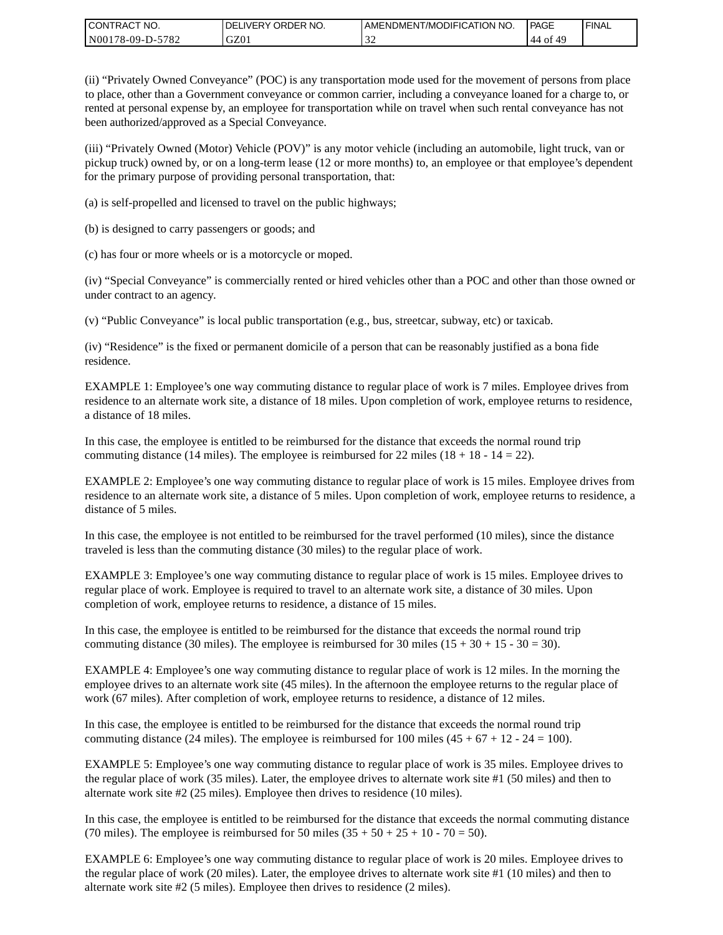| CONTRACT<br>°CT NO.      | NO.<br>' ORDER<br><b>DELIVERY</b> | AMENDMENT/MODIFICATION NO. | <b>PAGE</b> | 'FINAL |
|--------------------------|-----------------------------------|----------------------------|-------------|--------|
| N00178-09-D-5<br>$-5782$ | GZ01                              |                            | '44 of      |        |

(ii) "Privately Owned Conveyance" (POC) is any transportation mode used for the movement of persons from place to place, other than a Government conveyance or common carrier, including a conveyance loaned for a charge to, or rented at personal expense by, an employee for transportation while on travel when such rental conveyance has not been authorized/approved as a Special Conveyance.

(iii) "Privately Owned (Motor) Vehicle (POV)" is any motor vehicle (including an automobile, light truck, van or pickup truck) owned by, or on a long-term lease (12 or more months) to, an employee or that employee's dependent for the primary purpose of providing personal transportation, that:

(a) is self-propelled and licensed to travel on the public highways;

(b) is designed to carry passengers or goods; and

(c) has four or more wheels or is a motorcycle or moped.

(iv) "Special Conveyance" is commercially rented or hired vehicles other than a POC and other than those owned or under contract to an agency.

(v) "Public Conveyance" is local public transportation (e.g., bus, streetcar, subway, etc) or taxicab.

(iv) "Residence" is the fixed or permanent domicile of a person that can be reasonably justified as a bona fide residence.

EXAMPLE 1: Employee's one way commuting distance to regular place of work is 7 miles. Employee drives from residence to an alternate work site, a distance of 18 miles. Upon completion of work, employee returns to residence, a distance of 18 miles.

In this case, the employee is entitled to be reimbursed for the distance that exceeds the normal round trip commuting distance (14 miles). The employee is reimbursed for 22 miles (18 + 18 - 14 = 22).

EXAMPLE 2: Employee's one way commuting distance to regular place of work is 15 miles. Employee drives from residence to an alternate work site, a distance of 5 miles. Upon completion of work, employee returns to residence, a distance of 5 miles.

In this case, the employee is not entitled to be reimbursed for the travel performed (10 miles), since the distance traveled is less than the commuting distance (30 miles) to the regular place of work.

EXAMPLE 3: Employee's one way commuting distance to regular place of work is 15 miles. Employee drives to regular place of work. Employee is required to travel to an alternate work site, a distance of 30 miles. Upon completion of work, employee returns to residence, a distance of 15 miles.

In this case, the employee is entitled to be reimbursed for the distance that exceeds the normal round trip commuting distance (30 miles). The employee is reimbursed for 30 miles  $(15 + 30 + 15 - 30 = 30)$ .

EXAMPLE 4: Employee's one way commuting distance to regular place of work is 12 miles. In the morning the employee drives to an alternate work site (45 miles). In the afternoon the employee returns to the regular place of work (67 miles). After completion of work, employee returns to residence, a distance of 12 miles.

In this case, the employee is entitled to be reimbursed for the distance that exceeds the normal round trip commuting distance (24 miles). The employee is reimbursed for 100 miles  $(45 + 67 + 12 - 24 = 100)$ .

EXAMPLE 5: Employee's one way commuting distance to regular place of work is 35 miles. Employee drives to the regular place of work (35 miles). Later, the employee drives to alternate work site #1 (50 miles) and then to alternate work site #2 (25 miles). Employee then drives to residence (10 miles).

In this case, the employee is entitled to be reimbursed for the distance that exceeds the normal commuting distance (70 miles). The employee is reimbursed for 50 miles  $(35 + 50 + 25 + 10 - 70 = 50)$ .

EXAMPLE 6: Employee's one way commuting distance to regular place of work is 20 miles. Employee drives to the regular place of work (20 miles). Later, the employee drives to alternate work site #1 (10 miles) and then to alternate work site #2 (5 miles). Employee then drives to residence (2 miles).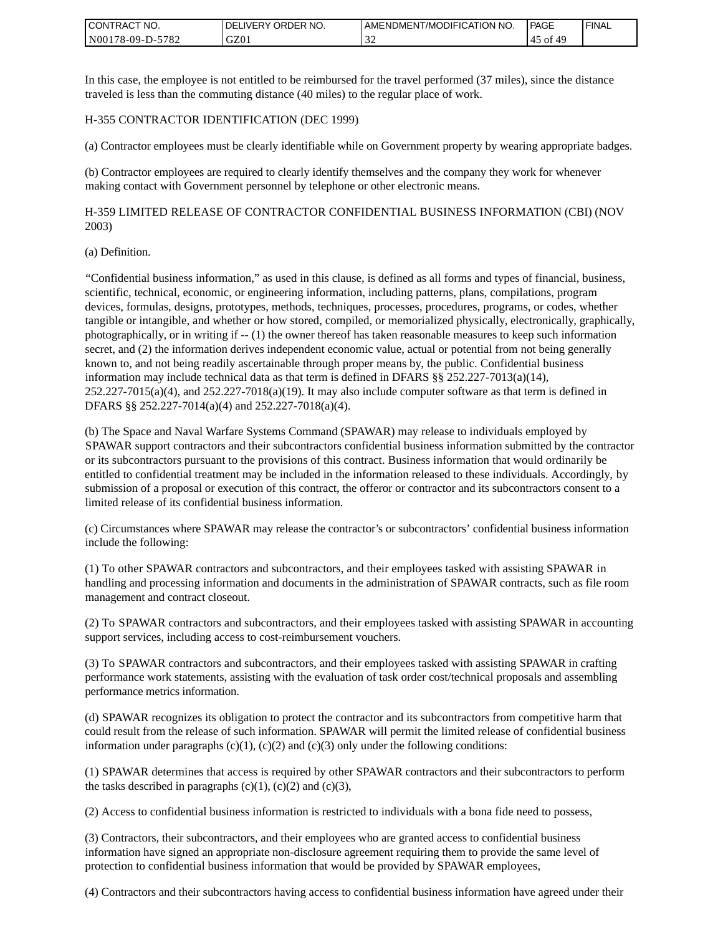| <b>I CONTRACT NO.</b>               | NO.<br>DELIVERY ORDER | AMENDMENT/MODIFICATION NO. | PAGE | <b>I FINAL</b> |
|-------------------------------------|-----------------------|----------------------------|------|----------------|
| 5782<br>N001<br>78-09-E<br>$D^{-r}$ | GZ01                  | - - -                      | ΟĪ   |                |

In this case, the employee is not entitled to be reimbursed for the travel performed (37 miles), since the distance traveled is less than the commuting distance (40 miles) to the regular place of work.

### H-355 CONTRACTOR IDENTIFICATION (DEC 1999)

(a) Contractor employees must be clearly identifiable while on Government property by wearing appropriate badges.

(b) Contractor employees are required to clearly identify themselves and the company they work for whenever making contact with Government personnel by telephone or other electronic means.

H-359 LIMITED RELEASE OF CONTRACTOR CONFIDENTIAL BUSINESS INFORMATION (CBI) (NOV 2003)

#### (a) Definition.

"Confidential business information," as used in this clause, is defined as all forms and types of financial, business, scientific, technical, economic, or engineering information, including patterns, plans, compilations, program devices, formulas, designs, prototypes, methods, techniques, processes, procedures, programs, or codes, whether tangible or intangible, and whether or how stored, compiled, or memorialized physically, electronically, graphically, photographically, or in writing if -- (1) the owner thereof has taken reasonable measures to keep such information secret, and (2) the information derives independent economic value, actual or potential from not being generally known to, and not being readily ascertainable through proper means by, the public. Confidential business information may include technical data as that term is defined in DFARS  $\S$ § 252.227-7013(a)(14),  $252.227-7015(a)(4)$ , and  $252.227-7018(a)(19)$ . It may also include computer software as that term is defined in DFARS §§ 252.227-7014(a)(4) and 252.227-7018(a)(4).

(b) The Space and Naval Warfare Systems Command (SPAWAR) may release to individuals employed by SPAWAR support contractors and their subcontractors confidential business information submitted by the contractor or its subcontractors pursuant to the provisions of this contract. Business information that would ordinarily be entitled to confidential treatment may be included in the information released to these individuals. Accordingly, by submission of a proposal or execution of this contract, the offeror or contractor and its subcontractors consent to a limited release of its confidential business information.

(c) Circumstances where SPAWAR may release the contractor's or subcontractors' confidential business information include the following:

(1) To other SPAWAR contractors and subcontractors, and their employees tasked with assisting SPAWAR in handling and processing information and documents in the administration of SPAWAR contracts, such as file room management and contract closeout.

(2) To SPAWAR contractors and subcontractors, and their employees tasked with assisting SPAWAR in accounting support services, including access to cost-reimbursement vouchers.

(3) To SPAWAR contractors and subcontractors, and their employees tasked with assisting SPAWAR in crafting performance work statements, assisting with the evaluation of task order cost/technical proposals and assembling performance metrics information.

(d) SPAWAR recognizes its obligation to protect the contractor and its subcontractors from competitive harm that could result from the release of such information. SPAWAR will permit the limited release of confidential business information under paragraphs  $(c)(1)$ ,  $(c)(2)$  and  $(c)(3)$  only under the following conditions:

(1) SPAWAR determines that access is required by other SPAWAR contractors and their subcontractors to perform the tasks described in paragraphs  $(c)(1)$ ,  $(c)(2)$  and  $(c)(3)$ ,

(2) Access to confidential business information is restricted to individuals with a bona fide need to possess,

(3) Contractors, their subcontractors, and their employees who are granted access to confidential business information have signed an appropriate non-disclosure agreement requiring them to provide the same level of protection to confidential business information that would be provided by SPAWAR employees,

(4) Contractors and their subcontractors having access to confidential business information have agreed under their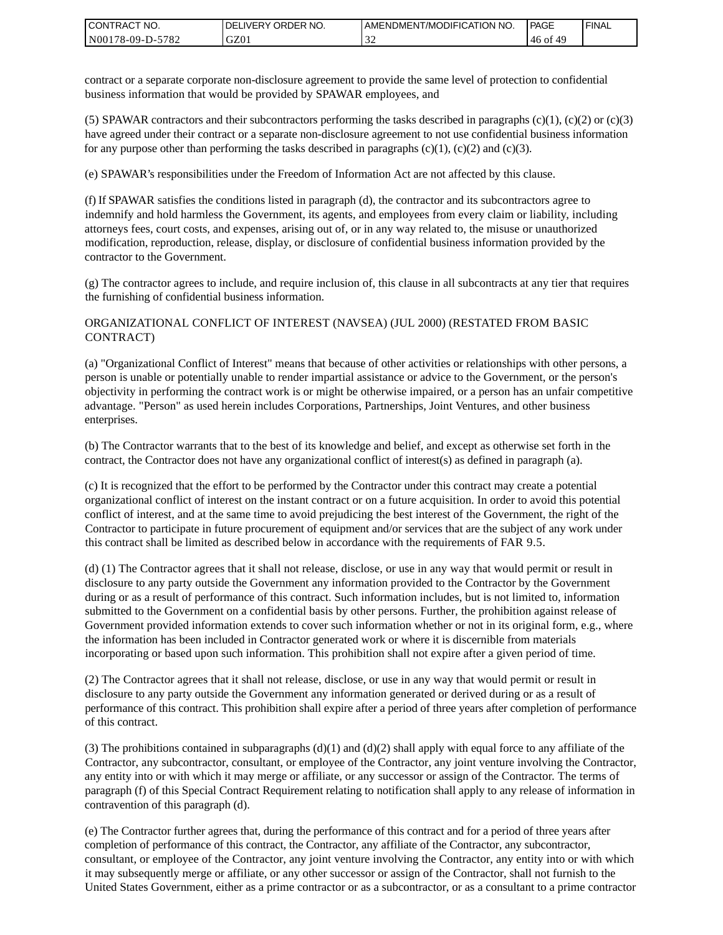| I CONTRACT NO.   | DELIVERY ORDER NO. | AMENDMENT/MODIFICATION NO. | PAGE          | ' FINAL |
|------------------|--------------------|----------------------------|---------------|---------|
| N00178-09-D-5782 | GZ01               |                            | $.46$ of $49$ |         |

contract or a separate corporate non-disclosure agreement to provide the same level of protection to confidential business information that would be provided by SPAWAR employees, and

(5) SPAWAR contractors and their subcontractors performing the tasks described in paragraphs  $(c)(1)$ ,  $(c)(2)$  or  $(c)(3)$ have agreed under their contract or a separate non-disclosure agreement to not use confidential business information for any purpose other than performing the tasks described in paragraphs  $(c)(1)$ ,  $(c)(2)$  and  $(c)(3)$ .

(e) SPAWAR's responsibilities under the Freedom of Information Act are not affected by this clause.

(f) If SPAWAR satisfies the conditions listed in paragraph (d), the contractor and its subcontractors agree to indemnify and hold harmless the Government, its agents, and employees from every claim or liability, including attorneys fees, court costs, and expenses, arising out of, or in any way related to, the misuse or unauthorized modification, reproduction, release, display, or disclosure of confidential business information provided by the contractor to the Government.

(g) The contractor agrees to include, and require inclusion of, this clause in all subcontracts at any tier that requires the furnishing of confidential business information.

### ORGANIZATIONAL CONFLICT OF INTEREST (NAVSEA) (JUL 2000) (RESTATED FROM BASIC CONTRACT)

(a) "Organizational Conflict of Interest" means that because of other activities or relationships with other persons, a person is unable or potentially unable to render impartial assistance or advice to the Government, or the person's objectivity in performing the contract work is or might be otherwise impaired, or a person has an unfair competitive advantage. "Person" as used herein includes Corporations, Partnerships, Joint Ventures, and other business enterprises.

(b) The Contractor warrants that to the best of its knowledge and belief, and except as otherwise set forth in the contract, the Contractor does not have any organizational conflict of interest(s) as defined in paragraph (a).

(c) It is recognized that the effort to be performed by the Contractor under this contract may create a potential organizational conflict of interest on the instant contract or on a future acquisition. In order to avoid this potential conflict of interest, and at the same time to avoid prejudicing the best interest of the Government, the right of the Contractor to participate in future procurement of equipment and/or services that are the subject of any work under this contract shall be limited as described below in accordance with the requirements of FAR 9.5.

(d) (1) The Contractor agrees that it shall not release, disclose, or use in any way that would permit or result in disclosure to any party outside the Government any information provided to the Contractor by the Government during or as a result of performance of this contract. Such information includes, but is not limited to, information submitted to the Government on a confidential basis by other persons. Further, the prohibition against release of Government provided information extends to cover such information whether or not in its original form, e.g., where the information has been included in Contractor generated work or where it is discernible from materials incorporating or based upon such information. This prohibition shall not expire after a given period of time.

(2) The Contractor agrees that it shall not release, disclose, or use in any way that would permit or result in disclosure to any party outside the Government any information generated or derived during or as a result of performance of this contract. This prohibition shall expire after a period of three years after completion of performance of this contract.

(3) The prohibitions contained in subparagraphs  $(d)(1)$  and  $(d)(2)$  shall apply with equal force to any affiliate of the Contractor, any subcontractor, consultant, or employee of the Contractor, any joint venture involving the Contractor, any entity into or with which it may merge or affiliate, or any successor or assign of the Contractor. The terms of paragraph (f) of this Special Contract Requirement relating to notification shall apply to any release of information in contravention of this paragraph (d).

(e) The Contractor further agrees that, during the performance of this contract and for a period of three years after completion of performance of this contract, the Contractor, any affiliate of the Contractor, any subcontractor, consultant, or employee of the Contractor, any joint venture involving the Contractor, any entity into or with which it may subsequently merge or affiliate, or any other successor or assign of the Contractor, shall not furnish to the United States Government, either as a prime contractor or as a subcontractor, or as a consultant to a prime contractor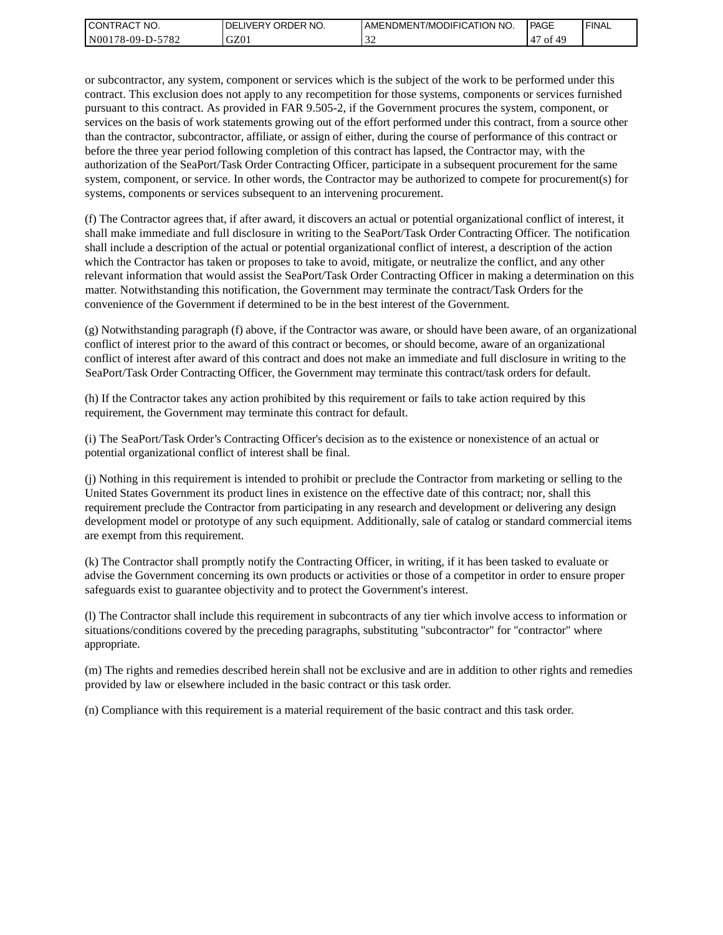| I CONTRACT NO.   | <b>IDELIVERY ORDER NO.</b> | AMENDMENT/MODIFICATION NO. | PAGE                    | ' FINAL |
|------------------|----------------------------|----------------------------|-------------------------|---------|
| N00178-09-D-5782 | GZ01                       |                            | .47<br>$\Delta$ Q<br>of |         |

or subcontractor, any system, component or services which is the subject of the work to be performed under this contract. This exclusion does not apply to any recompetition for those systems, components or services furnished pursuant to this contract. As provided in FAR 9.505-2, if the Government procures the system, component, or services on the basis of work statements growing out of the effort performed under this contract, from a source other than the contractor, subcontractor, affiliate, or assign of either, during the course of performance of this contract or before the three year period following completion of this contract has lapsed, the Contractor may, with the authorization of the SeaPort/Task Order Contracting Officer, participate in a subsequent procurement for the same system, component, or service. In other words, the Contractor may be authorized to compete for procurement(s) for systems, components or services subsequent to an intervening procurement.

(f) The Contractor agrees that, if after award, it discovers an actual or potential organizational conflict of interest, it shall make immediate and full disclosure in writing to the SeaPort/Task Order Contracting Officer. The notification shall include a description of the actual or potential organizational conflict of interest, a description of the action which the Contractor has taken or proposes to take to avoid, mitigate, or neutralize the conflict, and any other relevant information that would assist the SeaPort/Task Order Contracting Officer in making a determination on this matter. Notwithstanding this notification, the Government may terminate the contract/Task Orders for the convenience of the Government if determined to be in the best interest of the Government.

(g) Notwithstanding paragraph (f) above, if the Contractor was aware, or should have been aware, of an organizational conflict of interest prior to the award of this contract or becomes, or should become, aware of an organizational conflict of interest after award of this contract and does not make an immediate and full disclosure in writing to the SeaPort/Task Order Contracting Officer, the Government may terminate this contract/task orders for default.

(h) If the Contractor takes any action prohibited by this requirement or fails to take action required by this requirement, the Government may terminate this contract for default.

(i) The SeaPort/Task Order's Contracting Officer's decision as to the existence or nonexistence of an actual or potential organizational conflict of interest shall be final.

(j) Nothing in this requirement is intended to prohibit or preclude the Contractor from marketing or selling to the United States Government its product lines in existence on the effective date of this contract; nor, shall this requirement preclude the Contractor from participating in any research and development or delivering any design development model or prototype of any such equipment. Additionally, sale of catalog or standard commercial items are exempt from this requirement.

(k) The Contractor shall promptly notify the Contracting Officer, in writing, if it has been tasked to evaluate or advise the Government concerning its own products or activities or those of a competitor in order to ensure proper safeguards exist to guarantee objectivity and to protect the Government's interest.

(l) The Contractor shall include this requirement in subcontracts of any tier which involve access to information or situations/conditions covered by the preceding paragraphs, substituting "subcontractor" for "contractor" where appropriate.

(m) The rights and remedies described herein shall not be exclusive and are in addition to other rights and remedies provided by law or elsewhere included in the basic contract or this task order.

(n) Compliance with this requirement is a material requirement of the basic contract and this task order.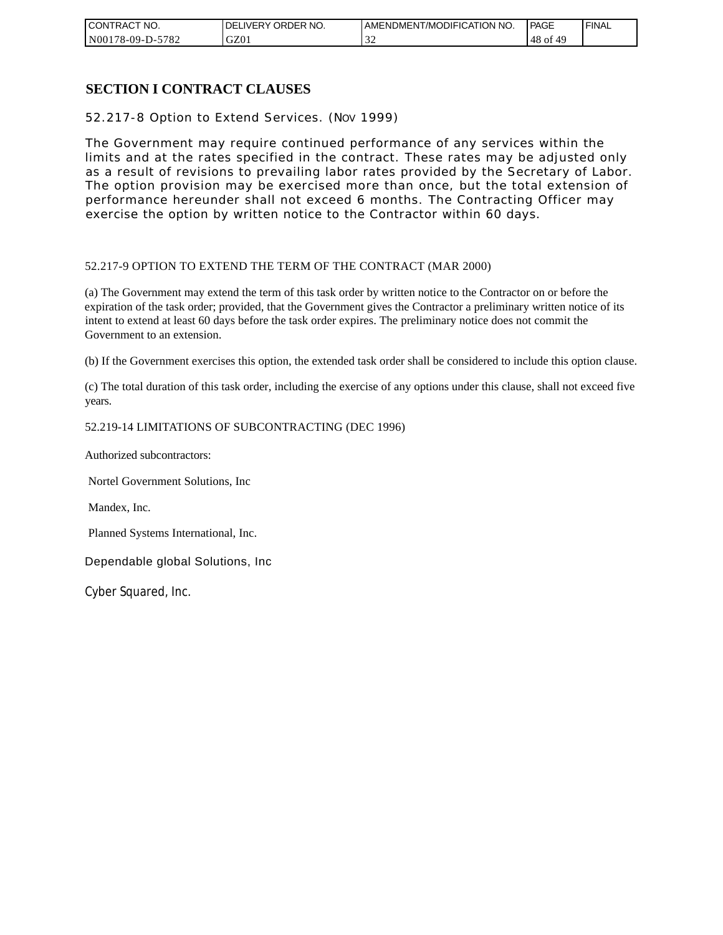| CONTRACT NO.     | NO.<br><b>DELIVERY ORDER</b> | AMENDMENT/MODIFICATION<br>' NO. | PAGE            | 'FINAL |
|------------------|------------------------------|---------------------------------|-----------------|--------|
| N00178-09-D-5782 | GZ0 <sub>1</sub>             | -22                             | 48<br>49<br>of. |        |

## **SECTION I CONTRACT CLAUSES**

52.217-8 Option to Extend Services. (NOV 1999)

The Government may require continued performance of any services within the limits and at the rates specified in the contract. These rates may be adjusted only as a result of revisions to prevailing labor rates provided by the Secretary of Labor. The option provision may be exercised more than once, but the total extension of performance hereunder shall not exceed 6 months. The Contracting Officer may exercise the option by written notice to the Contractor within 60 days.

### 52.217-9 OPTION TO EXTEND THE TERM OF THE CONTRACT (MAR 2000)

(a) The Government may extend the term of this task order by written notice to the Contractor on or before the expiration of the task order; provided, that the Government gives the Contractor a preliminary written notice of its intent to extend at least 60 days before the task order expires. The preliminary notice does not commit the Government to an extension.

(b) If the Government exercises this option, the extended task order shall be considered to include this option clause.

(c) The total duration of this task order, including the exercise of any options under this clause, shall not exceed five years.

### 52.219-14 LIMITATIONS OF SUBCONTRACTING (DEC 1996)

Authorized subcontractors:

Nortel Government Solutions, Inc

Mandex, Inc.

Planned Systems International, Inc.

Dependable global Solutions, Inc

Cyber Squared, Inc.